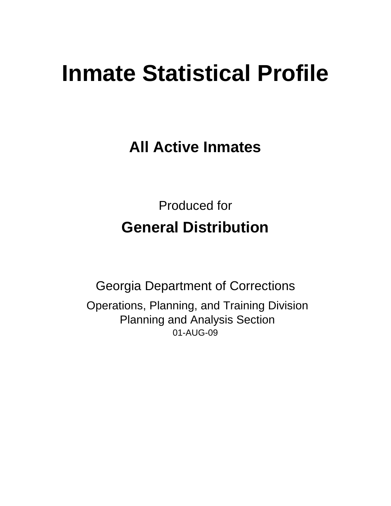# **Inmate Statistical Profile**

**All Active Inmates**

Produced for **General Distribution**

01-AUG-09 Georgia Department of Corrections Operations, Planning, and Training Division Planning and Analysis Section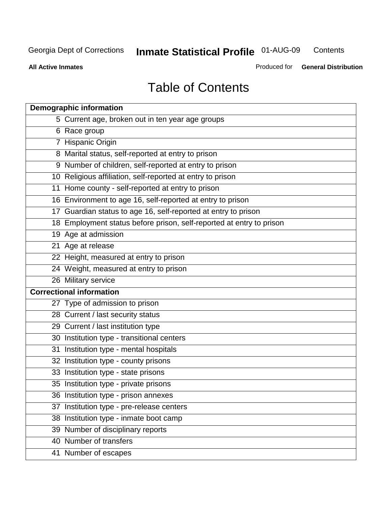**Contents** 

**All Active Inmates**

Produced for **General Distribution**

# Table of Contents

| <b>Demographic information</b>                                       |  |
|----------------------------------------------------------------------|--|
| 5 Current age, broken out in ten year age groups                     |  |
| 6 Race group                                                         |  |
| 7 Hispanic Origin                                                    |  |
| 8 Marital status, self-reported at entry to prison                   |  |
| 9 Number of children, self-reported at entry to prison               |  |
| 10 Religious affiliation, self-reported at entry to prison           |  |
| 11 Home county - self-reported at entry to prison                    |  |
| 16 Environment to age 16, self-reported at entry to prison           |  |
| 17 Guardian status to age 16, self-reported at entry to prison       |  |
| 18 Employment status before prison, self-reported at entry to prison |  |
| 19 Age at admission                                                  |  |
| 21 Age at release                                                    |  |
| 22 Height, measured at entry to prison                               |  |
| 24 Weight, measured at entry to prison                               |  |
| 26 Military service                                                  |  |
| <b>Correctional information</b>                                      |  |
| 27 Type of admission to prison                                       |  |
| 28 Current / last security status                                    |  |
| 29 Current / last institution type                                   |  |
| 30 Institution type - transitional centers                           |  |
| 31 Institution type - mental hospitals                               |  |
| 32 Institution type - county prisons                                 |  |
| 33 Institution type - state prisons                                  |  |
| 35 Institution type - private prisons                                |  |
| 36 Institution type - prison annexes                                 |  |
| 37 Institution type - pre-release centers                            |  |
| 38 Institution type - inmate boot camp                               |  |
| 39 Number of disciplinary reports                                    |  |
| 40 Number of transfers                                               |  |
| 41 Number of escapes                                                 |  |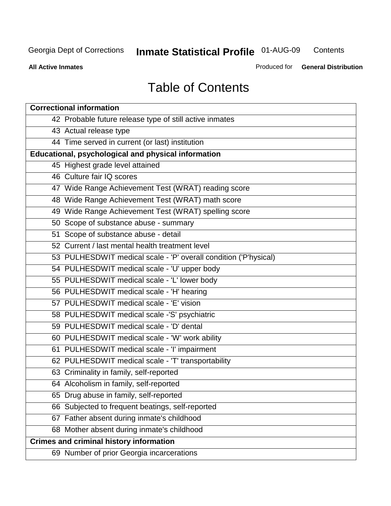**Contents** 

**All Active Inmates**

Produced for **General Distribution**

# Table of Contents

| <b>Correctional information</b>                                  |
|------------------------------------------------------------------|
| 42 Probable future release type of still active inmates          |
| 43 Actual release type                                           |
| 44 Time served in current (or last) institution                  |
| Educational, psychological and physical information              |
| 45 Highest grade level attained                                  |
| 46 Culture fair IQ scores                                        |
| 47 Wide Range Achievement Test (WRAT) reading score              |
| 48 Wide Range Achievement Test (WRAT) math score                 |
| 49 Wide Range Achievement Test (WRAT) spelling score             |
| 50 Scope of substance abuse - summary                            |
| 51 Scope of substance abuse - detail                             |
| 52 Current / last mental health treatment level                  |
| 53 PULHESDWIT medical scale - 'P' overall condition ('P'hysical) |
| 54 PULHESDWIT medical scale - 'U' upper body                     |
| 55 PULHESDWIT medical scale - 'L' lower body                     |
| 56 PULHESDWIT medical scale - 'H' hearing                        |
| 57 PULHESDWIT medical scale - 'E' vision                         |
| 58 PULHESDWIT medical scale -'S' psychiatric                     |
| 59 PULHESDWIT medical scale - 'D' dental                         |
| 60 PULHESDWIT medical scale - 'W' work ability                   |
| 61 PULHESDWIT medical scale - 'I' impairment                     |
| 62 PULHESDWIT medical scale - 'T' transportability               |
| 63 Criminality in family, self-reported                          |
| 64 Alcoholism in family, self-reported                           |
| 65 Drug abuse in family, self-reported                           |
| 66 Subjected to frequent beatings, self-reported                 |
| 67 Father absent during inmate's childhood                       |
| 68 Mother absent during inmate's childhood                       |
| <b>Crimes and criminal history information</b>                   |
| 69 Number of prior Georgia incarcerations                        |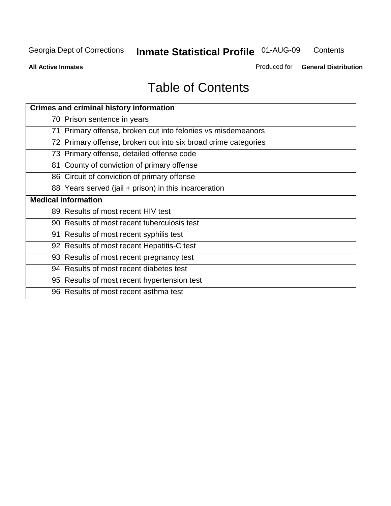**Contents** 

**All Active Inmates**

Produced for **General Distribution**

# Table of Contents

| <b>Crimes and criminal history information</b>                 |
|----------------------------------------------------------------|
| 70 Prison sentence in years                                    |
| 71 Primary offense, broken out into felonies vs misdemeanors   |
| 72 Primary offense, broken out into six broad crime categories |
| 73 Primary offense, detailed offense code                      |
| 81 County of conviction of primary offense                     |
| 86 Circuit of conviction of primary offense                    |
| 88 Years served (jail + prison) in this incarceration          |
| <b>Medical information</b>                                     |
| 89 Results of most recent HIV test                             |
| 90 Results of most recent tuberculosis test                    |
| 91 Results of most recent syphilis test                        |
| 92 Results of most recent Hepatitis-C test                     |
| 93 Results of most recent pregnancy test                       |
| 94 Results of most recent diabetes test                        |
| 95 Results of most recent hypertension test                    |
| 96 Results of most recent asthma test                          |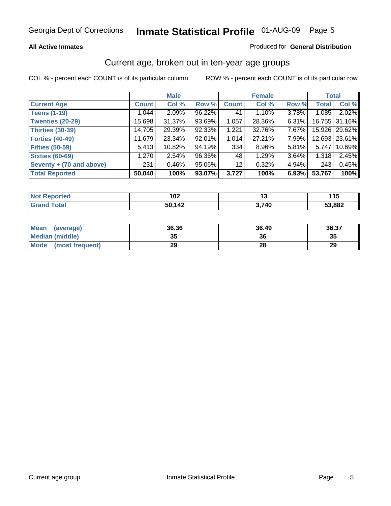### **All Active Inmates**

### Produced for **General Distribution**

### Current age, broken out in ten-year age groups

|                          |              | <b>Male</b> |        |              | <b>Female</b> |       |              | <b>Total</b>  |
|--------------------------|--------------|-------------|--------|--------------|---------------|-------|--------------|---------------|
| <b>Current Age</b>       | <b>Count</b> | Col %       | Row %  | <b>Count</b> | Col %         | Row % | <b>Total</b> | Col %         |
| <b>Teens (1-19)</b>      | 1,044        | 2.09%       | 96.22% | 41           | 1.10%         | 3.78% | 1,085        | 2.02%         |
| <b>Twenties (20-29)</b>  | 15,698       | 31.37%      | 93.69% | 1,057        | 28.36%        | 6.31% |              | 16,755 31.16% |
| <b>Thirties (30-39)</b>  | 14,705       | 29.39%      | 92.33% | 1,221        | 32.76%        | 7.67% |              | 15,926 29.62% |
| <b>Forties (40-49)</b>   | 11,679       | 23.34%      | 92.01% | 1,014        | 27.21%        | 7.99% | 12,693       | 23.61%        |
| <b>Fifties (50-59)</b>   | 5,413        | 10.82%      | 94.19% | 334          | 8.96%         | 5.81% | 5,747        | 10.69%        |
| <b>Sixties (60-69)</b>   | 1,270        | 2.54%       | 96.36% | 48           | 1.29%         | 3.64% | 1,318        | 2.45%         |
| Seventy + (70 and above) | 231          | $0.46\%$    | 95.06% | 12           | 0.32%         | 4.94% | 243          | 0.45%         |
| <b>Total Reported</b>    | 50,040       | 100%        | 93.07% | 3,727        | 100%          | 6.93% | 53,767       | 100%          |

| <b>Not Reported</b>   | 102    | 1 V   | . I J  |
|-----------------------|--------|-------|--------|
| $\tau$ otal<br>'Grand | 50,142 | 3,740 | 53,882 |

| <b>Mean</b><br>(average) | 36.36    | 36.49 | 36.37 |
|--------------------------|----------|-------|-------|
| <b>Median (middle)</b>   | つに<br>vu | 36    | 35    |
| Mode<br>(most frequent)  | 29       | 28    | 29    |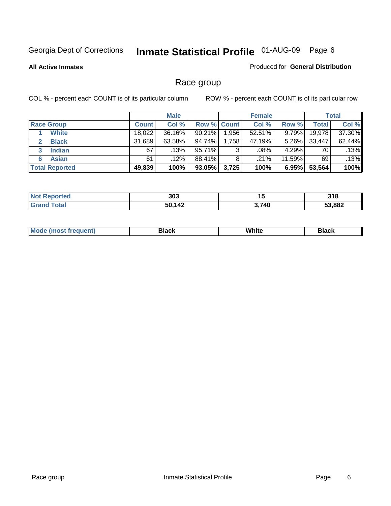**All Active Inmates**

### Produced for **General Distribution**

# Race group

|                       |              | <b>Male</b> |                    |          | <b>Female</b> |          |        | <b>Total</b> |
|-----------------------|--------------|-------------|--------------------|----------|---------------|----------|--------|--------------|
| <b>Race Group</b>     | <b>Count</b> | Col %       | <b>Row % Count</b> |          | Col %         | Row %    | Total  | Col %        |
| <b>White</b>          | 18,022       | 36.16%      | 90.21%             | ا 956. ا | $52.51\%$     | 9.79%    | 19,978 | 37.30%       |
| <b>Black</b>          | 31,689       | 63.58%      | 94.74%             | 1,758    | 47.19%        | $5.26\%$ | 33,447 | 62.44%       |
| <b>Indian</b><br>3    | 67           | .13%        | 95.71%             | 3        | .08%          | 4.29%    | 70     | .13%         |
| <b>Asian</b>          | 61           | $.12\%$     | 88.41%             | 8        | .21%          | 11.59%   | 69     | .13%         |
| <b>Total Reported</b> | 49,839       | 100%        | 93.05%             | 3,725    | 100%          | 6.95%    | 53,564 | 100%         |

|                 | 303                 | . .<br>יי | 24C<br>UIU |
|-----------------|---------------------|-----------|------------|
| $\sim$ 4 $\sim$ | 1 1 2<br>50<br>אד ו | .740      | 53,882     |

|  | $Mc$ | Black | White<br>$ -$ | 21904<br>DIACK |
|--|------|-------|---------------|----------------|
|--|------|-------|---------------|----------------|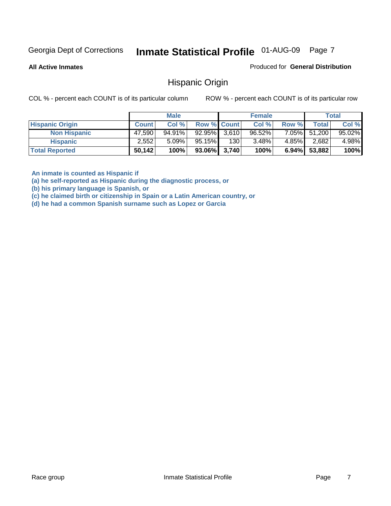**All Active Inmates**

Produced for **General Distribution**

### Hispanic Origin

COL % - percent each COUNT is of its particular column ROW % - percent each COUNT is of its particular row

|                        |              | <b>Male</b> |                    |     | <b>Female</b> |          |              | <b>Total</b> |
|------------------------|--------------|-------------|--------------------|-----|---------------|----------|--------------|--------------|
| <b>Hispanic Origin</b> | <b>Count</b> | Col %       | <b>Row % Count</b> |     | Col %         | Row %    | Total        | Col %        |
| <b>Non Hispanic</b>    | 47,590       | 94.91%      | $92.95\%$ 3,610    |     | $96.52\%$     |          | 7.05% 51,200 | $95.02\%$    |
| <b>Hispanic</b>        | 2.552        | $5.09\%$    | 95.15%             | 130 | 3.48%         | 4.85%    | 2,682        | 4.98%        |
| <b>Total Reported</b>  | 50,142       | 100%        | $93.06\%$ 3,740    |     | 100%          | $6.94\%$ | 53,882       | 100%         |

**An inmate is counted as Hispanic if** 

**(a) he self-reported as Hispanic during the diagnostic process, or** 

**(b) his primary language is Spanish, or** 

**(c) he claimed birth or citizenship in Spain or a Latin American country, or** 

**(d) he had a common Spanish surname such as Lopez or Garcia**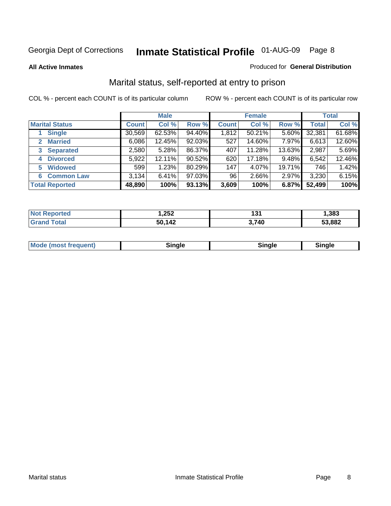### **All Active Inmates**

### Produced for **General Distribution**

# Marital status, self-reported at entry to prison

|                                | <b>Male</b>  |        |        | <b>Female</b> |        |        | <b>Total</b> |        |
|--------------------------------|--------------|--------|--------|---------------|--------|--------|--------------|--------|
| <b>Marital Status</b>          | <b>Count</b> | Col %  | Row %  | <b>Count</b>  | Col %  | Row %  | <b>Total</b> | Col %  |
| <b>Single</b>                  | 30,569       | 62.53% | 94.40% | 1,812         | 50.21% | 5.60%  | 32,381       | 61.68% |
| <b>Married</b><br>$\mathbf{2}$ | 6,086        | 12.45% | 92.03% | 527           | 14.60% | 7.97%  | 6,613        | 12.60% |
| <b>Separated</b><br>3          | 2,580        | 5.28%  | 86.37% | 407           | 11.28% | 13.63% | 2,987        | 5.69%  |
| <b>Divorced</b><br>4           | 5,922        | 12.11% | 90.52% | 620           | 17.18% | 9.48%  | 6,542        | 12.46% |
| <b>Widowed</b><br>5            | 599          | 1.23%  | 80.29% | 147           | 4.07%  | 19.71% | 746          | 1.42%  |
| <b>Common Law</b><br>6         | 3,134        | 6.41%  | 97.03% | 96            | 2.66%  | 2.97%  | 3,230        | 6.15%  |
| <b>Total Reported</b>          | 48,890       | 100%   | 93.13% | 3,609         | 100%   | 6.87%  | 52,499       | 100%   |

| ,252   | $\sim$<br>1 J I | ,383   |
|--------|-----------------|--------|
| 50,142 | 3,740<br>◡.     | 53,882 |

|  | Mode (most f<br>freauent) | `ınale |  | `inale |
|--|---------------------------|--------|--|--------|
|--|---------------------------|--------|--|--------|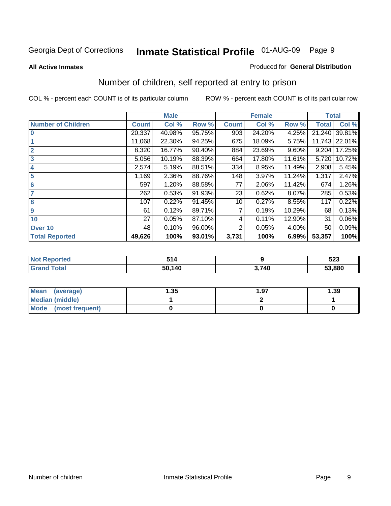### **All Active Inmates**

### Produced for **General Distribution**

# Number of children, self reported at entry to prison

|                           |              | <b>Male</b> |        |              | <b>Female</b> |        | <b>Total</b> |        |
|---------------------------|--------------|-------------|--------|--------------|---------------|--------|--------------|--------|
| <b>Number of Children</b> | <b>Count</b> | Col %       | Row %  | <b>Count</b> | Col %         | Row %  | <b>Total</b> | Col %  |
| $\bf{0}$                  | 20,337       | 40.98%      | 95.75% | 903          | 24.20%        | 4.25%  | 21,240       | 39.81% |
|                           | 11,068       | 22.30%      | 94.25% | 675          | 18.09%        | 5.75%  | 11,743       | 22.01% |
| $\overline{2}$            | 8,320        | 16.77%      | 90.40% | 884          | 23.69%        | 9.60%  | 9,204        | 17.25% |
| 3                         | 5,056        | 10.19%      | 88.39% | 664          | 17.80%        | 11.61% | 5,720        | 10.72% |
| 4                         | 2,574        | 5.19%       | 88.51% | 334          | 8.95%         | 11.49% | 2,908        | 5.45%  |
| 5                         | 1,169        | 2.36%       | 88.76% | 148          | 3.97%         | 11.24% | 1,317        | 2.47%  |
| $6\phantom{a}$            | 597          | 1.20%       | 88.58% | 77           | 2.06%         | 11.42% | 674          | 1.26%  |
| 7                         | 262          | 0.53%       | 91.93% | 23           | 0.62%         | 8.07%  | 285          | 0.53%  |
| 8                         | 107          | 0.22%       | 91.45% | 10           | 0.27%         | 8.55%  | 117          | 0.22%  |
| 9                         | 61           | 0.12%       | 89.71% | 7            | 0.19%         | 10.29% | 68           | 0.13%  |
| 10                        | 27           | 0.05%       | 87.10% | 4            | 0.11%         | 12.90% | 31           | 0.06%  |
| Over 10                   | 48           | 0.10%       | 96.00% | 2            | 0.05%         | 4.00%  | 50           | 0.09%  |
| <b>Total Reported</b>     | 49,626       | 100%        | 93.01% | 3,731        | 100%          | 6.99%  | 53,357       | 100%   |

| . . | -4<br>.     |                  | E00<br>ວ∠ວ<br>- - |
|-----|-------------|------------------|-------------------|
|     | 1 A N<br>יי | <b>710</b><br>T. | 53,880            |

| <b>Mean</b><br>(average) | .35 | 1.97 | .39 |
|--------------------------|-----|------|-----|
| <b>Median (middle)</b>   |     |      |     |
| Mode<br>(most frequent)  |     |      |     |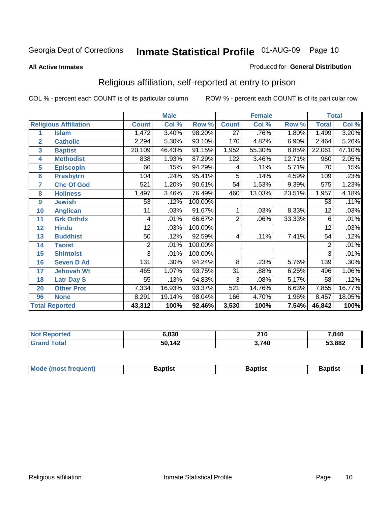### **All Active Inmates**

### Produced for **General Distribution**

# Religious affiliation, self-reported at entry to prison

|                  |                              | <b>Male</b>    |        |         |                 | <b>Female</b> |        | <b>Total</b>    |        |
|------------------|------------------------------|----------------|--------|---------|-----------------|---------------|--------|-----------------|--------|
|                  | <b>Religious Affiliation</b> | <b>Count</b>   | Col %  | Row %   | <b>Count</b>    | Col %         | Row %  | <b>Total</b>    | Col %  |
| 1                | <b>Islam</b>                 | 1,472          | 3.40%  | 98.20%  | $\overline{27}$ | .76%          | 1.80%  | 1,499           | 3.20%  |
| $\overline{2}$   | <b>Catholic</b>              | 2,294          | 5.30%  | 93.10%  | 170             | 4.82%         | 6.90%  | 2,464           | 5.26%  |
| 3                | <b>Baptist</b>               | 20,109         | 46.43% | 91.15%  | 1,952           | 55.30%        | 8.85%  | 22,061          | 47.10% |
| 4                | <b>Methodist</b>             | 838            | 1.93%  | 87.29%  | 122             | 3.46%         | 12.71% | 960             | 2.05%  |
| 5                | <b>EpiscopIn</b>             | 66             | .15%   | 94.29%  | 4               | .11%          | 5.71%  | 70              | .15%   |
| 6                | <b>Presbytrn</b>             | 104            | .24%   | 95.41%  | 5               | .14%          | 4.59%  | 109             | .23%   |
| 7                | <b>Chc Of God</b>            | 521            | 1.20%  | 90.61%  | 54              | 1.53%         | 9.39%  | 575             | 1.23%  |
| 8                | <b>Holiness</b>              | 1,497          | 3.46%  | 76.49%  | 460             | 13.03%        | 23.51% | 1,957           | 4.18%  |
| $\boldsymbol{9}$ | <b>Jewish</b>                | 53             | .12%   | 100.00% |                 |               |        | 53              | .11%   |
| 10               | <b>Anglican</b>              | 11             | .03%   | 91.67%  |                 | .03%          | 8.33%  | 12              | .03%   |
| 11               | <b>Grk Orthdx</b>            | 4              | .01%   | 66.67%  | $\overline{2}$  | .06%          | 33.33% | 6               | .01%   |
| 12               | <b>Hindu</b>                 | 12             | .03%   | 100.00% |                 |               |        | 12              | .03%   |
| 13               | <b>Buddhist</b>              | 50             | .12%   | 92.59%  | 4               | .11%          | 7.41%  | $\overline{54}$ | .12%   |
| 14               | <b>Taoist</b>                | $\overline{2}$ | .01%   | 100.00% |                 |               |        | $\overline{2}$  | .01%   |
| 15               | <b>Shintoist</b>             | 3              | .01%   | 100.00% |                 |               |        | 3               | .01%   |
| 16               | <b>Seven D Ad</b>            | 131            | .30%   | 94.24%  | 8               | .23%          | 5.76%  | 139             | .30%   |
| 17               | <b>Jehovah Wt</b>            | 465            | 1.07%  | 93.75%  | $\overline{31}$ | .88%          | 6.25%  | 496             | 1.06%  |
| 18               | <b>Latr Day S</b>            | 55             | .13%   | 94.83%  | $\overline{3}$  | .08%          | 5.17%  | 58              | .12%   |
| 20               | <b>Other Prot</b>            | 7,334          | 16.93% | 93.37%  | 521             | 14.76%        | 6.63%  | 7,855           | 16.77% |
| 96               | <b>None</b>                  | 8,291          | 19.14% | 98.04%  | 166             | 4.70%         | 1.96%  | 8,457           | 18.05% |
|                  | <b>Total Reported</b>        | 43,312         | 100%   | 92.46%  | 3,530           | 100%          | 7.54%  | 46,842          | 100%   |

| 000                      | 240<br>2 I V<br>__ | ,040   |
|--------------------------|--------------------|--------|
| 112<br>50<br><u>. TA</u> | 740.               | 53,882 |

| <b>Mode</b><br>frequent)<br>umost | 3aptist | 3aptist | <b>Baptist</b> |
|-----------------------------------|---------|---------|----------------|
|                                   |         |         |                |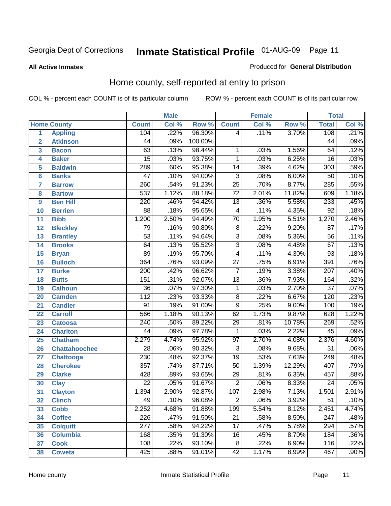### **All Active Inmates**

### Produced for **General Distribution**

# Home county, self-reported at entry to prison

|                 |                      |                  | <b>Male</b> |         |                 | <b>Female</b> |          | <b>Total</b>     |       |  |
|-----------------|----------------------|------------------|-------------|---------|-----------------|---------------|----------|------------------|-------|--|
|                 | <b>Home County</b>   | <b>Count</b>     | Col %       | Row %   | <b>Count</b>    | Col %         | Row %    | <b>Total</b>     | Col % |  |
| 1               | <b>Appling</b>       | 104              | .22%        | 96.30%  | 4               | .11%          | 3.70%    | 108              | .21%  |  |
| $\overline{2}$  | <b>Atkinson</b>      | $\overline{44}$  | .09%        | 100.00% |                 |               |          | $\overline{44}$  | .09%  |  |
| 3               | <b>Bacon</b>         | 63               | .13%        | 98.44%  | 1               | .03%          | 1.56%    | 64               | .12%  |  |
| 4               | <b>Baker</b>         | $\overline{15}$  | .03%        | 93.75%  | $\mathbf{1}$    | .03%          | 6.25%    | 16               | .03%  |  |
| 5               | <b>Baldwin</b>       | 289              | .60%        | 95.38%  | $\overline{14}$ | .39%          | 4.62%    | $\overline{303}$ | .59%  |  |
| $6\phantom{a}$  | <b>Banks</b>         | $\overline{47}$  | .10%        | 94.00%  | $\overline{3}$  | .08%          | 6.00%    | $\overline{50}$  | .10%  |  |
| $\overline{7}$  | <b>Barrow</b>        | 260              | .54%        | 91.23%  | $\overline{25}$ | .70%          | 8.77%    | 285              | .55%  |  |
| 8               | <b>Bartow</b>        | $\overline{537}$ | 1.12%       | 88.18%  | $\overline{72}$ | 2.01%         | 11.82%   | 609              | 1.18% |  |
| 9               | <b>Ben Hill</b>      | $\overline{220}$ | .46%        | 94.42%  | $\overline{13}$ | .36%          | 5.58%    | 233              | .45%  |  |
| 10              | <b>Berrien</b>       | $\overline{88}$  | .18%        | 95.65%  | 4               | .11%          | 4.35%    | $\overline{92}$  | .18%  |  |
| 11              | <b>Bibb</b>          | 1,200            | 2.50%       | 94.49%  | 70              | 1.95%         | 5.51%    | 1,270            | 2.46% |  |
| 12              | <b>Bleckley</b>      | $\overline{79}$  | .16%        | 90.80%  | $\overline{8}$  | .22%          | 9.20%    | $\overline{87}$  | .17%  |  |
| $\overline{13}$ | <b>Brantley</b>      | $\overline{53}$  | .11%        | 94.64%  | $\overline{3}$  | .08%          | 5.36%    | 56               | .11%  |  |
| $\overline{14}$ | <b>Brooks</b>        | 64               | .13%        | 95.52%  | $\overline{3}$  | .08%          | 4.48%    | $\overline{67}$  | .13%  |  |
| 15              | <b>Bryan</b>         | 89               | .19%        | 95.70%  | $\overline{4}$  | .11%          | 4.30%    | $\overline{93}$  | .18%  |  |
| 16              | <b>Bulloch</b>       | 364              | .76%        | 93.09%  | $\overline{27}$ | .75%          | 6.91%    | 391              | .76%  |  |
| $\overline{17}$ | <b>Burke</b>         | $\overline{200}$ | .42%        | 96.62%  | $\overline{7}$  | .19%          | 3.38%    | $\overline{207}$ | .40%  |  |
| 18              | <b>Butts</b>         | 151              | .31%        | 92.07%  | $\overline{13}$ | .36%          | 7.93%    | 164              | .32%  |  |
| 19              | <b>Calhoun</b>       | $\overline{36}$  | .07%        | 97.30%  | $\mathbf{1}$    | .03%          | 2.70%    | $\overline{37}$  | .07%  |  |
| 20              | <b>Camden</b>        | $\overline{112}$ | .23%        | 93.33%  | $\overline{8}$  | .22%          | 6.67%    | 120              | .23%  |  |
| 21              | <b>Candler</b>       | $\overline{91}$  | .19%        | 91.00%  | $\overline{9}$  | .25%          | 9.00%    | 100              | .19%  |  |
| $\overline{22}$ | <b>Carroll</b>       | 566              | 1.18%       | 90.13%  | 62              | 1.73%         | 9.87%    | 628              | 1.22% |  |
| 23              | <b>Catoosa</b>       | 240              | .50%        | 89.22%  | 29              | .81%          | 10.78%   | 269              | .52%  |  |
| 24              | <b>Charlton</b>      | $\overline{44}$  | .09%        | 97.78%  | $\mathbf{1}$    | .03%          | 2.22%    | $\overline{45}$  | .09%  |  |
| 25              | <b>Chatham</b>       | 2,279            | 4.74%       | 95.92%  | $\overline{97}$ | 2.70%         | 4.08%    | 2,376            | 4.60% |  |
| 26              | <b>Chattahoochee</b> | $\overline{28}$  | .06%        | 90.32%  | 3               | .08%          | 9.68%    | $\overline{31}$  | .06%  |  |
| 27              | <b>Chattooga</b>     | 230              | .48%        | 92.37%  | $\overline{19}$ | .53%          | 7.63%    | 249              | .48%  |  |
| 28              | <b>Cherokee</b>      | 357              | .74%        | 87.71%  | $\overline{50}$ | 1.39%         | 12.29%   | 407              | .79%  |  |
| 29              | <b>Clarke</b>        | $\overline{428}$ | .89%        | 93.65%  | $\overline{29}$ | .81%          | 6.35%    | 457              | .88%  |  |
| 30              | <b>Clay</b>          | $\overline{22}$  | .05%        | 91.67%  | $\overline{2}$  | .06%          | 8.33%    | $\overline{24}$  | .05%  |  |
| $\overline{31}$ | <b>Clayton</b>       | 1,394            | 2.90%       | 92.87%  | 107             | 2.98%         | 7.13%    | 1,501            | 2.91% |  |
| 32              | <b>Clinch</b>        | 49               | .10%        | 96.08%  | 2               | .06%          | $3.92\%$ | 51               | .10%  |  |
| 33              | <b>Cobb</b>          | 2,252            | 4.68%       | 91.88%  | 199             | 5.54%         | 8.12%    | 2,451            | 4.74% |  |
| 34              | <b>Coffee</b>        | 226              | .47%        | 91.50%  | $\overline{21}$ | .58%          | 8.50%    | $\overline{247}$ | .48%  |  |
| 35              | <b>Colquitt</b>      | $\overline{277}$ | .58%        | 94.22%  | $\overline{17}$ | .47%          | 5.78%    | $\overline{294}$ | .57%  |  |
| 36              | <b>Columbia</b>      | 168              | .35%        | 91.30%  | 16              | .45%          | 8.70%    | 184              | .36%  |  |
| 37              | <b>Cook</b>          | 108              | .22%        | 93.10%  | $\overline{8}$  | .22%          | 6.90%    | 116              | .22%  |  |
| 38              | <b>Coweta</b>        | 425              | .88%        | 91.01%  | $\overline{42}$ | 1.17%         | 8.99%    | 467              | .90%  |  |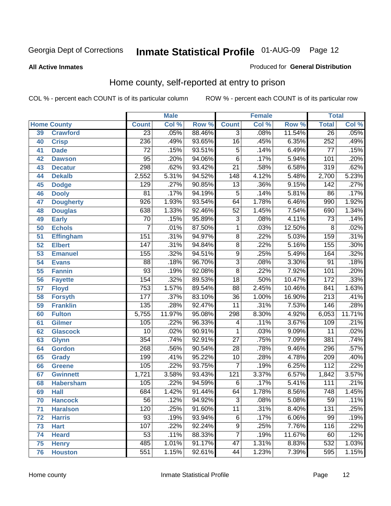### **All Active Inmates**

### Produced for **General Distribution**

# Home county, self-reported at entry to prison

|                 |                    |                  | <b>Male</b> |                  |                  | <b>Female</b> |        | <b>Total</b>     |                            |  |
|-----------------|--------------------|------------------|-------------|------------------|------------------|---------------|--------|------------------|----------------------------|--|
|                 | <b>Home County</b> | <b>Count</b>     | Col %       | Row <sup>%</sup> | <b>Count</b>     | Col %         | Row %  | <b>Total</b>     | $\overline{\text{Col }^9}$ |  |
| 39              | <b>Crawford</b>    | $\overline{23}$  | .05%        | 88.46%           | $\overline{3}$   | .08%          | 11.54% | 26               | .05%                       |  |
| 40              | <b>Crisp</b>       | 236              | .49%        | 93.65%           | $\overline{16}$  | .45%          | 6.35%  | 252              | .49%                       |  |
| 41              | <b>Dade</b>        | 72               | .15%        | 93.51%           | 5                | .14%          | 6.49%  | 77               | .15%                       |  |
| 42              | <b>Dawson</b>      | 95               | .20%        | 94.06%           | $\overline{6}$   | .17%          | 5.94%  | 101              | .20%                       |  |
| 43              | <b>Decatur</b>     | 298              | .62%        | 93.42%           | $\overline{21}$  | .58%          | 6.58%  | 319              | .62%                       |  |
| 44              | <b>Dekalb</b>      | 2,552            | 5.31%       | 94.52%           | $\overline{148}$ | 4.12%         | 5.48%  | 2,700            | 5.23%                      |  |
| 45              | <b>Dodge</b>       | 129              | .27%        | 90.85%           | $\overline{13}$  | .36%          | 9.15%  | 142              | .27%                       |  |
| 46              | <b>Dooly</b>       | $\overline{81}$  | .17%        | 94.19%           | $\overline{5}$   | .14%          | 5.81%  | $\overline{86}$  | .17%                       |  |
| 47              | <b>Dougherty</b>   | $\overline{926}$ | 1.93%       | 93.54%           | 64               | 1.78%         | 6.46%  | 990              | 1.92%                      |  |
| 48              | <b>Douglas</b>     | 638              | 1.33%       | 92.46%           | $\overline{52}$  | 1.45%         | 7.54%  | 690              | 1.34%                      |  |
| 49              | <b>Early</b>       | $\overline{70}$  | .15%        | 95.89%           | $\overline{3}$   | .08%          | 4.11%  | $\overline{73}$  | .14%                       |  |
| 50              | <b>Echols</b>      | 7                | .01%        | 87.50%           | $\mathbf 1$      | .03%          | 12.50% | 8                | .02%                       |  |
| $\overline{51}$ | <b>Effingham</b>   | 151              | .31%        | 94.97%           | $\overline{8}$   | .22%          | 5.03%  | 159              | .31%                       |  |
| 52              | <b>Elbert</b>      | $\overline{147}$ | .31%        | 94.84%           | $\overline{8}$   | .22%          | 5.16%  | 155              | .30%                       |  |
| 53              | <b>Emanuel</b>     | 155              | .32%        | 94.51%           | $\overline{9}$   | .25%          | 5.49%  | 164              | .32%                       |  |
| 54              | <b>Evans</b>       | $\overline{88}$  | .18%        | 96.70%           | $\overline{3}$   | .08%          | 3.30%  | 91               | .18%                       |  |
| 55              | <b>Fannin</b>      | 93               | .19%        | 92.08%           | $\overline{8}$   | .22%          | 7.92%  | 101              | .20%                       |  |
| 56              | <b>Fayette</b>     | 154              | .32%        | 89.53%           | $\overline{18}$  | .50%          | 10.47% | 172              | .33%                       |  |
| 57              | <b>Floyd</b>       | 753              | 1.57%       | 89.54%           | $\overline{88}$  | 2.45%         | 10.46% | 841              | 1.63%                      |  |
| 58              | <b>Forsyth</b>     | 177              | .37%        | 83.10%           | $\overline{36}$  | 1.00%         | 16.90% | $\overline{213}$ | .41%                       |  |
| 59              | <b>Franklin</b>    | 135              | .28%        | 92.47%           | $\overline{11}$  | .31%          | 7.53%  | 146              | .28%                       |  |
| 60              | <b>Fulton</b>      | 5,755            | 11.97%      | 95.08%           | 298              | 8.30%         | 4.92%  | 6,053            | 11.71%                     |  |
| 61              | Gilmer             | 105              | .22%        | 96.33%           | 4                | .11%          | 3.67%  | 109              | .21%                       |  |
| 62              | <b>Glascock</b>    | $\overline{10}$  | .02%        | 90.91%           | 1                | .03%          | 9.09%  | $\overline{11}$  | .02%                       |  |
| 63              | <b>Glynn</b>       | 354              | .74%        | 92.91%           | $\overline{27}$  | .75%          | 7.09%  | 381              | .74%                       |  |
| 64              | <b>Gordon</b>      | 268              | .56%        | 90.54%           | $\overline{28}$  | .78%          | 9.46%  | 296              | .57%                       |  |
| 65              | <b>Grady</b>       | 199              | .41%        | 95.22%           | $\overline{10}$  | .28%          | 4.78%  | 209              | .40%                       |  |
| 66              | <b>Greene</b>      | 105              | .22%        | 93.75%           | $\overline{7}$   | .19%          | 6.25%  | $\overline{112}$ | .22%                       |  |
| 67              | <b>Gwinnett</b>    | 1,721            | 3.58%       | 93.43%           | $\overline{121}$ | 3.37%         | 6.57%  | 1,842            | 3.57%                      |  |
| 68              | <b>Habersham</b>   | 105              | .22%        | 94.59%           | 6                | .17%          | 5.41%  | 111              | .21%                       |  |
| 69              | <b>Hall</b>        | 684              | 1.42%       | 91.44%           | 64               | 1.78%         | 8.56%  | 748              | 1.45%                      |  |
| 70              | <b>Hancock</b>     | 56               | .12%        | 94.92%           | 3                | .08%          | 5.08%  | 59               | .11%                       |  |
| 71              | <b>Haralson</b>    | 120              | .25%        | 91.60%           | $\overline{11}$  | .31%          | 8.40%  | 131              | .25%                       |  |
| 72              | <b>Harris</b>      | 93               | .19%        | 93.94%           | 6                | .17%          | 6.06%  | $\overline{99}$  | .19%                       |  |
| 73              | <b>Hart</b>        | 107              | .22%        | 92.24%           | $\overline{9}$   | .25%          | 7.76%  | 116              | .22%                       |  |
| 74              | <b>Heard</b>       | $\overline{53}$  | .11%        | 88.33%           | $\overline{7}$   | .19%          | 11.67% | 60               | .12%                       |  |
| 75              | <b>Henry</b>       | 485              | 1.01%       | 91.17%           | 47               | 1.31%         | 8.83%  | 532              | 1.03%                      |  |
| 76              | <b>Houston</b>     | 551              | 1.15%       | 92.61%           | 44               | 1.23%         | 7.39%  | 595              | 1.15%                      |  |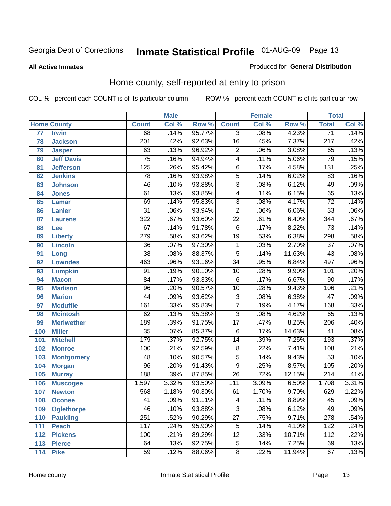### **All Active Inmates**

### Produced for **General Distribution**

# Home county, self-reported at entry to prison

|     |                    |                  | <b>Male</b> |        |                  | <b>Female</b> |        | <b>Total</b>     |       |
|-----|--------------------|------------------|-------------|--------|------------------|---------------|--------|------------------|-------|
|     | <b>Home County</b> | <b>Count</b>     | Col %       | Row %  | <b>Count</b>     | Col %         | Row %  | <b>Total</b>     | Col % |
| 77  | <b>Irwin</b>       | 68               | .14%        | 95.77% | 3                | .08%          | 4.23%  | $\overline{71}$  | .14%  |
| 78  | <b>Jackson</b>     | $\overline{201}$ | .42%        | 92.63% | $\overline{16}$  | .45%          | 7.37%  | $\overline{217}$ | .42%  |
| 79  | <b>Jasper</b>      | 63               | .13%        | 96.92% | $\overline{2}$   | .06%          | 3.08%  | 65               | .13%  |
| 80  | <b>Jeff Davis</b>  | $\overline{75}$  | .16%        | 94.94% | 4                | .11%          | 5.06%  | 79               | .15%  |
| 81  | <b>Jefferson</b>   | $\overline{125}$ | .26%        | 95.42% | $\overline{6}$   | .17%          | 4.58%  | 131              | .25%  |
| 82  | <b>Jenkins</b>     | $\overline{78}$  | .16%        | 93.98% | $\overline{5}$   | .14%          | 6.02%  | $\overline{83}$  | .16%  |
| 83  | <b>Johnson</b>     | $\overline{46}$  | .10%        | 93.88% | $\overline{3}$   | .08%          | 6.12%  | 49               | .09%  |
| 84  | <b>Jones</b>       | 61               | .13%        | 93.85% | 4                | .11%          | 6.15%  | 65               | .13%  |
| 85  | <b>Lamar</b>       | 69               | .14%        | 95.83% | $\overline{3}$   | .08%          | 4.17%  | $\overline{72}$  | .14%  |
| 86  | <b>Lanier</b>      | $\overline{31}$  | .06%        | 93.94% | $\overline{2}$   | .06%          | 6.06%  | $\overline{33}$  | .06%  |
| 87  | <b>Laurens</b>     | $\overline{322}$ | .67%        | 93.60% | $\overline{22}$  | .61%          | 6.40%  | 344              | .67%  |
| 88  | Lee                | 67               | .14%        | 91.78% | $\overline{6}$   | .17%          | 8.22%  | $\overline{73}$  | .14%  |
| 89  | <b>Liberty</b>     | $\overline{279}$ | .58%        | 93.62% | $\overline{19}$  | .53%          | 6.38%  | 298              | .58%  |
| 90  | <b>Lincoln</b>     | $\overline{36}$  | .07%        | 97.30% | 1                | .03%          | 2.70%  | $\overline{37}$  | .07%  |
| 91  | Long               | $\overline{38}$  | .08%        | 88.37% | $\overline{5}$   | .14%          | 11.63% | $\overline{43}$  | .08%  |
| 92  | <b>Lowndes</b>     | 463              | .96%        | 93.16% | $\overline{34}$  | .95%          | 6.84%  | 497              | .96%  |
| 93  | <b>Lumpkin</b>     | $\overline{91}$  | .19%        | 90.10% | $\overline{10}$  | .28%          | 9.90%  | 101              | .20%  |
| 94  | <b>Macon</b>       | $\overline{84}$  | .17%        | 93.33% | 6                | .17%          | 6.67%  | $\overline{90}$  | .17%  |
| 95  | <b>Madison</b>     | $\overline{96}$  | .20%        | 90.57% | $\overline{10}$  | .28%          | 9.43%  | 106              | .21%  |
| 96  | <b>Marion</b>      | 44               | .09%        | 93.62% | $\overline{3}$   | .08%          | 6.38%  | 47               | .09%  |
| 97  | <b>Mcduffie</b>    | 161              | .33%        | 95.83% | $\overline{7}$   | .19%          | 4.17%  | 168              | .33%  |
| 98  | <b>Mcintosh</b>    | 62               | .13%        | 95.38% | $\overline{3}$   | .08%          | 4.62%  | 65               | .13%  |
| 99  | <b>Meriwether</b>  | 189              | .39%        | 91.75% | $\overline{17}$  | .47%          | 8.25%  | $\overline{206}$ | .40%  |
| 100 | <b>Miller</b>      | $\overline{35}$  | .07%        | 85.37% | $\overline{6}$   | .17%          | 14.63% | 41               | .08%  |
| 101 | <b>Mitchell</b>    | 179              | .37%        | 92.75% | $\overline{14}$  | .39%          | 7.25%  | 193              | .37%  |
| 102 | <b>Monroe</b>      | 100              | .21%        | 92.59% | $\overline{8}$   | .22%          | 7.41%  | 108              | .21%  |
| 103 | <b>Montgomery</b>  | $\overline{48}$  | .10%        | 90.57% | $\overline{5}$   | .14%          | 9.43%  | $\overline{53}$  | .10%  |
| 104 | <b>Morgan</b>      | $\overline{96}$  | .20%        | 91.43% | $\overline{9}$   | .25%          | 8.57%  | 105              | .20%  |
| 105 | <b>Murray</b>      | 188              | .39%        | 87.85% | $\overline{26}$  | .72%          | 12.15% | $\overline{214}$ | .41%  |
| 106 | <b>Muscogee</b>    | 1,597            | 3.32%       | 93.50% | $\overline{111}$ | 3.09%         | 6.50%  | 1,708            | 3.31% |
| 107 | <b>Newton</b>      | 568              | 1.18%       | 90.30% | 61               | 1.70%         | 9.70%  | 629              | 1.22% |
| 108 | <b>Oconee</b>      | 41               | .09%        | 91.11% | 4                | .11%          | 8.89%  | 45               | .09%  |
| 109 | <b>Oglethorpe</b>  | 46               | .10%        | 93.88% | $\overline{3}$   | .08%          | 6.12%  | 49               | .09%  |
| 110 | <b>Paulding</b>    | 251              | .52%        | 90.29% | $\overline{27}$  | .75%          | 9.71%  | 278              | .54%  |
| 111 | <b>Peach</b>       | 117              | .24%        | 95.90% | $\overline{5}$   | .14%          | 4.10%  | 122              | .24%  |
| 112 | <b>Pickens</b>     | 100              | .21%        | 89.29% | $\overline{12}$  | .33%          | 10.71% | 112              | .22%  |
| 113 | <b>Pierce</b>      | 64               | .13%        | 92.75% | 5                | .14%          | 7.25%  | 69               | .13%  |
| 114 | <b>Pike</b>        | $\overline{59}$  | .12%        | 88.06% | $\overline{8}$   | $.22\%$       | 11.94% | 67               | .13%  |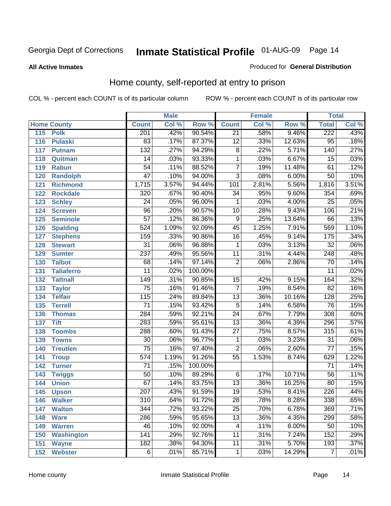### **All Active Inmates**

### Produced for **General Distribution**

# Home county, self-reported at entry to prison

|     |                    |                  | <b>Male</b> |         |                 | <b>Female</b> |        | <b>Total</b>     |       |
|-----|--------------------|------------------|-------------|---------|-----------------|---------------|--------|------------------|-------|
|     | <b>Home County</b> | <b>Count</b>     | Col %       | Row %   | <b>Count</b>    | Col %         | Row %  | <b>Total</b>     | Col % |
| 115 | <b>Polk</b>        | 201              | .42%        | 90.54%  | $\overline{21}$ | .58%          | 9.46%  | 222              | .43%  |
| 116 | <b>Pulaski</b>     | $\overline{83}$  | .17%        | 87.37%  | $\overline{12}$ | .33%          | 12.63% | $\overline{95}$  | .18%  |
| 117 | <b>Putnam</b>      | $\overline{132}$ | .27%        | 94.29%  | 8               | .22%          | 5.71%  | 140              | .27%  |
| 118 | Quitman            | $\overline{14}$  | .03%        | 93.33%  | 1               | .03%          | 6.67%  | $\overline{15}$  | .03%  |
| 119 | <b>Rabun</b>       | $\overline{54}$  | .11%        | 88.52%  | $\overline{7}$  | .19%          | 11.48% | 61               | .12%  |
| 120 | <b>Randolph</b>    | $\overline{47}$  | .10%        | 94.00%  | $\overline{3}$  | .08%          | 6.00%  | $\overline{50}$  | .10%  |
| 121 | <b>Richmond</b>    | 1,715            | 3.57%       | 94.44%  | 101             | 2.81%         | 5.56%  | 1,816            | 3.51% |
| 122 | <b>Rockdale</b>    | 320              | .67%        | 90.40%  | $\overline{34}$ | .95%          | 9.60%  | 354              | .69%  |
| 123 | <b>Schley</b>      | $\overline{24}$  | .05%        | 96.00%  | 1               | .03%          | 4.00%  | $\overline{25}$  | .05%  |
| 124 | <b>Screven</b>     | $\overline{96}$  | .20%        | 90.57%  | $\overline{10}$ | .28%          | 9.43%  | 106              | .21%  |
| 125 | <b>Seminole</b>    | $\overline{57}$  | .12%        | 86.36%  | 9               | .25%          | 13.64% | 66               | .13%  |
| 126 | <b>Spalding</b>    | 524              | 1.09%       | 92.09%  | 45              | 1.25%         | 7.91%  | 569              | 1.10% |
| 127 | <b>Stephens</b>    | 159              | .33%        | 90.86%  | $\overline{16}$ | .45%          | 9.14%  | 175              | .34%  |
| 128 | <b>Stewart</b>     | $\overline{31}$  | .06%        | 96.88%  | 1               | .03%          | 3.13%  | $\overline{32}$  | .06%  |
| 129 | <b>Sumter</b>      | $\overline{237}$ | .49%        | 95.56%  | $\overline{11}$ | .31%          | 4.44%  | $\overline{248}$ | .48%  |
| 130 | <b>Talbot</b>      | 68               | .14%        | 97.14%  | $\overline{2}$  | .06%          | 2.86%  | 70               | .14%  |
| 131 | <b>Taliaferro</b>  | $\overline{11}$  | .02%        | 100.00% |                 |               |        | $\overline{11}$  | .02%  |
| 132 | <b>Tattnall</b>    | $\overline{149}$ | .31%        | 90.85%  | $\overline{15}$ | .42%          | 9.15%  | 164              | .32%  |
| 133 | <b>Taylor</b>      | $\overline{75}$  | .16%        | 91.46%  | $\overline{7}$  | .19%          | 8.54%  | $\overline{82}$  | .16%  |
| 134 | <b>Telfair</b>     | 115              | .24%        | 89.84%  | $\overline{13}$ | .36%          | 10.16% | 128              | .25%  |
| 135 | <b>Terrell</b>     | $\overline{71}$  | .15%        | 93.42%  | $\overline{5}$  | .14%          | 6.58%  | 76               | .15%  |
| 136 | <b>Thomas</b>      | 284              | .59%        | 92.21%  | $\overline{24}$ | .67%          | 7.79%  | 308              | .60%  |
| 137 | <b>Tift</b>        | 283              | .59%        | 95.61%  | $\overline{13}$ | .36%          | 4.39%  | 296              | .57%  |
| 138 | <b>Toombs</b>      | 288              | .60%        | 91.43%  | $\overline{27}$ | .75%          | 8.57%  | 315              | .61%  |
| 139 | <b>Towns</b>       | $\overline{30}$  | .06%        | 96.77%  | 1               | .03%          | 3.23%  | 31               | .06%  |
| 140 | <b>Treutlen</b>    | $\overline{75}$  | .16%        | 97.40%  | $\overline{2}$  | .06%          | 2.60%  | $\overline{77}$  | .15%  |
| 141 | <b>Troup</b>       | $\overline{574}$ | 1.19%       | 91.26%  | $\overline{55}$ | 1.53%         | 8.74%  | 629              | 1.22% |
| 142 | <b>Turner</b>      | $\overline{71}$  | .15%        | 100.00% |                 |               |        | $\overline{71}$  | .14%  |
| 143 | <b>Twiggs</b>      | $\overline{50}$  | .10%        | 89.29%  | 6               | .17%          | 10.71% | $\overline{56}$  | .11%  |
| 144 | <b>Union</b>       | 67               | .14%        | 83.75%  | $\overline{13}$ | .36%          | 16.25% | 80               | .15%  |
| 145 | <b>Upson</b>       | $\overline{207}$ | .43%        | 91.59%  | $\overline{19}$ | .53%          | 8.41%  | 226              | .44%  |
| 146 | <b>Walker</b>      | $\overline{310}$ | .64%        | 91.72%  | $\overline{28}$ | .78%          | 8.28%  | 338              | .65%  |
| 147 | <b>Walton</b>      | 344              | .72%        | 93.22%  | $\overline{25}$ | .70%          | 6.78%  | 369              | .71%  |
| 148 | <b>Ware</b>        | 286              | .59%        | 95.65%  | $\overline{13}$ | .36%          | 4.35%  | 299              | .58%  |
| 149 | <b>Warren</b>      | 46               | .10%        | 92.00%  | 4               | .11%          | 8.00%  | 50               | .10%  |
| 150 | <b>Washington</b>  | 141              | .29%        | 92.76%  | 11              | .31%          | 7.24%  | 152              | .29%  |
| 151 | <b>Wayne</b>       | 182              | .38%        | 94.30%  | $\overline{11}$ | .31%          | 5.70%  | 193              | .37%  |
| 152 | <b>Webster</b>     | $\overline{6}$   | .01%        | 85.71%  | 1               | .03%          | 14.29% | $\overline{7}$   | .01%  |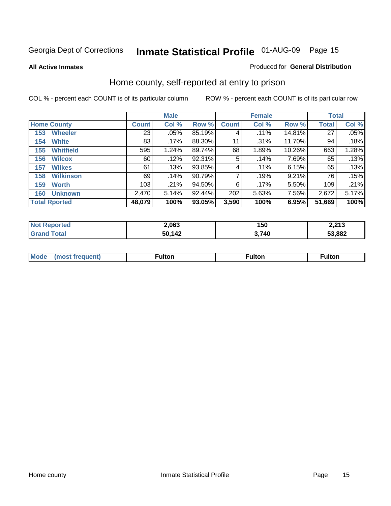### **All Active Inmates**

### Produced for **General Distribution**

# Home county, self-reported at entry to prison

|                      |                  |              | <b>Male</b> |        |              | <b>Female</b> | <b>Total</b> |        |       |
|----------------------|------------------|--------------|-------------|--------|--------------|---------------|--------------|--------|-------|
| <b>Home County</b>   |                  | <b>Count</b> | Col %       | Row %  | <b>Count</b> | Col %         | Row %        | Total  | Col % |
| 153                  | <b>Wheeler</b>   | 23           | .05%        | 85.19% | 4            | .11%          | 14.81%       | 27     | .05%  |
| 154                  | <b>White</b>     | 83           | .17%        | 88.30% | 11           | .31%          | 11.70%       | 94     | .18%  |
| 155                  | <b>Whitfield</b> | 595          | 1.24%       | 89.74% | 68           | 1.89%         | 10.26%       | 663    | 1.28% |
| 156                  | <b>Wilcox</b>    | 60           | .12%        | 92.31% | 5            | .14%          | 7.69%        | 65     | .13%  |
| 157                  | <b>Wilkes</b>    | 61           | .13%        | 93.85% | 4            | .11%          | 6.15%        | 65     | .13%  |
| 158                  | <b>Wilkinson</b> | 69           | .14%        | 90.79% | 7            | .19%          | 9.21%        | 76     | .15%  |
| 159                  | <b>Worth</b>     | 103          | .21%        | 94.50% | 6            | .17%          | $5.50\%$     | 109    | .21%  |
| 160                  | <b>Unknown</b>   | 2,470        | 5.14%       | 92.44% | 202          | 5.63%         | 7.56%        | 2,672  | 5.17% |
| <b>Total Rported</b> |                  | 48,079       | 100%        | 93.05% | 3,590        | 100%          | 6.95%        | 51,669 | 100%  |

| <b>rted</b><br>NO1 | 2,063  | 150   | <b>2212</b><br>د ۱ ∠.∠ |
|--------------------|--------|-------|------------------------|
| <b>c</b> otal      | 50,142 | 3,740 | 53,882                 |

| <b>Mode</b> | ---<br>.tor | <b>ulton</b> | . |
|-------------|-------------|--------------|---|
|             |             |              |   |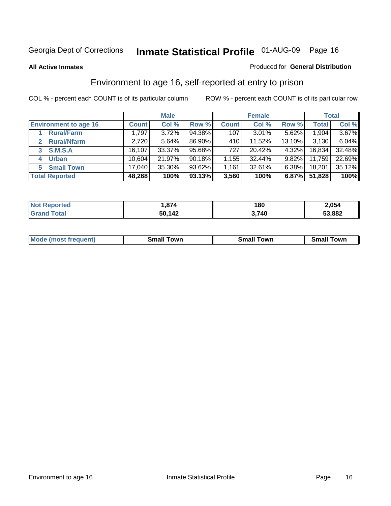### **All Active Inmates**

### Produced for **General Distribution**

# Environment to age 16, self-reported at entry to prison

|                              | <b>Male</b>  |        |        | <b>Female</b> |          |          | <b>Total</b> |        |
|------------------------------|--------------|--------|--------|---------------|----------|----------|--------------|--------|
| <b>Environment to age 16</b> | <b>Count</b> | Col %  | Row %  | <b>Count</b>  | Col %    | Row %    | <b>Total</b> | Col %  |
| <b>Rural/Farm</b>            | 1,797        | 3.72%  | 94.38% | 107           | $3.01\%$ | 5.62%    | 1,904        | 3.67%  |
| <b>Rural/Nfarm</b>           | 2,720        | 5.64%  | 86.90% | 410           | 11.52%   | 13.10%   | 3,130        | 6.04%  |
| <b>S.M.S.A</b><br>3          | 16,107       | 33.37% | 95.68% | 727           | 20.42%   | $4.32\%$ | 16,834       | 32.48% |
| <b>Urban</b><br>4            | 10,604       | 21.97% | 90.18% | 1,155         | 32.44%   | $9.82\%$ | 11,759       | 22.69% |
| <b>Small Town</b><br>5.      | 17,040       | 35.30% | 93.62% | 1,161         | 32.61%   | $6.38\%$ | 18,201       | 35.12% |
| <b>Total Reported</b>        | 48,268       | 100%   | 93.13% | 3,560         | 100%     | 6.87%    | 51,828       | 100%   |

| <b>Not Reported</b> | 1,874  | 180   | 2,054  |
|---------------------|--------|-------|--------|
| <b>Grand Total</b>  | 50,142 | 3,740 | 53,882 |

| Mο<br>went | .owr | owr<br>Smal. | owr |
|------------|------|--------------|-----|
|            |      |              |     |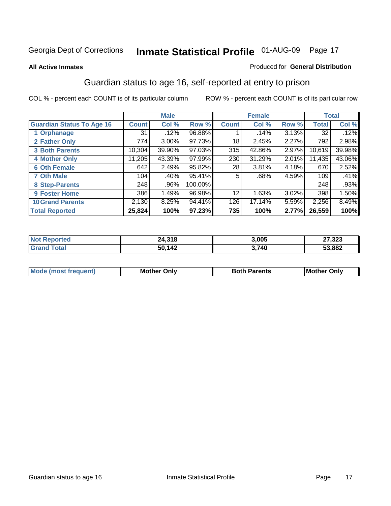### **All Active Inmates**

### Produced for **General Distribution**

# Guardian status to age 16, self-reported at entry to prison

|                                  |                    | <b>Male</b> |         |                 | <b>Female</b> |          |              | <b>Total</b> |
|----------------------------------|--------------------|-------------|---------|-----------------|---------------|----------|--------------|--------------|
| <b>Guardian Status To Age 16</b> | Count <sup>1</sup> | Col %       | Row %   | <b>Count</b>    | Col %         | Row %    | <b>Total</b> | Col %        |
| 1 Orphanage                      | 31                 | .12%        | 96.88%  |                 | .14%          | 3.13%    | 32           | .12%         |
| 2 Father Only                    | 774                | $3.00\%$    | 97.73%  | 18              | 2.45%         | 2.27%    | 792          | 2.98%        |
| <b>3 Both Parents</b>            | 10,304             | 39.90%      | 97.03%  | 315             | 42.86%        | 2.97%    | 10,619       | 39.98%       |
| <b>4 Mother Only</b>             | 11,205             | 43.39%      | 97.99%  | 230             | 31.29%        | 2.01%    | 11,435       | 43.06%       |
| <b>6 Oth Female</b>              | 642                | 2.49%       | 95.82%  | 28              | 3.81%         | 4.18%    | 670          | 2.52%        |
| <b>7 Oth Male</b>                | 104                | .40%        | 95.41%  | 5               | .68%          | 4.59%    | 109          | .41%         |
| 8 Step-Parents                   | 248                | .96%        | 100.00% |                 |               |          | 248          | .93%         |
| 9 Foster Home                    | 386                | 1.49%       | 96.98%  | 12 <sup>°</sup> | 1.63%         | $3.02\%$ | 398          | 1.50%        |
| <b>10 Grand Parents</b>          | 2,130              | 8.25%       | 94.41%  | 126             | 17.14%        | 5.59%    | 2,256        | 8.49%        |
| <b>Total Reported</b>            | 25,824             | 100%        | 97.23%  | 735             | 100%          | 2.77%    | 26,559       | 100%         |

| <b>orted</b><br>NO | - 240<br>24,318 | 3,005 | 27,323 |
|--------------------|-----------------|-------|--------|
| . Gr               | 50 142          | 3,740 | 53,882 |

| Mode | Onlv<br>Mot | <b>Roth</b><br>Parents | <b>IMot</b><br>Onlv<br>∵hei |
|------|-------------|------------------------|-----------------------------|
|      |             |                        |                             |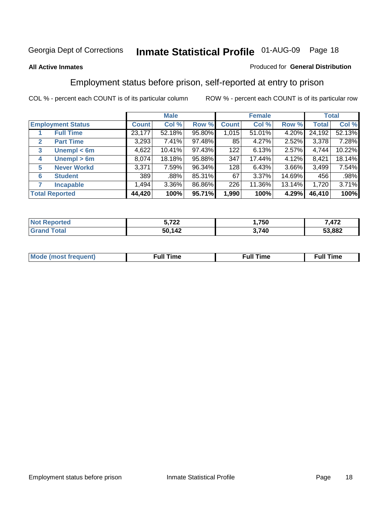### **All Active Inmates**

### Produced for **General Distribution**

# Employment status before prison, self-reported at entry to prison

|                                  |                    | <b>Male</b>  |        |        | <b>Female</b> |          |        | <b>Total</b> |        |
|----------------------------------|--------------------|--------------|--------|--------|---------------|----------|--------|--------------|--------|
| <b>Employment Status</b>         |                    | <b>Count</b> | Col %  | Row %  | <b>Count</b>  | Col %    | Row %  | Total        | Col %  |
| <b>Full Time</b>                 |                    | 23,177       | 52.18% | 95.80% | 1,015         | 51.01%   | 4.20%  | 24,192       | 52.13% |
| <b>Part Time</b><br>$\mathbf{2}$ |                    | 3,293        | 7.41%  | 97.48% | 85            | 4.27%    | 2.52%  | 3,378        | 7.28%  |
| $\mathbf{3}$                     | Unempl $<$ 6m      | 4,622        | 10.41% | 97.43% | 122           | 6.13%    | 2.57%  | 4,744        | 10.22% |
| 4                                | Unempl > 6m        | 8,074        | 18.18% | 95.88% | 347           | 17.44%   | 4.12%  | 8,421        | 18.14% |
| 5                                | <b>Never Workd</b> | 3,371        | 7.59%  | 96.34% | 128           | 6.43%    | 3.66%  | 3,499        | 7.54%  |
| <b>Student</b><br>6              |                    | 389          | .88%   | 85.31% | 67            | $3.37\%$ | 14.69% | 456          | .98%   |
| 7<br><b>Incapable</b>            |                    | 1,494        | 3.36%  | 86.86% | 226           | 11.36%   | 13.14% | 1,720        | 3.71%  |
| <b>Total Reported</b>            |                    | 44,420       | 100%   | 95.71% | 1,990         | 100%     | 4.29%  | 46,410       | 100%   |

| . ממ<br>$-$      | ,750  | 170<br>. |
|------------------|-------|----------|
| 112<br>гΛ.<br>эı | 3,740 | 53,882   |

| Mode (most f<br>freauent) | ∴ull∶<br>`ime<br>the contract of the contract of the contract of the contract of the contract of the contract of the contract of | ίuΙ<br>⊺ime |
|---------------------------|----------------------------------------------------------------------------------------------------------------------------------|-------------|
|                           |                                                                                                                                  |             |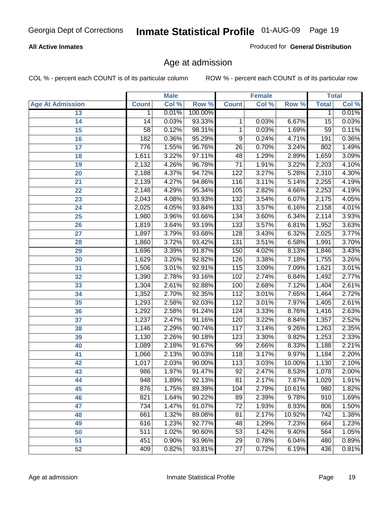### **All Active Inmates**

Produced for **General Distribution**

# Age at admission

|                         |              | <b>Male</b> |         |                  | <b>Female</b> |          |                 | <b>Total</b> |
|-------------------------|--------------|-------------|---------|------------------|---------------|----------|-----------------|--------------|
| <b>Age At Admission</b> | <b>Count</b> | Col %       | Row %   | <b>Count</b>     | Col %         | Row %    | <b>Total</b>    | Col %        |
| 13                      | 1            | 0.01%       | 100.00% |                  |               |          | 1               | 0.01%        |
| 14                      | 14           | 0.03%       | 93.33%  | 1                | 0.03%         | 6.67%    | 15              | 0.03%        |
| $\overline{15}$         | 58           | 0.12%       | 98.31%  | 1                | 0.03%         | 1.69%    | $\overline{59}$ | 0.11%        |
| 16                      | 182          | 0.36%       | 95.29%  | 9                | 0.24%         | 4.71%    | 191             | 0.36%        |
| $\overline{17}$         | 776          | 1.55%       | 96.76%  | $\overline{26}$  | 0.70%         | 3.24%    | 802             | 1.49%        |
| 18                      | 1,611        | 3.22%       | 97.11%  | 48               | 1.29%         | 2.89%    | 1,659           | 3.09%        |
| 19                      | 2,132        | 4.26%       | 96.78%  | $\overline{71}$  | 1.91%         | 3.22%    | 2,203           | 4.10%        |
| 20                      | 2,188        | 4.37%       | 94.72%  | 122              | 3.27%         | 5.28%    | 2,310           | 4.30%        |
| 21                      | 2,139        | 4.27%       | 94.86%  | 116              | 3.11%         | 5.14%    | 2,255           | 4.19%        |
| 22                      | 2,148        | 4.29%       | 95.34%  | 105              | 2.82%         | 4.66%    | 2,253           | 4.19%        |
| 23                      | 2,043        | 4.08%       | 93.93%  | 132              | 3.54%         | 6.07%    | 2,175           | 4.05%        |
| 24                      | 2,025        | 4.05%       | 93.84%  | $\overline{133}$ | 3.57%         | 6.16%    | 2,158           | 4.01%        |
| $\overline{25}$         | 1,980        | 3.96%       | 93.66%  | 134              | 3.60%         | 6.34%    | 2,114           | 3.93%        |
| 26                      | 1,819        | 3.64%       | 93.19%  | $\overline{133}$ | 3.57%         | 6.81%    | 1,952           | 3.63%        |
| 27                      | 1,897        | 3.79%       | 93.68%  | 128              | 3.43%         | 6.32%    | 2,025           | 3.77%        |
| 28                      | 1,860        | 3.72%       | 93.42%  | 131              | 3.51%         | 6.58%    | 1,991           | 3.70%        |
| 29                      | 1,696        | 3.39%       | 91.87%  | 150              | 4.02%         | 8.13%    | 1,846           | 3.43%        |
| 30                      | 1,629        | 3.26%       | 92.82%  | 126              | 3.38%         | 7.18%    | 1,755           | 3.26%        |
| 31                      | 1,506        | 3.01%       | 92.91%  | 115              | 3.09%         | 7.09%    | 1,621           | 3.01%        |
| 32                      | 1,390        | 2.78%       | 93.16%  | 102              | 2.74%         | 6.84%    | 1,492           | 2.77%        |
| 33                      | 1,304        | 2.61%       | 92.88%  | 100              | 2.68%         | 7.12%    | 1,404           | 2.61%        |
| 34                      | 1,352        | 2.70%       | 92.35%  | 112              | 3.01%         | 7.65%    | 1,464           | 2.72%        |
| 35                      | 1,293        | 2.58%       | 92.03%  | 112              | 3.01%         | 7.97%    | 1,405           | 2.61%        |
| 36                      | 1,292        | 2.58%       | 91.24%  | 124              | 3.33%         | 8.76%    | 1,416           | 2.63%        |
| 37                      | 1,237        | 2.47%       | 91.16%  | 120              | 3.22%         | 8.84%    | 1,357           | 2.52%        |
| 38                      | 1,146        | 2.29%       | 90.74%  | 117              | 3.14%         | 9.26%    | 1,263           | 2.35%        |
| 39                      | 1,130        | 2.26%       | 90.18%  | 123              | 3.30%         | 9.82%    | 1,253           | 2.33%        |
| 40                      | 1,089        | 2.18%       | 91.67%  | 99               | 2.66%         | 8.33%    | 1,188           | 2.21%        |
| 41                      | 1,066        | 2.13%       | 90.03%  | 118              | 3.17%         | 9.97%    | 1,184           | 2.20%        |
| 42                      | 1,017        | 2.03%       | 90.00%  | 113              | 3.03%         | 10.00%   | 1,130           | 2.10%        |
| 43                      | 986          | 1.97%       | 91.47%  | $\overline{92}$  | 2.47%         | 8.53%    | 1,078           | 2.00%        |
| 44                      | 948          | 1.89%       | 92.13%  | 81               | 2.17%         | $7.87\%$ | 1,029           | 1.91%        |
| 45                      | 876          | 1.75%       | 89.39%  | 104              | 2.79%         | 10.61%   | 980             | 1.82%        |
| 46                      | 821          | 1.64%       | 90.22%  | 89               | 2.39%         | 9.78%    | 910             | 1.69%        |
| 47                      | 734          | 1.47%       | 91.07%  | $\overline{72}$  | 1.93%         | 8.93%    | 806             | 1.50%        |
| 48                      | 661          | 1.32%       | 89.08%  | 81               | 2.17%         | 10.92%   | 742             | 1.38%        |
| 49                      | 616          | 1.23%       | 92.77%  | 48               | 1.29%         | 7.23%    | 664             | 1.23%        |
| 50                      | 511          | 1.02%       | 90.60%  | 53               | 1.42%         | 9.40%    | 564             | 1.05%        |
| 51                      | 451          | 0.90%       | 93.96%  | $\overline{29}$  | 0.78%         | 6.04%    | 480             | 0.89%        |
| 52                      | 409          | 0.82%       | 93.81%  | 27               | 0.72%         | 6.19%    | 436             | 0.81%        |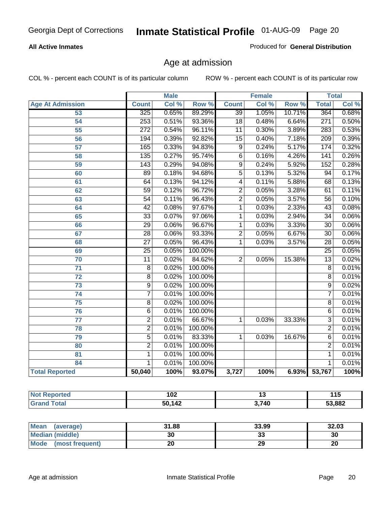### **All Active Inmates**

Produced for **General Distribution**

# Age at admission

|                         | <b>Male</b>      |       | <b>Female</b> |                 |       | <b>Total</b> |                  |       |
|-------------------------|------------------|-------|---------------|-----------------|-------|--------------|------------------|-------|
| <b>Age At Admission</b> | <b>Count</b>     | Col % | Row %         | <b>Count</b>    | Col % | Row %        | <b>Total</b>     | Col % |
| 53                      | 325              | 0.65% | 89.29%        | $\overline{39}$ | 1.05% | 10.71%       | 364              | 0.68% |
| $\overline{54}$         | 253              | 0.51% | 93.36%        | $\overline{18}$ | 0.48% | 6.64%        | $\overline{271}$ | 0.50% |
| $\overline{55}$         | $\overline{272}$ | 0.54% | 96.11%        | $\overline{11}$ | 0.30% | 3.89%        | 283              | 0.53% |
| 56                      | 194              | 0.39% | 92.82%        | $\overline{15}$ | 0.40% | 7.18%        | $\overline{209}$ | 0.39% |
| $\overline{57}$         | 165              | 0.33% | 94.83%        | $\overline{9}$  | 0.24% | 5.17%        | 174              | 0.32% |
| 58                      | 135              | 0.27% | 95.74%        | $\overline{6}$  | 0.16% | 4.26%        | 141              | 0.26% |
| 59                      | $\overline{143}$ | 0.29% | 94.08%        | $\overline{9}$  | 0.24% | 5.92%        | 152              | 0.28% |
| 60                      | $\overline{89}$  | 0.18% | 94.68%        | $\overline{5}$  | 0.13% | 5.32%        | $\overline{94}$  | 0.17% |
| 61                      | 64               | 0.13% | 94.12%        | 4               | 0.11% | 5.88%        | 68               | 0.13% |
| 62                      | $\overline{59}$  | 0.12% | 96.72%        | $\overline{2}$  | 0.05% | 3.28%        | $\overline{61}$  | 0.11% |
| 63                      | $\overline{54}$  | 0.11% | 96.43%        | $\overline{2}$  | 0.05% | 3.57%        | $\overline{56}$  | 0.10% |
| 64                      | $\overline{42}$  | 0.08% | 97.67%        | $\overline{1}$  | 0.03% | 2.33%        | $\overline{43}$  | 0.08% |
| 65                      | $\overline{33}$  | 0.07% | 97.06%        | 1               | 0.03% | 2.94%        | $\overline{34}$  | 0.06% |
| 66                      | $\overline{29}$  | 0.06% | 96.67%        | 1               | 0.03% | 3.33%        | $\overline{30}$  | 0.06% |
| 67                      | $\overline{28}$  | 0.06% | 93.33%        | $\overline{2}$  | 0.05% | 6.67%        | $\overline{30}$  | 0.06% |
| 68                      | $\overline{27}$  | 0.05% | 96.43%        | 1               | 0.03% | 3.57%        | $\overline{28}$  | 0.05% |
| 69                      | $\overline{25}$  | 0.05% | 100.00%       |                 |       |              | $\overline{25}$  | 0.05% |
| 70                      | $\overline{11}$  | 0.02% | 84.62%        | $\overline{2}$  | 0.05% | 15.38%       | $\overline{13}$  | 0.02% |
| $\overline{71}$         | $\overline{8}$   | 0.02% | 100.00%       |                 |       |              | $\overline{8}$   | 0.01% |
| $\overline{72}$         | $\overline{8}$   | 0.02% | 100.00%       |                 |       |              | $\overline{8}$   | 0.01% |
| $\overline{73}$         | $\overline{9}$   | 0.02% | 100.00%       |                 |       |              | $\overline{9}$   | 0.02% |
| 74                      | $\overline{7}$   | 0.01% | 100.00%       |                 |       |              | 7                | 0.01% |
| $\overline{75}$         | $\overline{8}$   | 0.02% | 100.00%       |                 |       |              | $\overline{8}$   | 0.01% |
| 76                      | $\overline{6}$   | 0.01% | 100.00%       |                 |       |              | $\overline{6}$   | 0.01% |
| 77                      | $\overline{2}$   | 0.01% | 66.67%        | 1               | 0.03% | 33.33%       | $\overline{3}$   | 0.01% |
| 78                      | $\overline{2}$   | 0.01% | 100.00%       |                 |       |              | $\overline{2}$   | 0.01% |
| 79                      | $\overline{5}$   | 0.01% | 83.33%        | 1               | 0.03% | 16.67%       | $\overline{6}$   | 0.01% |
| 80                      | $\overline{2}$   | 0.01% | 100.00%       |                 |       |              | $\overline{2}$   | 0.01% |
| $\overline{81}$         | $\mathbf{1}$     | 0.01% | 100.00%       |                 |       |              | 1                | 0.01% |
| 84                      | 1                | 0.01% | 100.00%       |                 |       |              | 1                | 0.01% |
| <b>Total Reported</b>   | 50,040           | 100%  | 93.07%        | 3,727           | 100%  |              | 6.93% 53,767     | 100%  |

| <b>Not</b>   | י ה    | יי    | 11F    |
|--------------|--------|-------|--------|
| Reported     | I VZ   |       | ΙJ     |
| ⊺otal<br>Gr: | 50,142 | 3,740 | 53,882 |

| <b>Mean</b><br>(average)       | 31.88 | 33.99   | 32.03 |
|--------------------------------|-------|---------|-------|
| <b>Median (middle)</b>         | 30    | ົ<br>vu | 30    |
| <b>Mode</b><br>(most frequent) |       | 29      | 20    |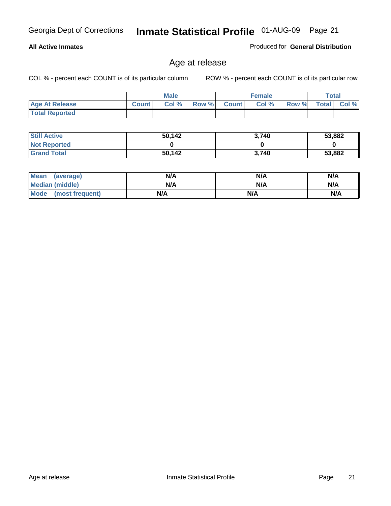### **All Active Inmates**

Produced for **General Distribution**

# Age at release

|                       |              | <b>Male</b> |       |              | <b>Female</b> |       |              | <b>Total</b> |
|-----------------------|--------------|-------------|-------|--------------|---------------|-------|--------------|--------------|
| <b>Age At Release</b> | <b>Count</b> | Col%        | Row % | <b>Count</b> | Col %         | Row % | <b>Total</b> | $CoI \%$     |
| <b>Total Reported</b> |              |             |       |              |               |       |              |              |

| <b>Still Active</b> | 50,142 | 3,740 | 53,882 |
|---------------------|--------|-------|--------|
| <b>Not Reported</b> |        |       |        |
| <b>Grand Total</b>  | 50,142 | 3.740 | 53,882 |

| Mean (average)       | N/A | N/A | N/A |
|----------------------|-----|-----|-----|
| Median (middle)      | N/A | N/A | N/A |
| Mode (most frequent) | N/A | N/A | N/A |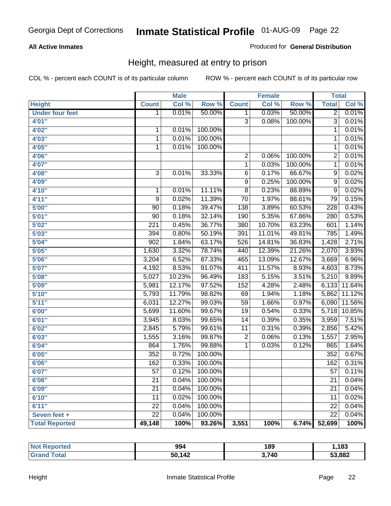### **All Active Inmates**

Produced for **General Distribution**

# Height, measured at entry to prison

|                        |                 | <b>Male</b>         |         |                 | <b>Female</b> |         | <b>Total</b>    |        |
|------------------------|-----------------|---------------------|---------|-----------------|---------------|---------|-----------------|--------|
| <b>Height</b>          | <b>Count</b>    | Col %               | Row %   | <b>Count</b>    | Col %         | Row %   | <b>Total</b>    | Col %  |
| <b>Under four feet</b> | $\overline{1}$  | 0.01%               | 50.00%  | $\mathbf{1}$    | 0.03%         | 50.00%  | $\overline{2}$  | 0.01%  |
| 4'01''                 |                 |                     |         | $\overline{3}$  | 0.08%         | 100.00% | $\overline{3}$  | 0.01%  |
| 4'02"                  | 1               | 0.01%               | 100.00% |                 |               |         | 1               | 0.01%  |
| 4'03"                  | $\mathbf{1}$    | 0.01%               | 100.00% |                 |               |         | 1               | 0.01%  |
| 4'05''                 | $\mathbf{1}$    | 0.01%               | 100.00% |                 |               |         | 1               | 0.01%  |
| 4'06"                  |                 |                     |         | $\overline{2}$  | 0.06%         | 100.00% | 2               | 0.01%  |
| 4'07"                  |                 |                     |         | 1               | 0.03%         | 100.00% | 1               | 0.01%  |
| 4'08"                  | $\overline{3}$  | 0.01%               | 33.33%  | 6               | 0.17%         | 66.67%  | 9               | 0.02%  |
| 4'09"                  |                 |                     |         | $\overline{9}$  | 0.25%         | 100.00% | 9               | 0.02%  |
| 4'10"                  | $\mathbf{1}$    | 0.01%               | 11.11%  | $\overline{8}$  | 0.23%         | 88.89%  | $\overline{9}$  | 0.02%  |
| 4'11''                 | 9               | 0.02%               | 11.39%  | $\overline{70}$ | 1.97%         | 88.61%  | 79              | 0.15%  |
| 5'00''                 | 90              | 0.18%               | 39.47%  | 138             | 3.89%         | 60.53%  | 228             | 0.43%  |
| 5'01''                 | 90              | 0.18%               | 32.14%  | 190             | 5.35%         | 67.86%  | 280             | 0.53%  |
| 5'02"                  | 221             | 0.45%               | 36.77%  | 380             | 10.70%        | 63.23%  | 601             | 1.14%  |
| 5'03''                 | 394             | 0.80%               | 50.19%  | 391             | 11.01%        | 49.81%  | 785             | 1.49%  |
| 5'04"                  | 902             | 1.84%               | 63.17%  | 526             | 14.81%        | 36.83%  | 1,428           | 2.71%  |
| 5'05''                 | 1,630           | 3.32%               | 78.74%  | 440             | 12.39%        | 21.26%  | 2,070           | 3.93%  |
| 5'06''                 | 3,204           | 6.52%               | 87.33%  | 465             | 13.09%        | 12.67%  | 3,669           | 6.96%  |
| 5'07''                 | 4,192           | 8.53%               | 91.07%  | 411             | 11.57%        | 8.93%   | 4,603           | 8.73%  |
| 5'08''                 | 5,027           | 10.23%              | 96.49%  | 183             | 5.15%         | 3.51%   | 5,210           | 9.89%  |
| 5'09''                 | 5,981           | 12.17%              | 97.52%  | 152             | 4.28%         | 2.48%   | 6,133           | 11.64% |
| 5'10''                 | 5,793           | 11.79%              | 98.82%  | 69              | 1.94%         | 1.18%   | 5,862           | 11.12% |
| 5'11''                 | 6,031           | 12.27%              | 99.03%  | $\overline{59}$ | 1.66%         | 0.97%   | 6,090           | 11.56% |
| 6'00''                 | 5,699           | 11.60%              | 99.67%  | $\overline{19}$ | 0.54%         | 0.33%   | 5,718           | 10.85% |
| 6'01''                 | 3,945           | 8.03%               | 99.65%  | 14              | 0.39%         | 0.35%   | 3,959           | 7.51%  |
| 6'02''                 | 2,845           | 5.79%               | 99.61%  | 11              | 0.31%         | 0.39%   | 2,856           | 5.42%  |
| 6'03''                 | 1,555           | 3.16%               | 99.87%  | $\overline{2}$  | 0.06%         | 0.13%   | 1,557           | 2.95%  |
| 6'04''                 | 864             | 1.76%               | 99.88%  | $\mathbf{1}$    | 0.03%         | 0.12%   | 865             | 1.64%  |
| 6'05''                 | 352             | $\overline{0.72\%}$ | 100.00% |                 |               |         | 352             | 0.67%  |
| 6'06''                 | 162             | 0.33%               | 100.00% |                 |               |         | 162             | 0.31%  |
| 6'07''                 | $\overline{57}$ | 0.12%               | 100.00% |                 |               |         | $\overline{57}$ | 0.11%  |
| 6'08''                 | $\overline{21}$ | 0.04%               | 100.00% |                 |               |         | $\overline{21}$ | 0.04%  |
| 6'09''                 | $\overline{21}$ | 0.04%               | 100.00% |                 |               |         | $\overline{21}$ | 0.04%  |
| 6'10''                 | 11              | 0.02%               | 100.00% |                 |               |         | 11              | 0.02%  |
| 6'11''                 | 22              | 0.04%               | 100.00% |                 |               |         | 22              | 0.04%  |
| Seven feet +           | $\overline{22}$ | 0.04%               | 100.00% |                 |               |         | $\overline{22}$ | 0.04%  |
| <b>Total Reported</b>  | 49,148          | 100%                | 93.26%  | 3,551           | 100%          | 6.74%   | 52,699          | 100%   |

| <b>Not</b><br><b>Reported</b> | 994    | 189   | ,183   |
|-------------------------------|--------|-------|--------|
| Total                         | 50,142 | 3,740 | 53,882 |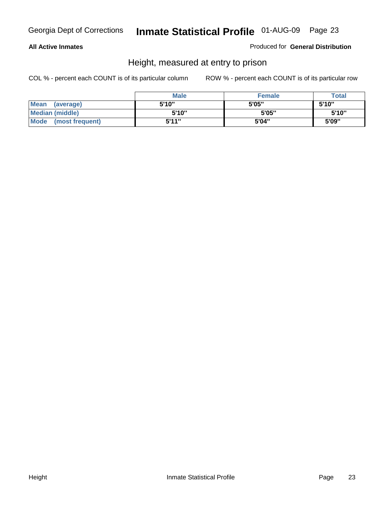### **All Active Inmates**

### Produced for **General Distribution**

# Height, measured at entry to prison

|                      | <b>Male</b> | <b>Female</b> | <b>Total</b> |
|----------------------|-------------|---------------|--------------|
| Mean (average)       | 5'10"       | 5'05"         | 5'10''       |
| Median (middle)      | 5'10"       | 5'05"         | 5'10"        |
| Mode (most frequent) | 5'11"       | 5'04"         | 5'09"        |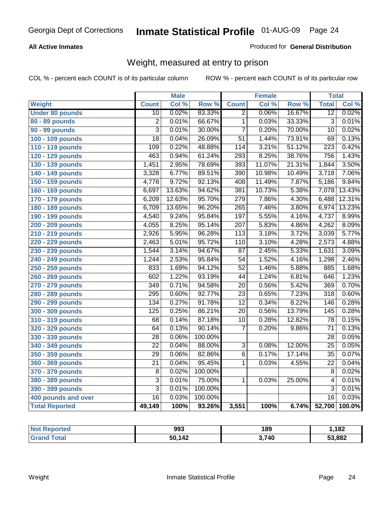### **All Active Inmates**

### Produced for **General Distribution**

# Weight, measured at entry to prison

|                        |                  | <b>Male</b> |         |                  | <b>Female</b> |        | <b>Total</b>     |        |
|------------------------|------------------|-------------|---------|------------------|---------------|--------|------------------|--------|
| <b>Weight</b>          | <b>Count</b>     | Col %       | Row %   | <b>Count</b>     | Col %         | Row %  | <b>Total</b>     | Col %  |
| <b>Under 80 pounds</b> | $\overline{10}$  | 0.02%       | 83.33%  | $\overline{2}$   | 0.06%         | 16.67% | $\overline{12}$  | 0.02%  |
| 80 - 89 pounds         | $\overline{2}$   | 0.01%       | 66.67%  | $\overline{1}$   | 0.03%         | 33.33% | $\overline{3}$   | 0.01%  |
| 90 - 99 pounds         | $\overline{3}$   | 0.01%       | 30.00%  | $\overline{7}$   | 0.20%         | 70.00% | $\overline{10}$  | 0.02%  |
| 100 - 109 pounds       | $\overline{18}$  | 0.04%       | 26.09%  | $\overline{51}$  | 1.44%         | 73.91% | $\overline{69}$  | 0.13%  |
| 110 - 119 pounds       | 109              | 0.22%       | 48.88%  | 114              | 3.21%         | 51.12% | 223              | 0.42%  |
| 120 - 129 pounds       | 463              | 0.94%       | 61.24%  | 293              | 8.25%         | 38.76% | 756              | 1.43%  |
| 130 - 139 pounds       | 1,451            | 2.95%       | 78.69%  | 393              | 11.07%        | 21.31% | 1,844            | 3.50%  |
| 140 - 149 pounds       | 3,328            | 6.77%       | 89.51%  | $\overline{390}$ | 10.98%        | 10.49% | 3,718            | 7.06%  |
| 150 - 159 pounds       | 4,778            | 9.72%       | 92.13%  | 408              | 11.49%        | 7.87%  | 5,186            | 9.84%  |
| 160 - 169 pounds       | 6,697            | 13.63%      | 94.62%  | 381              | 10.73%        | 5.38%  | 7,078            | 13.43% |
| 170 - 179 pounds       | 6,209            | 12.63%      | 95.70%  | 279              | 7.86%         | 4.30%  | 6,488            | 12.31% |
| 180 - 189 pounds       | 6,709            | 13.65%      | 96.20%  | $\overline{265}$ | 7.46%         | 3.80%  | 6,974            | 13.23% |
| 190 - 199 pounds       | 4,540            | 9.24%       | 95.84%  | 197              | 5.55%         | 4.16%  | 4,737            | 8.99%  |
| 200 - 209 pounds       | 4,055            | 8.25%       | 95.14%  | $\overline{207}$ | 5.83%         | 4.86%  | 4,262            | 8.09%  |
| 210 - 219 pounds       | 2,926            | 5.95%       | 96.28%  | $\overline{113}$ | 3.18%         | 3.72%  | 3,039            | 5.77%  |
| 220 - 229 pounds       | 2,463            | 5.01%       | 95.72%  | 110              | 3.10%         | 4.28%  | 2,573            | 4.88%  |
| 230 - 239 pounds       | 1,544            | 3.14%       | 94.67%  | $\overline{87}$  | 2.45%         | 5.33%  | 1,631            | 3.09%  |
| 240 - 249 pounds       | 1,244            | 2.53%       | 95.84%  | $\overline{54}$  | 1.52%         | 4.16%  | 1,298            | 2.46%  |
| 250 - 259 pounds       | 833              | 1.69%       | 94.12%  | $\overline{52}$  | 1.46%         | 5.88%  | 885              | 1.68%  |
| 260 - 269 pounds       | 602              | 1.22%       | 93.19%  | 44               | 1.24%         | 6.81%  | 646              | 1.23%  |
| 270 - 279 pounds       | 349              | 0.71%       | 94.58%  | $\overline{20}$  | 0.56%         | 5.42%  | 369              | 0.70%  |
| 280 - 289 pounds       | 295              | 0.60%       | 92.77%  | $\overline{23}$  | 0.65%         | 7.23%  | $\overline{318}$ | 0.60%  |
| 290 - 299 pounds       | 134              | 0.27%       | 91.78%  | $\overline{12}$  | 0.34%         | 8.22%  | $\overline{146}$ | 0.28%  |
| 300 - 309 pounds       | $\overline{125}$ | 0.25%       | 86.21%  | $\overline{20}$  | 0.56%         | 13.79% | $\overline{145}$ | 0.28%  |
| 310 - 319 pounds       | 68               | 0.14%       | 87.18%  | 10               | 0.28%         | 12.82% | 78               | 0.15%  |
| 320 - 329 pounds       | 64               | 0.13%       | 90.14%  | $\overline{7}$   | 0.20%         | 9.86%  | $\overline{71}$  | 0.13%  |
| 330 - 339 pounds       | $\overline{28}$  | 0.06%       | 100.00% |                  |               |        | $\overline{28}$  | 0.05%  |
| 340 - 349 pounds       | $\overline{22}$  | 0.04%       | 88.00%  | 3                | 0.08%         | 12.00% | $\overline{25}$  | 0.05%  |
| 350 - 359 pounds       | $\overline{29}$  | 0.06%       | 82.86%  | $\overline{6}$   | 0.17%         | 17.14% | $\overline{35}$  | 0.07%  |
| 360 - 369 pounds       | $\overline{21}$  | 0.04%       | 95.45%  | $\mathbf{1}$     | 0.03%         | 4.55%  | $\overline{22}$  | 0.04%  |
| 370 - 379 pounds       | 8                | 0.02%       | 100.00% |                  |               |        | 8                | 0.02%  |
| 380 - 389 pounds       | $\overline{3}$   | 0.01%       | 75.00%  | 1                | 0.03%         | 25.00% | $\overline{4}$   | 0.01%  |
| 390 - 399 pounds       | $\overline{3}$   | 0.01%       | 100.00% |                  |               |        | $\overline{3}$   | 0.01%  |
| 400 pounds and over    | $\overline{16}$  | 0.03%       | 100.00% |                  |               |        | $\overline{16}$  | 0.03%  |
| <b>Total Reported</b>  | 49,149           | 100%        | 93.26%  | 3,551            | 100%          | 6.74%  | 52,700           | 100.0% |

| Reported<br>' N∩t | 993    | 189   | 182    |
|-------------------|--------|-------|--------|
| 'otal<br>' Gra    | 50,142 | 3,740 | 53,882 |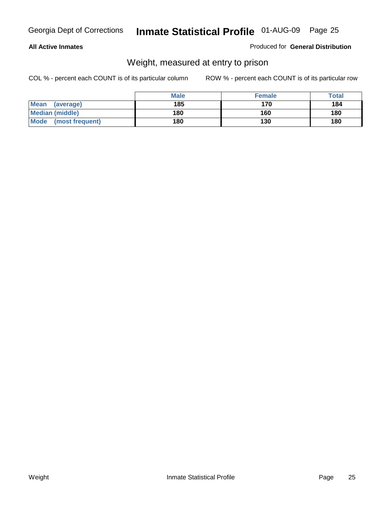### **All Active Inmates**

### Produced for **General Distribution**

# Weight, measured at entry to prison

|                          | <b>Male</b> | <b>Female</b> | Total |
|--------------------------|-------------|---------------|-------|
| <b>Mean</b><br>(average) | 185         | 170           | 184   |
| <b>Median (middle)</b>   | 180         | 160           | 180   |
| Mode<br>(most frequent)  | 180         | 130           | 180   |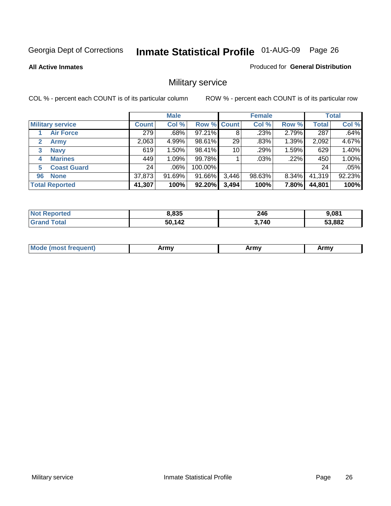**All Active Inmates**

### Produced for **General Distribution**

# Military service

|                             |              | <b>Male</b> |                    |       | <b>Female</b> |       |              | <b>Total</b> |
|-----------------------------|--------------|-------------|--------------------|-------|---------------|-------|--------------|--------------|
| <b>Military service</b>     | <b>Count</b> | Col %       | <b>Row % Count</b> |       | Col %         | Row % | <b>Total</b> | Col %        |
| <b>Air Force</b>            | 279          | .68%        | 97.21%             | 8     | .23%          | 2.79% | 287          | .64%         |
| $\mathbf{2}$<br><b>Army</b> | 2,063        | 4.99%       | 98.61%             | 29    | .83%          | 1.39% | 2,092        | 4.67%        |
| <b>Navy</b><br>3            | 619          | 1.50%       | 98.41%             | 10    | .29%          | 1.59% | 629          | 1.40%        |
| <b>Marines</b><br>4         | 449          | 1.09%       | 99.78%             |       | $.03\%$       | .22%  | 450          | 1.00%        |
| <b>Coast Guard</b><br>5     | 24           | $.06\%$     | 100.00%            |       |               |       | 24           | .05%         |
| <b>None</b><br>96           | 37,873       | 91.69%      | 91.66%             | 3,446 | 98.63%        | 8.34% | 41,319       | 92.23%       |
| <b>Total Reported</b>       | 41,307       | 100%        | 92.20%             | 3,494 | 100%          | 7.80% | 44,801       | 100%         |

| orted<br>NO  | 8.835  | 246<br>$\sim$ | 9.081  |
|--------------|--------|---------------|--------|
| <b>Total</b> | 50,142 | 3,740         | 53,882 |

|  | <b>Mou</b> | Army | Army | Army |
|--|------------|------|------|------|
|--|------------|------|------|------|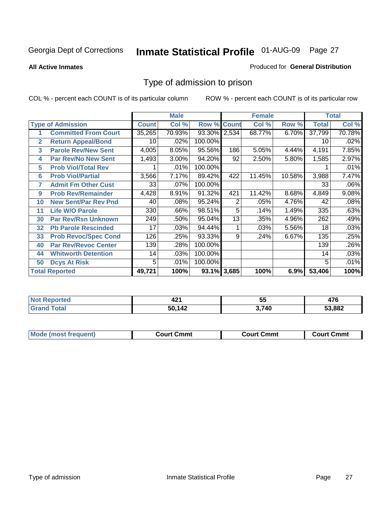### **All Active Inmates**

### Produced for **General Distribution**

# Type of admission to prison

|                |                             |              | <b>Male</b> |                    |     | <b>Female</b> |        |              | <b>Total</b> |
|----------------|-----------------------------|--------------|-------------|--------------------|-----|---------------|--------|--------------|--------------|
|                | <b>Type of Admission</b>    | <b>Count</b> | Col %       | <b>Row % Count</b> |     | Col %         | Row %  | <b>Total</b> | Col %        |
| 1              | <b>Committed From Court</b> | 35,265       | 70.93%      | 93.30% 2,534       |     | 68.77%        | 6.70%  | 37,799       | 70.78%       |
| $\overline{2}$ | <b>Return Appeal/Bond</b>   | 10           | $.02\%$     | 100.00%            |     |               |        | 10           | .02%         |
| 3              | <b>Parole Rev/New Sent</b>  | 4,005        | 8.05%       | 95.56%             | 186 | 5.05%         | 4.44%  | 4,191        | 7.85%        |
| 4              | <b>Par Rev/No New Sent</b>  | 1,493        | 3.00%       | 94.20%             | 92  | 2.50%         | 5.80%  | 1,585        | 2.97%        |
| 5              | <b>Prob Viol/Total Rev</b>  |              | .01%        | 100.00%            |     |               |        |              | .01%         |
| 6              | <b>Prob Viol/Partial</b>    | 3,566        | 7.17%       | 89.42%             | 422 | 11.45%        | 10.58% | 3,988        | 7.47%        |
| 7              | <b>Admit Fm Other Cust</b>  | 33           | $.07\%$     | 100.00%            |     |               |        | 33           | .06%         |
| 9              | <b>Prob Rev/Remainder</b>   | 4,428        | 8.91%       | 91.32%             | 421 | 11.42%        | 8.68%  | 4,849        | 9.08%        |
| 10             | <b>New Sent/Par Rev Pnd</b> | 40           | .08%        | 95.24%             | 2   | .05%          | 4.76%  | 42           | .08%         |
| 11             | <b>Life W/O Parole</b>      | 330          | .66%        | 98.51%             | 5   | .14%          | 1.49%  | 335          | .63%         |
| 30             | <b>Par Rev/Rsn Unknown</b>  | 249          | .50%        | 95.04%             | 13  | .35%          | 4.96%  | 262          | .49%         |
| 32             | <b>Pb Parole Rescinded</b>  | 17           | .03%        | 94.44%             |     | .03%          | 5.56%  | 18           | .03%         |
| 33             | <b>Prob Revoc/Spec Cond</b> | 126          | .25%        | 93.33%             | 9   | .24%          | 6.67%  | 135          | .25%         |
| 40             | <b>Par Rev/Revoc Center</b> | 139          | .28%        | 100.00%            |     |               |        | 139          | .26%         |
| 44             | <b>Whitworth Detention</b>  | 14           | .03%        | 100.00%            |     |               |        | 14           | .03%         |
| 50             | <b>Dcys At Risk</b>         | 5            | .01%        | 100.00%            |     |               |        | 5            | .01%         |
|                | <b>Total Reported</b>       | 49,721       | 100%        | 93.1% 3,685        |     | 100%          | 6.9%   | 53,406       | 100%         |

| <b>NOT</b><br>keporteal | 44                | --<br>ວະ | $\sim$<br>--<br>-7 |
|-------------------------|-------------------|----------|--------------------|
| .                       | 5014 <sup>c</sup> | ,740     | 53.882             |

| Mou.<br>uent)<br>most trea | Court Cmmt | Cmmt<br>COULLET. | Cmm<br>∶ourt |
|----------------------------|------------|------------------|--------------|
|                            |            |                  |              |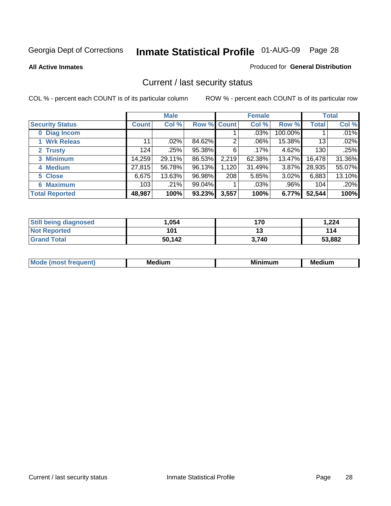**All Active Inmates**

### Produced for **General Distribution**

# Current / last security status

|                        |         | <b>Male</b> |             |       | <b>Female</b> |          |              | <b>Total</b> |
|------------------------|---------|-------------|-------------|-------|---------------|----------|--------------|--------------|
| <b>Security Status</b> | Count l | Col %       | Row % Count |       | Col %         | Row %    | <b>Total</b> | Col %        |
| 0 Diag Incom           |         |             |             |       | .03%          | 100.00%  |              | .01%         |
| 1 Wrk Releas           | 11      | $.02\%$     | 84.62%      | 2     | .06%          | 15.38%   | 13           | .02%         |
| 2 Trusty               | 124     | .25%        | 95.38%      | 6     | .17%          | $4.62\%$ | 130          | .25%         |
| 3 Minimum              | 14,259  | 29.11%      | 86.53%      | 2,219 | 62.38%        | 13.47%   | 16,478       | 31.36%       |
| 4 Medium               | 27,815  | 56.78%      | 96.13%      | 1,120 | 31.49%        | $3.87\%$ | 28,935       | 55.07%       |
| 5 Close                | 6,675   | 13.63%      | 96.98%      | 208   | 5.85%         | $3.02\%$ | 6,883        | 13.10%       |
| <b>6 Maximum</b>       | 103     | $.21\%$     | 99.04%      |       | .03%          | .96%     | 104          | .20%         |
| <b>Total Reported</b>  | 48,987  | 100%        | 93.23%      | 3,557 | 100%          | 6.77%    | 52,544       | 100%         |

| <b>Still being diagnosed</b> | .054   | 170   | 1,224  |
|------------------------------|--------|-------|--------|
| <b>Not Reported</b>          | 101    |       | 114    |
| <b>Grand Total</b>           | 50,142 | 3.740 | 53,882 |

| $M_{\Omega}$<br>יחב | M۵<br>dium | <b>BAL.</b><br>num | Mer<br>dium |
|---------------------|------------|--------------------|-------------|
|                     |            |                    |             |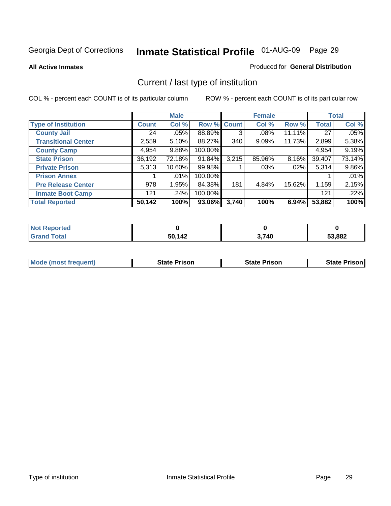**All Active Inmates**

### Produced for **General Distribution**

# Current / last type of institution

|                            |              | <b>Male</b> |             |       | <b>Female</b> |          |              | <b>Total</b> |
|----------------------------|--------------|-------------|-------------|-------|---------------|----------|--------------|--------------|
| <b>Type of Institution</b> | <b>Count</b> | Col %       | Row % Count |       | Col %         | Row %    | <b>Total</b> | Col %        |
| <b>County Jail</b>         | 24           | .05%        | 88.89%      | 3     | $.08\%$       | 11.11%   | 27           | .05%         |
| <b>Transitional Center</b> | 2,559        | 5.10%       | 88.27%      | 340   | $9.09\%$      | 11.73%   | 2,899        | 5.38%        |
| <b>County Camp</b>         | 4,954        | 9.88%       | 100.00%     |       |               |          | 4,954        | 9.19%        |
| <b>State Prison</b>        | 36,192       | 72.18%      | 91.84%      | 3,215 | 85.96%        | $8.16\%$ | 39,407       | 73.14%       |
| <b>Private Prison</b>      | 5,313        | 10.60%      | 99.98%      |       | $.03\%$       | .02%     | 5,314        | 9.86%        |
| <b>Prison Annex</b>        |              | $.01\%$     | 100.00%     |       |               |          |              | .01%         |
| <b>Pre Release Center</b>  | 978          | 1.95%       | 84.38%      | 181   | 4.84%         | 15.62%   | 1,159        | 2.15%        |
| <b>Inmate Boot Camp</b>    | 121          | $.24\%$     | 100.00%     |       |               |          | 121          | .22%         |
| <b>Total Reported</b>      | 50,142       | 100%        | 93.06%      | 3,740 | 100%          | $6.94\%$ | 53,882       | 100%         |

| Reported<br>l Not         |        |       |        |
|---------------------------|--------|-------|--------|
| Гоtal<br>Gra <sup>r</sup> | 50,142 | 3,740 | 53,882 |

| <b>Mode (most frequent)</b> | <b>State Prison</b> | <b>State Prison</b> | <b>State Prison I</b> |
|-----------------------------|---------------------|---------------------|-----------------------|
|                             |                     |                     |                       |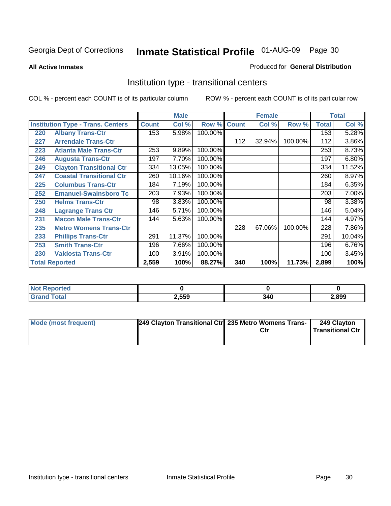### **All Active Inmates**

### Produced for **General Distribution**

# Institution type - transitional centers

|     |                                          |              | <b>Male</b> |         |              | <b>Female</b> |         |              | <b>Total</b> |
|-----|------------------------------------------|--------------|-------------|---------|--------------|---------------|---------|--------------|--------------|
|     | <b>Institution Type - Trans. Centers</b> | <b>Count</b> | Col %       | Row %   | <b>Count</b> | Col %         | Row %   | <b>Total</b> | Col %        |
| 220 | <b>Albany Trans-Ctr</b>                  | 153          | 5.98%       | 100.00% |              |               |         | 153          | 5.28%        |
| 227 | <b>Arrendale Trans-Ctr</b>               |              |             |         | 112          | 32.94%        | 100.00% | 112          | 3.86%        |
| 223 | <b>Atlanta Male Trans-Ctr</b>            | 253          | 9.89%       | 100.00% |              |               |         | 253          | 8.73%        |
| 246 | <b>Augusta Trans-Ctr</b>                 | 197          | 7.70%       | 100.00% |              |               |         | 197          | 6.80%        |
| 249 | <b>Clayton Transitional Ctr</b>          | 334          | 13.05%      | 100.00% |              |               |         | 334          | 11.52%       |
| 247 | <b>Coastal Transitional Ctr</b>          | 260          | 10.16%      | 100.00% |              |               |         | 260          | 8.97%        |
| 225 | <b>Columbus Trans-Ctr</b>                | 184          | 7.19%       | 100.00% |              |               |         | 184          | 6.35%        |
| 252 | <b>Emanuel-Swainsboro Tc</b>             | 203          | 7.93%       | 100.00% |              |               |         | 203          | 7.00%        |
| 250 | <b>Helms Trans-Ctr</b>                   | 98           | 3.83%       | 100.00% |              |               |         | 98           | 3.38%        |
| 248 | <b>Lagrange Trans Ctr</b>                | 146          | 5.71%       | 100.00% |              |               |         | 146          | 5.04%        |
| 231 | <b>Macon Male Trans-Ctr</b>              | 144          | 5.63%       | 100.00% |              |               |         | 144          | 4.97%        |
| 235 | <b>Metro Womens Trans-Ctr</b>            |              |             |         | 228          | 67.06%        | 100.00% | 228          | 7.86%        |
| 233 | <b>Phillips Trans-Ctr</b>                | 291          | 11.37%      | 100.00% |              |               |         | 291          | 10.04%       |
| 253 | <b>Smith Trans-Ctr</b>                   | 196          | 7.66%       | 100.00% |              |               |         | 196          | 6.76%        |
| 230 | <b>Valdosta Trans-Ctr</b>                | 100          | 3.91%       | 100.00% |              |               |         | 100          | 3.45%        |
|     | <b>Total Reported</b>                    | 2,559        | 100%        | 88.27%  | 340          | 100%          | 11.73%  | 2,899        | 100%         |

| 'ted<br>. |       |              |      |
|-----------|-------|--------------|------|
|           | 2,559 | . А Г<br>JTU | .899 |

| <b>Mode (most frequent)</b> | 249 Clayton Transitional Ctrl 235 Metro Womens Trans- | Ctr | 249 Clayton<br><b>Transitional Ctr</b> |
|-----------------------------|-------------------------------------------------------|-----|----------------------------------------|
|                             |                                                       |     |                                        |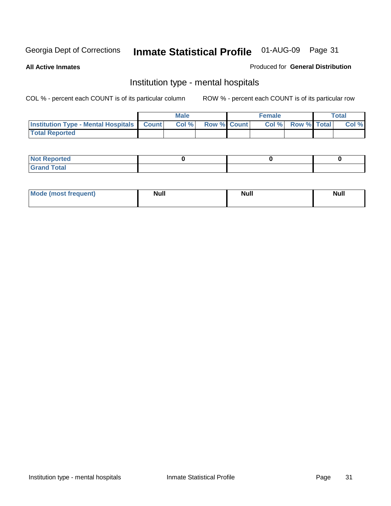**All Active Inmates**

### Produced for **General Distribution**

# Institution type - mental hospitals

|                                                  | Male |                    | <b>Female</b> |                   | Total |
|--------------------------------------------------|------|--------------------|---------------|-------------------|-------|
| <b>Institution Type - Mental Hospitals Count</b> | Col% | <b>Row % Count</b> |               | Col % Row % Total | Col % |
| <b>Total Reported</b>                            |      |                    |               |                   |       |

| <b>Not Reported</b> |  |  |
|---------------------|--|--|
| <b>Fotal</b><br>Cro |  |  |

| Mode (most frequent) | <b>Null</b> | <b>Null</b> | <b>Null</b> |
|----------------------|-------------|-------------|-------------|
|                      |             |             |             |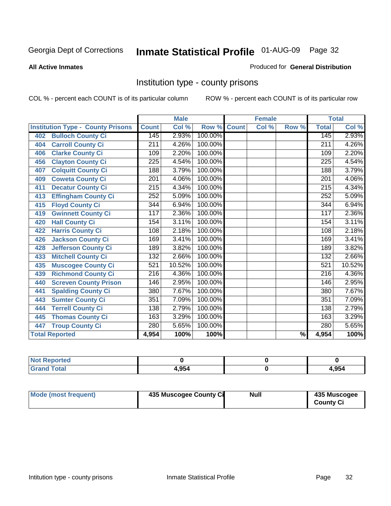### **All Active Inmates**

### Produced for **General Distribution**

# Institution type - county prisons

|                                          |                  | <b>Male</b> |         |              | <b>Female</b> |                          |                  | <b>Total</b> |
|------------------------------------------|------------------|-------------|---------|--------------|---------------|--------------------------|------------------|--------------|
| <b>Institution Type - County Prisons</b> | <b>Count</b>     | Col %       | Row %   | <b>Count</b> | Col %         | Row %                    | <b>Total</b>     | Col %        |
| <b>Bulloch County Ci</b><br>402          | 145              | 2.93%       | 100.00% |              |               |                          | 145              | 2.93%        |
| <b>Carroll County Ci</b><br>404          | 211              | 4.26%       | 100.00% |              |               |                          | 211              | 4.26%        |
| <b>Clarke County Ci</b><br>406           | 109              | 2.20%       | 100.00% |              |               |                          | 109              | 2.20%        |
| <b>Clayton County Ci</b><br>456          | 225              | 4.54%       | 100.00% |              |               |                          | 225              | 4.54%        |
| <b>Colquitt County Ci</b><br>407         | 188              | 3.79%       | 100.00% |              |               |                          | 188              | 3.79%        |
| <b>Coweta County Ci</b><br>409           | 201              | 4.06%       | 100.00% |              |               |                          | 201              | 4.06%        |
| <b>Decatur County Ci</b><br>411          | 215              | 4.34%       | 100.00% |              |               |                          | 215              | 4.34%        |
| <b>Effingham County Ci</b><br>413        | $\overline{252}$ | 5.09%       | 100.00% |              |               |                          | 252              | 5.09%        |
| <b>Floyd County Ci</b><br>415            | 344              | 6.94%       | 100.00% |              |               |                          | 344              | 6.94%        |
| <b>Gwinnett County Ci</b><br>419         | 117              | 2.36%       | 100.00% |              |               |                          | 117              | 2.36%        |
| <b>Hall County Ci</b><br>420             | 154              | 3.11%       | 100.00% |              |               |                          | 154              | 3.11%        |
| <b>Harris County Ci</b><br>422           | 108              | 2.18%       | 100.00% |              |               |                          | 108              | 2.18%        |
| <b>Jackson County Ci</b><br>426          | 169              | 3.41%       | 100.00% |              |               |                          | 169              | 3.41%        |
| <b>Jefferson County Ci</b><br>428        | 189              | 3.82%       | 100.00% |              |               |                          | 189              | 3.82%        |
| <b>Mitchell County Ci</b><br>433         | 132              | 2.66%       | 100.00% |              |               |                          | 132              | 2.66%        |
| <b>Muscogee County Ci</b><br>435         | 521              | 10.52%      | 100.00% |              |               |                          | 521              | 10.52%       |
| <b>Richmond County Ci</b><br>439         | $\overline{216}$ | 4.36%       | 100.00% |              |               |                          | $\overline{216}$ | 4.36%        |
| <b>Screven County Prison</b><br>440      | 146              | 2.95%       | 100.00% |              |               |                          | 146              | 2.95%        |
| <b>Spalding County Ci</b><br>441         | 380              | 7.67%       | 100.00% |              |               |                          | 380              | 7.67%        |
| <b>Sumter County Ci</b><br>443           | 351              | 7.09%       | 100.00% |              |               |                          | 351              | 7.09%        |
| <b>Terrell County Ci</b><br>444          | 138              | 2.79%       | 100.00% |              |               |                          | 138              | 2.79%        |
| <b>Thomas County Ci</b><br>445           | 163              | 3.29%       | 100.00% |              |               |                          | 163              | 3.29%        |
| <b>Troup County Ci</b><br>447            | 280              | 5.65%       | 100.00% |              |               |                          | 280              | 5.65%        |
| <b>Total Reported</b>                    | 4,954            | 100%        | 100%    |              |               | $\overline{\frac{9}{6}}$ | 4,954            | 100%         |

| <b>Not Reported</b>    |      |       |
|------------------------|------|-------|
| <b>Total</b><br>'Grand | .954 | l.954 |

| <b>Mode (most frequent)</b><br>435 Muscogee County Ci | Null | 435 Muscogee<br><b>County Ci</b> |
|-------------------------------------------------------|------|----------------------------------|
|-------------------------------------------------------|------|----------------------------------|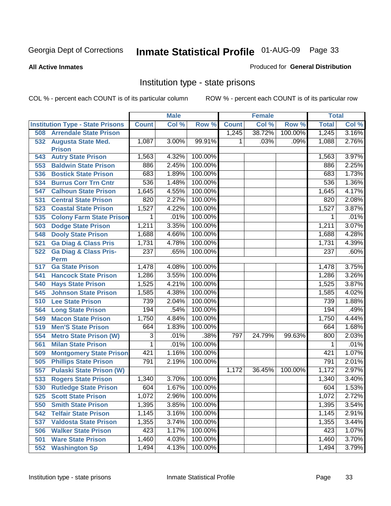**All Active Inmates**

### Produced for **General Distribution**

# Institution type - state prisons

|     |                                            |                | <b>Male</b> |         |              | <b>Female</b> |         | <b>Total</b> |       |
|-----|--------------------------------------------|----------------|-------------|---------|--------------|---------------|---------|--------------|-------|
|     | <b>Institution Type - State Prisons</b>    | <b>Count</b>   | Col %       | Row %   | <b>Count</b> | Col %         | Row %   | <b>Total</b> | Col % |
| 508 | <b>Arrendale State Prison</b>              |                |             |         | 1,245        | 38.72%        | 100.00% | 1,245        | 3.16% |
| 532 | <b>Augusta State Med.</b><br><b>Prison</b> | 1,087          | 3.00%       | 99.91%  | 1            | .03%          | .09%    | 1,088        | 2.76% |
| 543 | <b>Autry State Prison</b>                  | 1,563          | 4.32%       | 100.00% |              |               |         | 1,563        | 3.97% |
| 553 | <b>Baldwin State Prison</b>                | 886            | 2.45%       | 100.00% |              |               |         | 886          | 2.25% |
| 536 | <b>Bostick State Prison</b>                | 683            | 1.89%       | 100.00% |              |               |         | 683          | 1.73% |
| 534 | <b>Burrus Corr Trn Cntr</b>                | 536            | 1.48%       | 100.00% |              |               |         | 536          | 1.36% |
| 547 | <b>Calhoun State Prison</b>                | 1,645          | 4.55%       | 100.00% |              |               |         | 1,645        | 4.17% |
| 531 | <b>Central State Prison</b>                | 820            | 2.27%       | 100.00% |              |               |         | 820          | 2.08% |
| 523 | <b>Coastal State Prison</b>                | 1,527          | 4.22%       | 100.00% |              |               |         | 1,527        | 3.87% |
| 535 | <b>Colony Farm State Prison</b>            | 1              | .01%        | 100.00% |              |               |         | 1            | .01%  |
| 503 | <b>Dodge State Prison</b>                  | 1,211          | 3.35%       | 100.00% |              |               |         | 1,211        | 3.07% |
| 548 | <b>Dooly State Prison</b>                  | 1,688          | 4.66%       | 100.00% |              |               |         | 1,688        | 4.28% |
| 521 | <b>Ga Diag &amp; Class Pris</b>            | 1,731          | 4.78%       | 100.00% |              |               |         | 1,731        | 4.39% |
| 522 | <b>Ga Diag &amp; Class Pris-</b>           | 237            | .65%        | 100.00% |              |               |         | 237          | .60%  |
|     | <b>Perm</b>                                |                |             |         |              |               |         |              |       |
| 517 | <b>Ga State Prison</b>                     | 1,478          | 4.08%       | 100.00% |              |               |         | 1,478        | 3.75% |
| 541 | <b>Hancock State Prison</b>                | 1,286          | 3.55%       | 100.00% |              |               |         | 1,286        | 3.26% |
| 540 | <b>Hays State Prison</b>                   | 1,525          | 4.21%       | 100.00% |              |               |         | 1,525        | 3.87% |
| 545 | <b>Johnson State Prison</b>                | 1,585          | 4.38%       | 100.00% |              |               |         | 1,585        | 4.02% |
| 510 | <b>Lee State Prison</b>                    | 739            | 2.04%       | 100.00% |              |               |         | 739          | 1.88% |
| 564 | <b>Long State Prison</b>                   | 194            | .54%        | 100.00% |              |               |         | 194          | .49%  |
| 549 | <b>Macon State Prison</b>                  | 1,750          | 4.84%       | 100.00% |              |               |         | 1,750        | 4.44% |
| 519 | <b>Men'S State Prison</b>                  | 664            | 1.83%       | 100.00% |              |               |         | 664          | 1.68% |
| 554 | <b>Metro State Prison (W)</b>              | $\overline{3}$ | .01%        | .38%    | 797          | 24.79%        | 99.63%  | 800          | 2.03% |
| 561 | <b>Milan State Prison</b>                  | 1              | .01%        | 100.00% |              |               |         | 1            | .01%  |
| 509 | <b>Montgomery State Prison</b>             | 421            | 1.16%       | 100.00% |              |               |         | 421          | 1.07% |
| 505 | <b>Phillips State Prison</b>               | 791            | 2.19%       | 100.00% |              |               |         | 791          | 2.01% |
| 557 | <b>Pulaski State Prison (W)</b>            |                |             |         | 1,172        | 36.45%        | 100.00% | 1,172        | 2.97% |
| 533 | <b>Rogers State Prison</b>                 | 1,340          | 3.70%       | 100.00% |              |               |         | 1,340        | 3.40% |
| 530 | <b>Rutledge State Prison</b>               | 604            | 1.67%       | 100.00% |              |               |         | 604          | 1.53% |
| 525 | <b>Scott State Prison</b>                  | 1,072          | 2.96%       | 100.00% |              |               |         | 1,072        | 2.72% |
| 550 | <b>Smith State Prison</b>                  | 1,395          | 3.85%       | 100.00% |              |               |         | 1,395        | 3.54% |
| 542 | <b>Telfair State Prison</b>                | 1,145          | 3.16%       | 100.00% |              |               |         | 1,145        | 2.91% |
| 537 | <b>Valdosta State Prison</b>               | 1,355          | 3.74%       | 100.00% |              |               |         | 1,355        | 3.44% |
| 506 | <b>Walker State Prison</b>                 | 423            | 1.17%       | 100.00% |              |               |         | 423          | 1.07% |
| 501 | <b>Ware State Prison</b>                   | 1,460          | 4.03%       | 100.00% |              |               |         | 1,460        | 3.70% |
| 552 | <b>Washington Sp</b>                       | 1,494          | 4.13%       | 100.00% |              |               |         | 1,494        | 3.79% |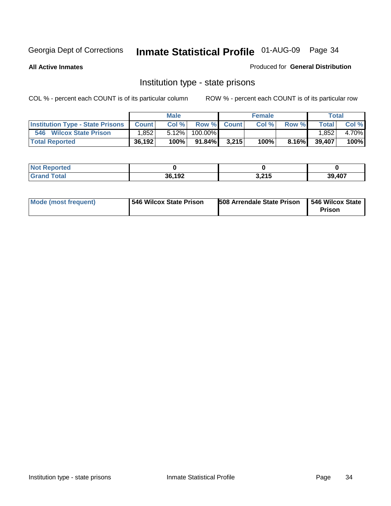**All Active Inmates**

### Produced for **General Distribution**

# Institution type - state prisons

|                                         |              | <b>Male</b> |         |             | <b>Female</b> |          |              | <b>Total</b> |
|-----------------------------------------|--------------|-------------|---------|-------------|---------------|----------|--------------|--------------|
| <b>Institution Type - State Prisons</b> | <b>Count</b> | Col %       |         | Row % Count | Col %         | Row %    | <b>Total</b> | Col %        |
| 546<br><b>Wilcox State Prison</b>       | .852         | 5.12%       | 100.00% |             |               |          | .852         | 4.70%        |
| <b>Total Reported</b>                   | 36,192       | 100%        | 91.84%  | 3.215       | 100%          | $8.16\%$ | 39,407       | 100%         |

| <b>Not</b><br>Not Reported |        |                       |        |
|----------------------------|--------|-----------------------|--------|
| <b>Total</b>               | 36,192 | 2.24F<br><b>J.ZIJ</b> | 39,407 |

| Mode (most frequent) | 546 Wilcox State Prison | <b>508 Arrendale State Prison</b> | 546 Wilcox State<br>Prison |
|----------------------|-------------------------|-----------------------------------|----------------------------|
|----------------------|-------------------------|-----------------------------------|----------------------------|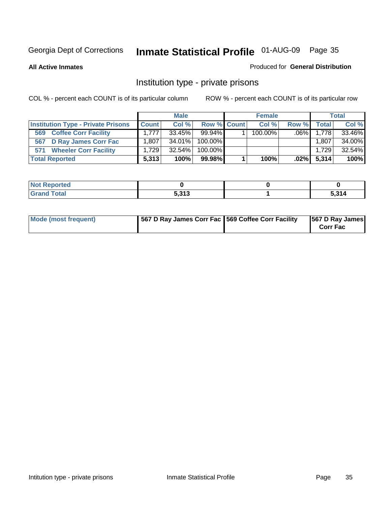### **All Active Inmates**

### Produced for **General Distribution**

# Institution type - private prisons

|                                           | <b>Male</b>  |           | <b>Female</b> |  |            | <b>Total</b> |              |        |
|-------------------------------------------|--------------|-----------|---------------|--|------------|--------------|--------------|--------|
| <b>Institution Type - Private Prisons</b> | <b>Count</b> | Col %     | Row % Count   |  | Col %      | Row %        | <b>Total</b> | Col %  |
| <b>Coffee Corr Facility</b><br>569        | 1.777        | $33.45\%$ | $99.94\%$     |  | $100.00\%$ | $.06\%$      | 1,778        | 33.46% |
| D Ray James Corr Fac<br>567               | 1.807        | $34.01\%$ | $100.00\%$    |  |            |              | 1,807        | 34.00% |
| <b>Wheeler Corr Facility</b><br>571       | 1.729        | $32.54\%$ | 100.00%       |  |            |              | 1.729        | 32.54% |
| <b>Total Reported</b>                     | 5,313        | 100%      | 99.98%        |  | 100%       | .02%         | 5,314        | 100%   |

| <b>Not</b><br><b>Reported</b>               |              |                 |
|---------------------------------------------|--------------|-----------------|
| <b>Total</b><br>$\mathbf{v}$ . $\mathbf{u}$ | 5 212<br>ე.ა | E 24I<br>J.J 14 |

| <b>Mode (most frequent)</b> | 567 D Ray James Corr Fac 569 Coffee Corr Facility |  | 567 D Ray James<br><b>Corr Fac</b> |
|-----------------------------|---------------------------------------------------|--|------------------------------------|
|-----------------------------|---------------------------------------------------|--|------------------------------------|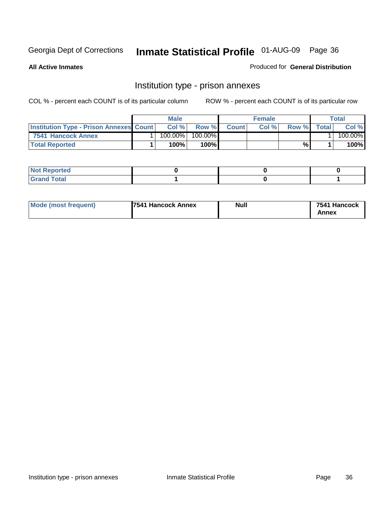**All Active Inmates**

Produced for **General Distribution**

# Institution type - prison annexes

|                                                | <b>Male</b> |            |         | <b>Female</b> |       |       | Total        |         |
|------------------------------------------------|-------------|------------|---------|---------------|-------|-------|--------------|---------|
| <b>Institution Type - Prison Annexes Count</b> |             | Col %      | Row %   | <b>Count</b>  | Col % | Row % | <b>Total</b> | Col %   |
| 7541 Hancock Annex                             |             | $100.00\%$ | 100.00% |               |       |       |              | 100.00% |
| <b>Total Reported</b>                          |             | 100%       | 100%    |               |       | %     |              | 100%    |

| <b>Not Reported</b> |  |  |
|---------------------|--|--|
| <b>Grand Total</b>  |  |  |

| <b>Mode (most frequent)</b> | <b>7541 Hancock Annex</b> | <b>Null</b> | 7541 Hancock |
|-----------------------------|---------------------------|-------------|--------------|
|                             |                           |             | Annex        |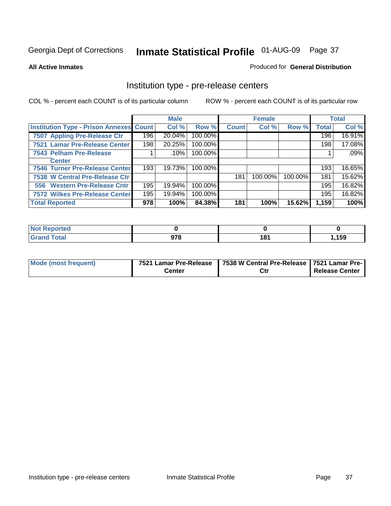#### **All Active Inmates**

#### Produced for **General Distribution**

### Institution type - pre-release centers

|                                                |     | <b>Male</b> |         |              | <b>Female</b> |         |              | <b>Total</b> |
|------------------------------------------------|-----|-------------|---------|--------------|---------------|---------|--------------|--------------|
| <b>Institution Type - Prison Annexes Count</b> |     | Col %       | Row %   | <b>Count</b> | Col %         | Row %   | <b>Total</b> | Col %        |
| 7507 Appling Pre-Release Ctr                   | 196 | 20.04%      | 100.00% |              |               |         | 196          | 16.91%       |
| 7521 Lamar Pre-Release Center                  | 198 | 20.25%      | 100.00% |              |               |         | 198          | 17.08%       |
| 7543 Pelham Pre-Release                        |     | .10%        | 100.00% |              |               |         |              | .09%         |
| <b>Center</b>                                  |     |             |         |              |               |         |              |              |
| 7546 Turner Pre-Release Center                 | 193 | 19.73%      | 100.00% |              |               |         | 193          | 16.65%       |
| 7538 W Central Pre-Release Ctr                 |     |             |         | 181          | 100.00%       | 100.00% | 181          | 15.62%       |
| 556 Western Pre-Release Cntr                   | 195 | 19.94%      | 100.00% |              |               |         | 195          | 16.82%       |
| <b>7572 Wilkes Pre-Release Center</b>          | 195 | 19.94%      | 100.00% |              |               |         | 195          | 16.82%       |
| <b>Total Reported</b>                          | 978 | 100%        | 84.38%  | 181          | 100%          | 15.62%  | 1,159        | 100%         |

| Reported<br>NOT        |     |              |       |
|------------------------|-----|--------------|-------|
| <b>Total</b><br>'Grand | 978 | 4.94<br>10 I | 1,159 |

| Mode (most frequent) | 7521 Lamar Pre-Release | 7538 W Central Pre-Release   7521 Lamar Pre- |                |
|----------------------|------------------------|----------------------------------------------|----------------|
|                      | Center                 | Ctı                                          | Release Center |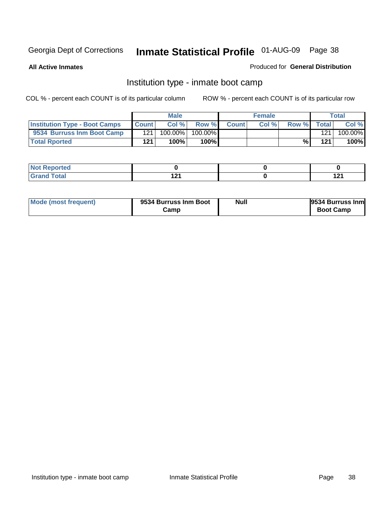**All Active Inmates**

### Produced for **General Distribution**

## Institution type - inmate boot camp

|                                      |              | <b>Male</b> |         |              | <b>Female</b> |       |                  | Total   |
|--------------------------------------|--------------|-------------|---------|--------------|---------------|-------|------------------|---------|
| <b>Institution Type - Boot Camps</b> | <b>Count</b> | Col %       | Row %   | <b>Count</b> | Col %         | Row % | Total            | Col %   |
| 9534 Burruss Inm Boot Camp           | 121          | 100.00%     | 100.00% |              |               |       | 121 <sub>1</sub> | 100.00% |
| <b>Total Rported</b>                 | 121          | 100%        | 100%    |              |               | %⊾    | 121              | 100%    |

| <b>Reported</b><br>$\sim$ |      |     |
|---------------------------|------|-----|
| $int^{\infty}$            | 4.04 | 12' |
| ι νιαι                    |      |     |

| Mode (most frequent) | 9534 Burruss Inm Boot | <b>Null</b> | 9534 Burruss Inm |
|----------------------|-----------------------|-------------|------------------|
|                      | Camp                  |             | <b>Boot Camp</b> |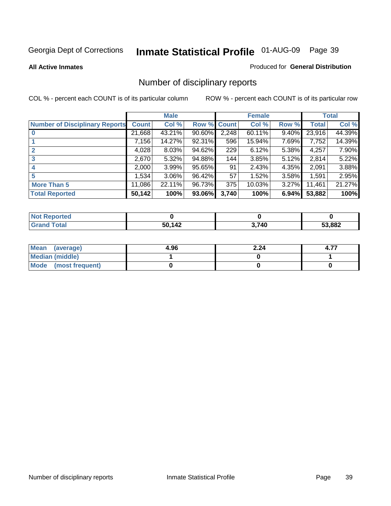**All Active Inmates**

#### Produced for **General Distribution**

# Number of disciplinary reports

|                                       |              | <b>Male</b> |        |              | <b>Female</b> |          |              | <b>Total</b> |
|---------------------------------------|--------------|-------------|--------|--------------|---------------|----------|--------------|--------------|
| <b>Number of Disciplinary Reports</b> | <b>Count</b> | Col %       | Row %  | <b>Count</b> | Col %         | Row %    | <b>Total</b> | Col %        |
|                                       | 21,668       | 43.21%      | 90.60% | 2,248        | 60.11%        | 9.40%    | 23,916       | 44.39%       |
|                                       | 7,156        | 14.27%      | 92.31% | 596          | 15.94%        | 7.69%    | 7,752        | 14.39%       |
| 2                                     | 4,028        | 8.03%       | 94.62% | 229          | 6.12%         | 5.38%    | 4,257        | 7.90%        |
| 3                                     | 2,670        | 5.32%       | 94.88% | 144          | 3.85%         | 5.12%    | 2,814        | 5.22%        |
|                                       | 2,000        | 3.99%       | 95.65% | 91           | 2.43%         | 4.35%    | 2,091        | 3.88%        |
| 5                                     | .534         | $3.06\%$    | 96.42% | 57           | 1.52%         | 3.58%    | 1,591        | 2.95%        |
| <b>More Than 5</b>                    | 11,086       | 22.11%      | 96.73% | 375          | 10.03%        | $3.27\%$ | 11,461       | 21.27%       |
| <b>Total Reported</b>                 | 50,142       | 100%        | 93.06% | 3,740        | 100%          | 6.94%    | 53,882       | 100%         |

| rtec<br>N    |        |       |        |
|--------------|--------|-------|--------|
| <b>Total</b> | 50 142 | 3,740 | 53,882 |

| Mean (average)       | 4.96 | 2.24 | 4.7 |
|----------------------|------|------|-----|
| Median (middle)      |      |      |     |
| Mode (most frequent) |      |      |     |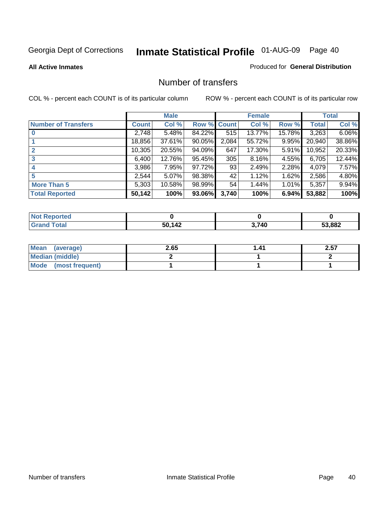#### **All Active Inmates**

### Produced for **General Distribution**

### Number of transfers

|                            |         | <b>Male</b> |        |              | <b>Female</b> |          |              | <b>Total</b> |
|----------------------------|---------|-------------|--------|--------------|---------------|----------|--------------|--------------|
| <b>Number of Transfers</b> | Count l | Col %       | Row %  | <b>Count</b> | Col %         | Row %    | <b>Total</b> | Col %        |
|                            | 2,748   | 5.48%       | 84.22% | 515          | 13.77%        | 15.78%   | 3,263        | 6.06%        |
|                            | 18,856  | 37.61%      | 90.05% | 2,084        | 55.72%        | $9.95\%$ | 20,940       | 38.86%       |
| 2                          | 10,305  | 20.55%      | 94.09% | 647          | 17.30%        | 5.91%    | 10,952       | 20.33%       |
| 3                          | 6,400   | 12.76%      | 95.45% | 305          | 8.16%         | 4.55%    | 6,705        | 12.44%       |
|                            | 3,986   | 7.95%       | 97.72% | 93           | 2.49%         | $2.28\%$ | 4,079        | 7.57%        |
| 5                          | 2,544   | $5.07\%$    | 98.38% | 42           | 1.12%         | 1.62%    | 2,586        | 4.80%        |
| <b>More Than 5</b>         | 5,303   | 10.58%      | 98.99% | 54           | 1.44%         | $1.01\%$ | 5,357        | 9.94%        |
| <b>Total Reported</b>      | 50,142  | 100%        | 93.06% | 3,740        | 100%          | 6.94%    | 53,882       | 100%         |

| N                |              |      |        |
|------------------|--------------|------|--------|
| $\sim$<br>______ | .<br>51<br>л | ,740 | 53,882 |

| Mean (average)       | 2.65 | . 41 | 2.57 |
|----------------------|------|------|------|
| Median (middle)      |      |      |      |
| Mode (most frequent) |      |      |      |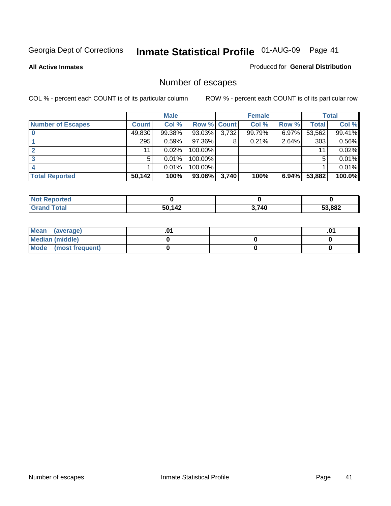**All Active Inmates**

### Produced for **General Distribution**

# Number of escapes

|                          |              | <b>Male</b> |                    |       | <b>Female</b> |          |              | <b>Total</b> |
|--------------------------|--------------|-------------|--------------------|-------|---------------|----------|--------------|--------------|
| <b>Number of Escapes</b> | <b>Count</b> | Col %       | <b>Row % Count</b> |       | Col %         | Row %    | <b>Total</b> | Col %        |
|                          | 49,830       | 99.38%      | 93.03%             | 3,732 | 99.79%        | 6.97%    | 53,562       | 99.41%       |
|                          | 295          | 0.59%       | 97.36%I            | 8     | 0.21%         | 2.64%    | 303          | 0.56%        |
|                          | 11           | 0.02%       | 100.00%            |       |               |          | 11           | 0.02%        |
|                          | 5            | 0.01%       | 100.00%            |       |               |          |              | 0.01%        |
|                          |              | 0.01%       | $100.00\%$         |       |               |          |              | 0.01%        |
| <b>Total Reported</b>    | 50,142       | 100%        | 93.06%             | 3,740 | 100%          | $6.94\%$ | 53,882       | 100.0%       |

| neo |                         |              |        |
|-----|-------------------------|--------------|--------|
|     | 50 1 <i>1</i> 2<br>. TA | <b>1,740</b> | 53,882 |

| Mean (average)         |  | .01 |
|------------------------|--|-----|
| <b>Median (middle)</b> |  |     |
| Mode (most frequent)   |  |     |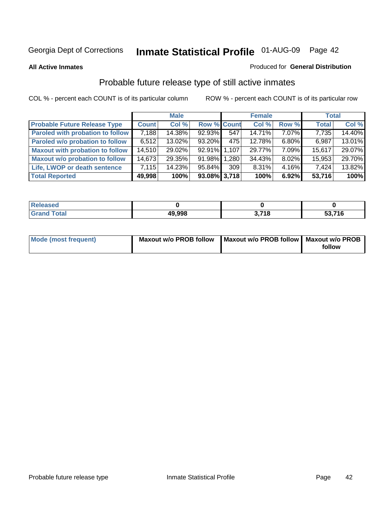#### **All Active Inmates**

### Produced for **General Distribution**

# Probable future release type of still active inmates

|                                         |              | <b>Male</b> |                    |     | <b>Female</b> |          | <b>Total</b> |        |
|-----------------------------------------|--------------|-------------|--------------------|-----|---------------|----------|--------------|--------|
| <b>Probable Future Release Type</b>     | <b>Count</b> | Col %       | <b>Row % Count</b> |     | Col %         | Row %    | <b>Total</b> | Col %  |
| <b>Paroled with probation to follow</b> | 7,188        | 14.38%      | 92.93%             | 547 | 14.71%        | 7.07%    | 7,735        | 14.40% |
| Paroled w/o probation to follow         | 6,512        | 13.02%      | 93.20%             | 475 | 12.78%        | $6.80\%$ | 6,987        | 13.01% |
| <b>Maxout with probation to follow</b>  | 14,510       | 29.02%      | 92.91% 1.107       |     | 29.77%        | 7.09%    | 15,617       | 29.07% |
| <b>Maxout w/o probation to follow</b>   | 14,673       | 29.35%      | 91.98% 1.280       |     | 34.43%        | 8.02%    | 15,953       | 29.70% |
| Life, LWOP or death sentence            | 7,115        | 14.23%      | 95.84%             | 309 | 8.31%         | $4.16\%$ | 7,424        | 13.82% |
| <b>Total Reported</b>                   | 49,998       | 100%        | $93.08\%$ 3,718    |     | 100%          | 6.92%    | 53,716       | 100%   |

| <b>Ised</b>  |        |                         |                |
|--------------|--------|-------------------------|----------------|
| Гоtal<br>Gra | 49,998 | <b>740</b><br>10.<br>v. | 53,716<br>ບບ.ເ |

| Mode (most frequent) | <b>Maxout w/o PROB follow</b> | Maxout w/o PROB follow   Maxout w/o PROB |        |
|----------------------|-------------------------------|------------------------------------------|--------|
|                      |                               |                                          | follow |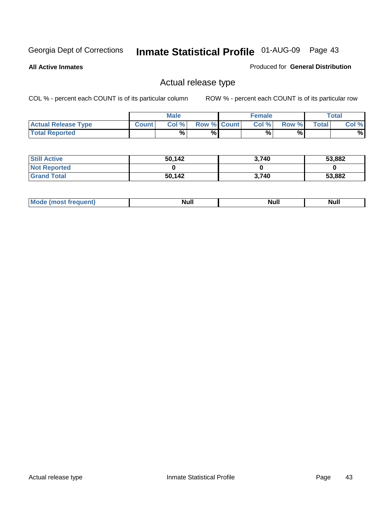**All Active Inmates**

### Produced for **General Distribution**

## Actual release type

|                            |              | <b>Male</b> |                    | <b>Female</b> |       |              | $\tau$ otal |
|----------------------------|--------------|-------------|--------------------|---------------|-------|--------------|-------------|
| <b>Actual Release Type</b> | <b>Count</b> | Col %       | <b>Row % Count</b> | Col %         | Row % | <b>Total</b> | Col %       |
| <b>Total Reported</b>      |              | %           | %                  | %             | %     |              | %           |

| <b>Still Active</b> | 50,142 | 3,740 | 53,882 |
|---------------------|--------|-------|--------|
| <b>Not Reported</b> |        |       |        |
| <b>Grand Total</b>  | 50,142 | 3.740 | 53,882 |

| M<br>____<br>_____ | NI | Null | $\cdots$ |
|--------------------|----|------|----------|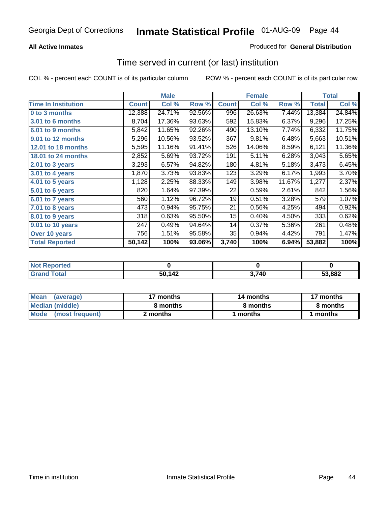### **All Active Inmates**

### Produced for **General Distribution**

### Time served in current (or last) institution

|                              |              | <b>Male</b> |        |              | <b>Female</b> |        |              | <b>Total</b> |
|------------------------------|--------------|-------------|--------|--------------|---------------|--------|--------------|--------------|
| <b>Time In Institution</b>   | <b>Count</b> | Col %       | Row %  | <b>Count</b> | Col %         | Row %  | <b>Total</b> | Col %        |
| 0 to 3 months                | 12,388       | 24.71%      | 92.56% | 996          | 26.63%        | 7.44%  | 13,384       | 24.84%       |
| <b>3.01 to 6 months</b>      | 8,704        | 17.36%      | 93.63% | 592          | 15.83%        | 6.37%  | 9,296        | 17.25%       |
| 6.01 to 9 months             | 5,842        | 11.65%      | 92.26% | 490          | 13.10%        | 7.74%  | 6,332        | 11.75%       |
| 9.01 to 12 months            | 5,296        | 10.56%      | 93.52% | 367          | 9.81%         | 6.48%  | 5,663        | 10.51%       |
| <b>12.01 to 18 months</b>    | 5,595        | 11.16%      | 91.41% | 526          | 14.06%        | 8.59%  | 6,121        | 11.36%       |
| <b>18.01 to 24 months</b>    | 2,852        | 5.69%       | 93.72% | 191          | 5.11%         | 6.28%  | 3,043        | 5.65%        |
| 2.01 to 3 years              | 3,293        | 6.57%       | 94.82% | 180          | 4.81%         | 5.18%  | 3,473        | 6.45%        |
| 3.01 to 4 years              | 1,870        | 3.73%       | 93.83% | 123          | 3.29%         | 6.17%  | 1,993        | 3.70%        |
| $\overline{4.01}$ to 5 years | 1,128        | 2.25%       | 88.33% | 149          | 3.98%         | 11.67% | 1,277        | 2.37%        |
| 5.01 to 6 years              | 820          | 1.64%       | 97.39% | 22           | 0.59%         | 2.61%  | 842          | 1.56%        |
| 6.01 to 7 years              | 560          | 1.12%       | 96.72% | 19           | 0.51%         | 3.28%  | 579          | 1.07%        |
| 7.01 to 8 years              | 473          | 0.94%       | 95.75% | 21           | 0.56%         | 4.25%  | 494          | 0.92%        |
| 8.01 to 9 years              | 318          | 0.63%       | 95.50% | 15           | 0.40%         | 4.50%  | 333          | 0.62%        |
| 9.01 to 10 years             | 247          | 0.49%       | 94.64% | 14           | 0.37%         | 5.36%  | 261          | 0.48%        |
| Over 10 years                | 756          | 1.51%       | 95.58% | 35           | 0.94%         | 4.42%  | 791          | 1.47%        |
| <b>Total Reported</b>        | 50,142       | 100%        | 93.06% | 3,740        | 100%          | 6.94%  | 53,882       | 100%         |

| <b>Not Reported</b> |        |       |        |
|---------------------|--------|-------|--------|
| <b>Total</b>        | 50,142 | 3,740 | 53,882 |

| <b>Mean</b><br>(average)       | 17 months | 14 months | 17 months |
|--------------------------------|-----------|-----------|-----------|
| Median (middle)                | 8 months  | 8 months  | 8 months  |
| <b>Mode</b><br>(most frequent) | 2 months  | months    | months    |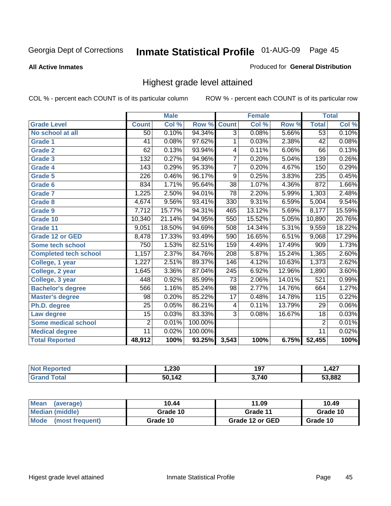**All Active Inmates**

### Produced for **General Distribution**

## Highest grade level attained

|                              |                  | <b>Male</b> |         |                  | <b>Female</b> |          |                 | <b>Total</b> |
|------------------------------|------------------|-------------|---------|------------------|---------------|----------|-----------------|--------------|
| <b>Grade Level</b>           | <b>Count</b>     | Col %       | Row %   | <b>Count</b>     | Col %         | Row %    | <b>Total</b>    | Col %        |
| No school at all             | 50               | 0.10%       | 94.34%  | $\overline{3}$   | 0.08%         | 5.66%    | $\overline{53}$ | 0.10%        |
| <b>Grade 1</b>               | 41               | 0.08%       | 97.62%  | 1                | 0.03%         | 2.38%    | $\overline{42}$ | 0.08%        |
| <b>Grade 2</b>               | 62               | 0.13%       | 93.94%  | 4                | 0.11%         | $6.06\%$ | 66              | 0.13%        |
| <b>Grade 3</b>               | 132              | 0.27%       | 94.96%  | $\overline{7}$   | 0.20%         | 5.04%    | 139             | 0.26%        |
| <b>Grade 4</b>               | $\overline{143}$ | 0.29%       | 95.33%  | $\overline{7}$   | 0.20%         | 4.67%    | 150             | 0.29%        |
| Grade 5                      | $\overline{226}$ | 0.46%       | 96.17%  | $\overline{9}$   | 0.25%         | 3.83%    | 235             | 0.45%        |
| Grade 6                      | 834              | 1.71%       | 95.64%  | $\overline{38}$  | 1.07%         | 4.36%    | 872             | 1.66%        |
| <b>Grade 7</b>               | 1,225            | 2.50%       | 94.01%  | $\overline{78}$  | 2.20%         | 5.99%    | 1,303           | 2.48%        |
| <b>Grade 8</b>               | 4,674            | 9.56%       | 93.41%  | 330              | 9.31%         | 6.59%    | 5,004           | 9.54%        |
| Grade 9                      | 7,712            | 15.77%      | 94.31%  | 465              | 13.12%        | 5.69%    | 8,177           | 15.59%       |
| Grade 10                     | 10,340           | 21.14%      | 94.95%  | 550              | 15.52%        | 5.05%    | 10,890          | 20.76%       |
| Grade 11                     | 9,051            | 18.50%      | 94.69%  | 508              | 14.34%        | 5.31%    | 9,559           | 18.22%       |
| <b>Grade 12 or GED</b>       | 8,478            | 17.33%      | 93.49%  | 590              | 16.65%        | 6.51%    | 9,068           | 17.29%       |
| <b>Some tech school</b>      | 750              | 1.53%       | 82.51%  | 159              | 4.49%         | 17.49%   | 909             | 1.73%        |
| <b>Completed tech school</b> | 1,157            | 2.37%       | 84.76%  | 208              | 5.87%         | 15.24%   | 1,365           | 2.60%        |
| College, 1 year              | 1,227            | 2.51%       | 89.37%  | 146              | 4.12%         | 10.63%   | 1,373           | 2.62%        |
| College, 2 year              | 1,645            | 3.36%       | 87.04%  | $\overline{245}$ | 6.92%         | 12.96%   | 1,890           | 3.60%        |
| College, 3 year              | 448              | 0.92%       | 85.99%  | $\overline{73}$  | 2.06%         | 14.01%   | 521             | 0.99%        |
| <b>Bachelor's degree</b>     | 566              | 1.16%       | 85.24%  | $\overline{98}$  | 2.77%         | 14.76%   | 664             | 1.27%        |
| <b>Master's degree</b>       | 98               | 0.20%       | 85.22%  | 17               | 0.48%         | 14.78%   | 115             | 0.22%        |
| Ph.D. degree                 | $\overline{25}$  | 0.05%       | 86.21%  | 4                | 0.11%         | 13.79%   | 29              | 0.06%        |
| Law degree                   | $\overline{15}$  | 0.03%       | 83.33%  | $\overline{3}$   | 0.08%         | 16.67%   | $\overline{18}$ | 0.03%        |
| <b>Some medical school</b>   | $\overline{2}$   | 0.01%       | 100.00% |                  |               |          | $\overline{2}$  | 0.01%        |
| <b>Medical degree</b>        | $\overline{11}$  | 0.02%       | 100.00% |                  |               |          | 11              | 0.02%        |
| <b>Total Reported</b>        | 48,912           | 100%        | 93.25%  | 3,543            | 100%          | 6.75%    | 52,455          | 100%         |

| ,230 | 197   | A27<br>- - |
|------|-------|------------|
| 112  | 3 71N | 53.882     |

| <b>Mean</b><br>(average)       | 10.44    | 11.09           | 10.49    |
|--------------------------------|----------|-----------------|----------|
| Median (middle)                | Grade 10 | Grade 11        | Grade 10 |
| <b>Mode</b><br>(most frequent) | Grade 10 | Grade 12 or GED | Grade 10 |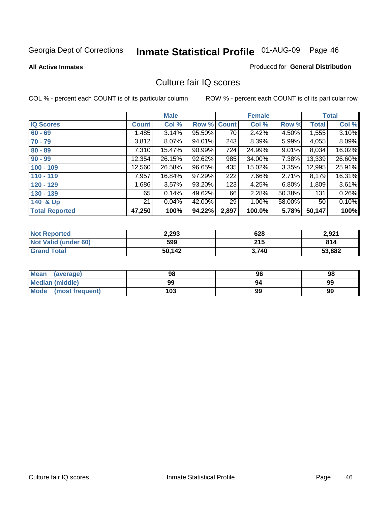**All Active Inmates**

#### Produced for **General Distribution**

### Culture fair IQ scores

|                       |              | <b>Male</b> |        |              | <b>Female</b> |        |              | <b>Total</b> |
|-----------------------|--------------|-------------|--------|--------------|---------------|--------|--------------|--------------|
| <b>IQ Scores</b>      | <b>Count</b> | Col %       | Row %  | <b>Count</b> | Col %         | Row %  | <b>Total</b> | Col %        |
| $60 - 69$             | 1,485        | 3.14%       | 95.50% | 70           | 2.42%         | 4.50%  | 1,555        | 3.10%        |
| $70 - 79$             | 3,812        | 8.07%       | 94.01% | 243          | 8.39%         | 5.99%  | 4,055        | 8.09%        |
| $80 - 89$             | 7,310        | 15.47%      | 90.99% | 724          | 24.99%        | 9.01%  | 8,034        | 16.02%       |
| $90 - 99$             | 12,354       | 26.15%      | 92.62% | 985          | 34.00%        | 7.38%  | 13,339       | 26.60%       |
| $100 - 109$           | 12,560       | 26.58%      | 96.65% | 435          | 15.02%        | 3.35%  | 12,995       | 25.91%       |
| $110 - 119$           | 7,957        | 16.84%      | 97.29% | 222          | 7.66%         | 2.71%  | 8,179        | 16.31%       |
| $120 - 129$           | 1,686        | 3.57%       | 93.20% | 123          | 4.25%         | 6.80%  | 1,809        | 3.61%        |
| $130 - 139$           | 65           | 0.14%       | 49.62% | 66           | 2.28%         | 50.38% | 131          | 0.26%        |
| 140 & Up              | 21           | 0.04%       | 42.00% | 29           | 1.00%         | 58.00% | 50           | 0.10%        |
| <b>Total Reported</b> | 47,250       | 100%        | 94.22% | 2,897        | 100.0%        | 5.78%  | 50,147       | 100%         |

| <b>Not Reported</b>  | 2,293  | 628   | 2,921  |
|----------------------|--------|-------|--------|
| Not Valid (under 60) | 599    | 215   | 814    |
| <b>Grand Total</b>   | 50,142 | 3.740 | 53,882 |

| <b>Mean</b><br>(average) | 98  | 96 | 98 |
|--------------------------|-----|----|----|
| Median (middle)          | 99  | 94 | 99 |
| Mode (most frequent)     | 103 | 99 | 99 |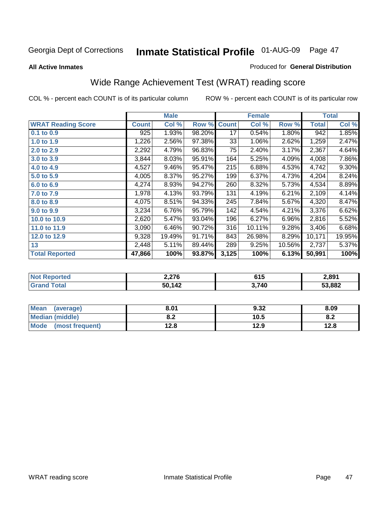#### **All Active Inmates**

### Produced for **General Distribution**

# Wide Range Achievement Test (WRAT) reading score

|                           |              | <b>Male</b> |        |              | <b>Female</b> |        |              | <b>Total</b> |
|---------------------------|--------------|-------------|--------|--------------|---------------|--------|--------------|--------------|
| <b>WRAT Reading Score</b> | <b>Count</b> | Col %       | Row %  | <b>Count</b> | Col %         | Row %  | <b>Total</b> | Col %        |
| $0.1$ to $0.9$            | 925          | 1.93%       | 98.20% | 17           | 0.54%         | 1.80%  | 942          | 1.85%        |
| 1.0 to 1.9                | 1,226        | 2.56%       | 97.38% | 33           | 1.06%         | 2.62%  | 1,259        | 2.47%        |
| 2.0 to 2.9                | 2,292        | 4.79%       | 96.83% | 75           | 2.40%         | 3.17%  | 2,367        | 4.64%        |
| 3.0 to 3.9                | 3,844        | 8.03%       | 95.91% | 164          | 5.25%         | 4.09%  | 4,008        | 7.86%        |
| 4.0 to 4.9                | 4,527        | 9.46%       | 95.47% | 215          | 6.88%         | 4.53%  | 4,742        | $9.30\%$     |
| 5.0 to 5.9                | 4,005        | 8.37%       | 95.27% | 199          | 6.37%         | 4.73%  | 4,204        | 8.24%        |
| 6.0 to 6.9                | 4,274        | 8.93%       | 94.27% | 260          | 8.32%         | 5.73%  | 4,534        | 8.89%        |
| 7.0 to 7.9                | 1,978        | 4.13%       | 93.79% | 131          | 4.19%         | 6.21%  | 2,109        | 4.14%        |
| 8.0 to 8.9                | 4,075        | 8.51%       | 94.33% | 245          | 7.84%         | 5.67%  | 4,320        | 8.47%        |
| 9.0 to 9.9                | 3,234        | 6.76%       | 95.79% | 142          | 4.54%         | 4.21%  | 3,376        | 6.62%        |
| 10.0 to 10.9              | 2,620        | 5.47%       | 93.04% | 196          | 6.27%         | 6.96%  | 2,816        | 5.52%        |
| 11.0 to 11.9              | 3,090        | 6.46%       | 90.72% | 316          | 10.11%        | 9.28%  | 3,406        | 6.68%        |
| 12.0 to 12.9              | 9,328        | 19.49%      | 91.71% | 843          | 26.98%        | 8.29%  | 10,171       | 19.95%       |
| 13                        | 2,448        | 5.11%       | 89.44% | 289          | 9.25%         | 10.56% | 2,737        | 5.37%        |
| <b>Total Reported</b>     | 47,866       | 100%        | 93.87% | 3,125        | 100%          | 6.13%  | 50,991       | 100%         |
|                           |              |             |        |              |               |        |              |              |

| <b>Not Reported</b> | 2,276  | 615   | 2,891  |
|---------------------|--------|-------|--------|
| <b>Grand Total</b>  | 50,142 | 3,740 | 53,882 |

| <b>Mean</b><br>(average)       | 8.01       | 9.32 | 8.09       |
|--------------------------------|------------|------|------------|
| <b>Median (middle)</b>         | ה ה<br>o.z | 10.5 | . c<br>o.z |
| <b>Mode</b><br>(most frequent) | 12.8       | 12.9 | 12.8       |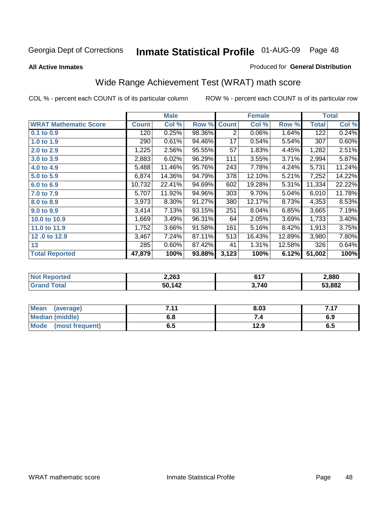**All Active Inmates**

#### Produced for **General Distribution**

# Wide Range Achievement Test (WRAT) math score

| Col %<br>0.25%<br>0.61%<br>2.56%<br>6.02%<br>11.46%<br>14.36% | Row %<br>98.36%<br>94.46%<br>95.55%<br>96.29%<br>95.76%<br>94.79% | <b>Count</b><br>2<br>17<br>57<br>111<br>243 | Col %<br>0.06%<br>0.54%<br>1.83%<br>3.55%<br>7.78% | Row %<br>1.64%<br>5.54%<br>4.45%<br>3.71%<br>4.24% | <b>Total</b><br>122<br>307<br>1,282<br>2,994 | Col %<br>0.24%<br>0.60%<br>2.51%<br>5.87% |
|---------------------------------------------------------------|-------------------------------------------------------------------|---------------------------------------------|----------------------------------------------------|----------------------------------------------------|----------------------------------------------|-------------------------------------------|
|                                                               |                                                                   |                                             |                                                    |                                                    |                                              |                                           |
|                                                               |                                                                   |                                             |                                                    |                                                    |                                              |                                           |
|                                                               |                                                                   |                                             |                                                    |                                                    |                                              |                                           |
|                                                               |                                                                   |                                             |                                                    |                                                    |                                              |                                           |
|                                                               |                                                                   |                                             |                                                    |                                                    |                                              |                                           |
|                                                               |                                                                   |                                             |                                                    |                                                    | 5,731                                        | 11.24%                                    |
|                                                               |                                                                   | 378                                         | 12.10%                                             | 5.21%                                              | 7,252                                        | 14.22%                                    |
| 22.41%                                                        | 94.69%                                                            | 602                                         | 19.28%                                             | 5.31%                                              | 11,334                                       | 22.22%                                    |
| 11.92%                                                        | 94.96%                                                            | 303                                         | 9.70%                                              |                                                    | 6,010                                        | 11.78%                                    |
| 8.30%                                                         | 91.27%                                                            | 380                                         | 12.17%                                             | 8.73%                                              | 4,353                                        | 8.53%                                     |
| 7.13%                                                         | 93.15%                                                            | 251                                         | 8.04%                                              | 6.85%                                              | 3,665                                        | 7.19%                                     |
| 3.49%                                                         | 96.31%                                                            | 64                                          | 2.05%                                              | 3.69%                                              | 1,733                                        | 3.40%                                     |
| 3.66%                                                         | 91.58%                                                            | 161                                         | 5.16%                                              | 8.42%                                              | 1,913                                        | 3.75%                                     |
| 7.24%                                                         | 87.11%                                                            | 513                                         | 16.43%                                             | 12.89%                                             | 3,980                                        | 7.80%                                     |
| $0.60\%$                                                      | 87.42%                                                            | 41                                          | 1.31%                                              | 12.58%                                             | 326                                          | 0.64%                                     |
| 100%                                                          | 93.88%                                                            | 3,123                                       | 100%                                               |                                                    | 51,002                                       | 100%                                      |
|                                                               |                                                                   |                                             |                                                    |                                                    |                                              | 5.04%<br>6.12%                            |

| <b>Not Reported</b> | 2,263  | CAT<br>ווס | 2,880  |
|---------------------|--------|------------|--------|
| <b>Grand Total</b>  | 50,142 | 3,740      | 53,882 |

| Mean (average)         | 7.11 | 8.03 | 7.17 |
|------------------------|------|------|------|
| <b>Median (middle)</b> | 6.8  |      | 6.9  |
| Mode (most frequent)   | დ.g  | 12.9 | 6.5  |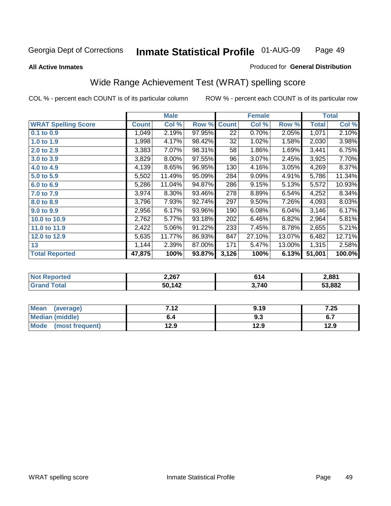**All Active Inmates**

#### Produced for **General Distribution**

## Wide Range Achievement Test (WRAT) spelling score

|                            |              | <b>Male</b> |        |                 | <b>Female</b> |        |              | <b>Total</b> |
|----------------------------|--------------|-------------|--------|-----------------|---------------|--------|--------------|--------------|
| <b>WRAT Spelling Score</b> | <b>Count</b> | Col %       | Row %  | <b>Count</b>    | Col %         | Row %  | <b>Total</b> | Col %        |
| 0.1 to 0.9                 | 1,049        | 2.19%       | 97.95% | $\overline{22}$ | 0.70%         | 2.05%  | 1,071        | 2.10%        |
| 1.0 to 1.9                 | 1,998        | 4.17%       | 98.42% | 32              | 1.02%         | 1.58%  | 2,030        | 3.98%        |
| 2.0 to 2.9                 | 3,383        | 7.07%       | 98.31% | 58              | 1.86%         | 1.69%  | 3,441        | 6.75%        |
| 3.0 to 3.9                 | 3,829        | 8.00%       | 97.55% | 96              | 3.07%         | 2.45%  | 3,925        | 7.70%        |
| 4.0 to 4.9                 | 4,139        | 8.65%       | 96.95% | 130             | 4.16%         | 3.05%  | 4,269        | 8.37%        |
| 5.0 to 5.9                 | 5,502        | 11.49%      | 95.09% | 284             | 9.09%         | 4.91%  | 5,786        | 11.34%       |
| 6.0 to 6.9                 | 5,286        | 11.04%      | 94.87% | 286             | 9.15%         | 5.13%  | 5,572        | 10.93%       |
| 7.0 to 7.9                 | 3,974        | 8.30%       | 93.46% | 278             | 8.89%         | 6.54%  | 4,252        | 8.34%        |
| 8.0 to 8.9                 | 3,796        | 7.93%       | 92.74% | 297             | 9.50%         | 7.26%  | 4,093        | 8.03%        |
| 9.0 to 9.9                 | 2,956        | 6.17%       | 93.96% | 190             | 6.08%         | 6.04%  | 3,146        | 6.17%        |
| 10.0 to 10.9               | 2,762        | 5.77%       | 93.18% | 202             | 6.46%         | 6.82%  | 2,964        | 5.81%        |
| 11.0 to 11.9               | 2,422        | 5.06%       | 91.22% | 233             | 7.45%         | 8.78%  | 2,655        | 5.21%        |
| 12.0 to 12.9               | 5,635        | 11.77%      | 86.93% | 847             | 27.10%        | 13.07% | 6,482        | 12.71%       |
| 13                         | 1,144        | 2.39%       | 87.00% | 171             | 5.47%         | 13.00% | 1,315        | 2.58%        |
| <b>Total Reported</b>      | 47,875       | 100%        | 93.87% | 3,126           | 100%          | 6.13%  | 51,001       | 100.0%       |

| <b>Not Reported</b> | 2,267  | CА<br>0 I 4 | 2,881  |
|---------------------|--------|-------------|--------|
| Total<br>' Grand    | 50,142 | 3,740       | 53,882 |

| <b>Mean</b><br>(average)       | 712<br>. | 9.19 | 7.25 |
|--------------------------------|----------|------|------|
| <b>Median (middle)</b>         | o.4      | ৬.১  | י.ט  |
| <b>Mode</b><br>(most frequent) | 12.9     | 12.9 | 12.9 |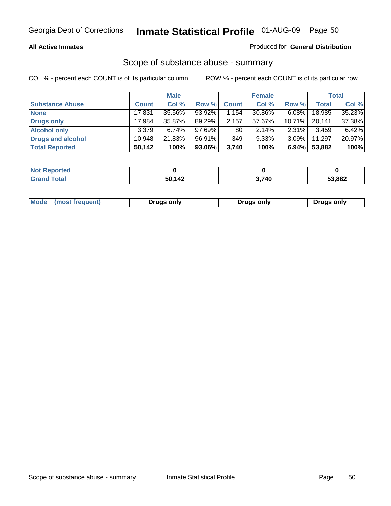### **All Active Inmates**

### Produced for **General Distribution**

### Scope of substance abuse - summary

|                        |              | <b>Male</b> |        |              | <b>Female</b> |           |              | <b>Total</b> |
|------------------------|--------------|-------------|--------|--------------|---------------|-----------|--------------|--------------|
| <b>Substance Abuse</b> | <b>Count</b> | Col %       | Row %  | <b>Count</b> | Col %         | Row %     | <b>Total</b> | Col %        |
| <b>None</b>            | 17,831       | 35.56%      | 93.92% | 1,154        | 30.86%        | $6.08\%$  | 18,985       | 35.23%       |
| <b>Drugs only</b>      | 17.984       | 35.87%      | 89.29% | 2,157        | 57.67%        | $10.71\%$ | 20,141       | 37.38%       |
| <b>Alcohol only</b>    | 3.379        | $6.74\%$    | 97.69% | 80           | $2.14\%$      | $2.31\%$  | 3,459        | 6.42%        |
| Drugs and alcohol      | 10.948       | 21.83%      | 96.91% | 349          | 9.33%         | $3.09\%$  | 11,297       | 20.97%       |
| <b>Total Reported</b>  | 50,142       | 100%        | 93.06% | 3,740        | 100%          | 6.94%     | 53,882       | 100%         |

| <b>Not</b><br><b>Reported</b> |               |       |        |
|-------------------------------|---------------|-------|--------|
| <b>otal</b><br><b>'Grand</b>  | 50 142<br>- - | 3,740 | 53,882 |

|  | Mode<br>(most frequent) | Drugs only | Drugs only | Drugs only |
|--|-------------------------|------------|------------|------------|
|--|-------------------------|------------|------------|------------|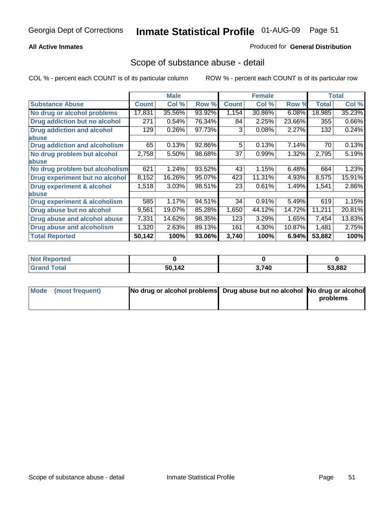### **All Active Inmates**

### Produced for **General Distribution**

### Scope of substance abuse - detail

|                                      |              | <b>Male</b> |        |              | <b>Female</b> |        |              | Total  |
|--------------------------------------|--------------|-------------|--------|--------------|---------------|--------|--------------|--------|
| <b>Substance Abuse</b>               | <b>Count</b> | Col %       | Row %  | <b>Count</b> | Col %         | Row %  | <b>Total</b> | Col %  |
| No drug or alcohol problems          | 17,831       | 35.56%      | 93.92% | 1,154        | 30.86%        | 6.08%  | 18,985       | 35.23% |
| Drug addiction but no alcohol        | 271          | 0.54%       | 76.34% | 84           | 2.25%         | 23.66% | 355          | 0.66%  |
| <b>Drug addiction and alcohol</b>    | 129          | 0.26%       | 97.73% | 3            | 0.08%         | 2.27%  | 132          | 0.24%  |
| <b>labuse</b>                        |              |             |        |              |               |        |              |        |
| <b>Drug addiction and alcoholism</b> | 65           | 0.13%       | 92.86% | 5            | 0.13%         | 7.14%  | 70           | 0.13%  |
| No drug problem but alcohol          | 2,758        | 5.50%       | 98.68% | 37           | 0.99%         | 1.32%  | 2,795        | 5.19%  |
| <b>labuse</b>                        |              |             |        |              |               |        |              |        |
| No drug problem but alcoholism       | 621          | 1.24%       | 93.52% | 43           | 1.15%         | 6.48%  | 664          | 1.23%  |
| Drug experiment but no alcohol       | 8,152        | 16.26%      | 95.07% | 423          | 11.31%        | 4.93%  | 8,575        | 15.91% |
| <b>Drug experiment &amp; alcohol</b> | 1,518        | 3.03%       | 98.51% | 23           | 0.61%         | 1.49%  | 1,541        | 2.86%  |
| <b>labuse</b>                        |              |             |        |              |               |        |              |        |
| Drug experiment & alcoholism         | 585          | 1.17%       | 94.51% | 34           | 0.91%         | 5.49%  | 619          | 1.15%  |
| Drug abuse but no alcohol            | 9,561        | 19.07%      | 85.28% | 1,650        | 44.12%        | 14.72% | 11,211       | 20.81% |
| Drug abuse and alcohol abuse         | 7,331        | 14.62%      | 98.35% | 123          | 3.29%         | 1.65%  | 7,454        | 13.83% |
| Drug abuse and alcoholism            | 1,320        | 2.63%       | 89.13% | 161          | 4.30%         | 10.87% | 1,481        | 2.75%  |
| <b>Total Reported</b>                | 50,142       | 100%        | 93.06% | 3,740        | 100%          | 6.94%  | 53,882       | 100%   |

| <b>Not Reported</b> |        |       |        |
|---------------------|--------|-------|--------|
| <b><i>fotal</i></b> | 50,142 | 3,740 | 53,882 |

| Mode (most frequent) | No drug or alcohol problems Drug abuse but no alcohol No drug or alcohol |          |
|----------------------|--------------------------------------------------------------------------|----------|
|                      |                                                                          | problems |
|                      |                                                                          |          |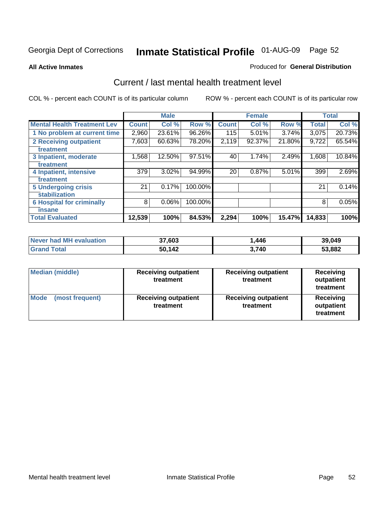#### **All Active Inmates**

#### Produced for **General Distribution**

### Current / last mental health treatment level

|                                    |              | <b>Male</b> |         |              | <b>Female</b> |        |              | <b>Total</b> |
|------------------------------------|--------------|-------------|---------|--------------|---------------|--------|--------------|--------------|
| <b>Mental Health Treatment Lev</b> | <b>Count</b> | Col %       | Row %   | <b>Count</b> | Col %         | Row %  | <b>Total</b> | Col %        |
| 1 No problem at current time       | 2,960        | 23.61%      | 96.26%  | 115          | 5.01%         | 3.74%  | 3,075        | 20.73%       |
| 2 Receiving outpatient             | 7,603        | 60.63%      | 78.20%  | 2,119        | 92.37%        | 21.80% | 9,722        | 65.54%       |
| treatment                          |              |             |         |              |               |        |              |              |
| 3 Inpatient, moderate              | 1,568        | 12.50%      | 97.51%  | 40           | 1.74%         | 2.49%  | 1,608        | 10.84%       |
| treatment                          |              |             |         |              |               |        |              |              |
| 4 Inpatient, intensive             | 379          | 3.02%       | 94.99%  | 20           | 0.87%         | 5.01%  | 399          | 2.69%        |
| treatment                          |              |             |         |              |               |        |              |              |
| <b>5 Undergoing crisis</b>         | 21           | 0.17%       | 100.00% |              |               |        | 21           | 0.14%        |
| stabilization                      |              |             |         |              |               |        |              |              |
| <b>6 Hospital for criminally</b>   | 8            | 0.06%       | 100.00% |              |               |        | 8            | 0.05%        |
| insane                             |              |             |         |              |               |        |              |              |
| <b>Total Evaluated</b>             | 12,539       | 100%        | 84.53%  | 2,294        | 100%          | 15.47% | 14,833       | 100%         |

| Never had MH evaluation | 37,603 | ,446  | 39,049 |
|-------------------------|--------|-------|--------|
| <b>Grand Total</b>      | 50,142 | 3.740 | 53,882 |

| Median (middle)         | <b>Receiving outpatient</b><br>treatment | <b>Receiving outpatient</b><br>treatment | <b>Receiving</b><br>outpatient<br>treatment |  |
|-------------------------|------------------------------------------|------------------------------------------|---------------------------------------------|--|
| Mode<br>(most frequent) | <b>Receiving outpatient</b><br>treatment | <b>Receiving outpatient</b><br>treatment | Receiving<br>outpatient<br>treatment        |  |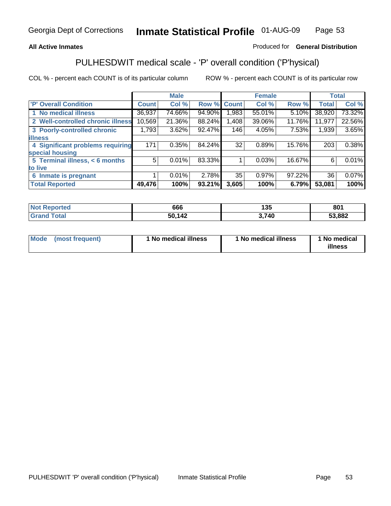### **All Active Inmates**

### Produced for **General Distribution**

# PULHESDWIT medical scale - 'P' overall condition ('P'hysical)

|                                   |              | <b>Male</b> |        |              | <b>Female</b> |        |              | <b>Total</b> |
|-----------------------------------|--------------|-------------|--------|--------------|---------------|--------|--------------|--------------|
| 'P' Overall Condition             | <b>Count</b> | Col %       | Row %  | <b>Count</b> | Col %         | Row %  | <b>Total</b> | Col%         |
| 1 No medical illness              | 36,937       | 74.66%      | 94.90% | 1,983        | 55.01%        | 5.10%  | 38,920       | 73.32%       |
| 2 Well-controlled chronic illness | 10,569       | 21.36%      | 88.24% | 1,408        | 39.06%        | 11.76% | 11,977       | 22.56%       |
| 3 Poorly-controlled chronic       | 1,793        | 3.62%       | 92.47% | 146          | 4.05%         | 7.53%  | 1,939        | 3.65%        |
| <b>illness</b>                    |              |             |        |              |               |        |              |              |
| 4 Significant problems requiring  | 171          | 0.35%       | 84.24% | 32           | 0.89%         | 15.76% | 203          | 0.38%        |
| special housing                   |              |             |        |              |               |        |              |              |
| 5 Terminal illness, $<$ 6 months  | 5            | 0.01%       | 83.33% |              | 0.03%         | 16.67% | 6            | 0.01%        |
| to live                           |              |             |        |              |               |        |              |              |
| Inmate is pregnant<br>6           |              | 0.01%       | 2.78%  | 35           | 0.97%         | 97.22% | 36           | 0.07%        |
| <b>Total Reported</b>             | 49,476       | 100%        | 93.21% | 3,605        | 100%          | 6.79%  | 53,081       | 100%         |

| <b>Not Reported</b> | 666    | 135  | 801    |
|---------------------|--------|------|--------|
| <b>Grand Total</b>  | 50,142 | ,740 | 53,882 |

| Mode (most frequent) | 1 No medical illness | 1 No medical illness | 1 No medical |
|----------------------|----------------------|----------------------|--------------|
|                      |                      |                      | illness      |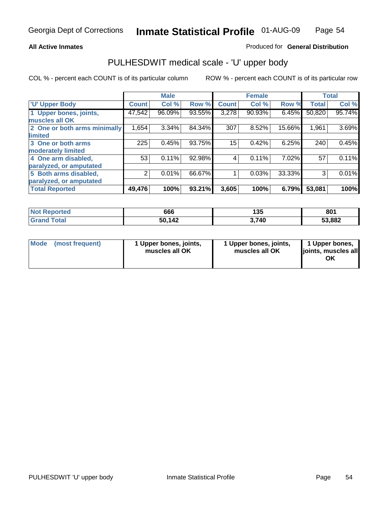### **All Active Inmates**

### Produced for **General Distribution**

### PULHESDWIT medical scale - 'U' upper body

|                              |              | <b>Male</b> |        |              | <b>Female</b> |        |              | <b>Total</b> |
|------------------------------|--------------|-------------|--------|--------------|---------------|--------|--------------|--------------|
| <b>U' Upper Body</b>         | <b>Count</b> | Col %       | Row %  | <b>Count</b> | Col %         | Row %  | <b>Total</b> | Col %        |
| 1 Upper bones, joints,       | 47,542       | 96.09%      | 93.55% | 3,278        | 90.93%        | 6.45%  | 50,820       | 95.74%       |
| muscles all OK               |              |             |        |              |               |        |              |              |
| 2 One or both arms minimally | 1,654        | 3.34%       | 84.34% | 307          | 8.52%         | 15.66% | 1,961        | 3.69%        |
| limited                      |              |             |        |              |               |        |              |              |
| 3 One or both arms           | 225          | 0.45%       | 93.75% | 15           | 0.42%         | 6.25%  | 240          | 0.45%        |
| moderately limited           |              |             |        |              |               |        |              |              |
| 4 One arm disabled,          | 53           | 0.11%       | 92.98% | 4            | 0.11%         | 7.02%  | 57           | 0.11%        |
| paralyzed, or amputated      |              |             |        |              |               |        |              |              |
| 5 Both arms disabled,        | 2            | 0.01%       | 66.67% |              | 0.03%         | 33.33% | 3            | 0.01%        |
| paralyzed, or amputated      |              |             |        |              |               |        |              |              |
| <b>Total Reported</b>        | 49,476       | 100%        | 93.21% | 3,605        | 100%          | 6.79%  | 53,081       | 100%         |

| <b>Not Reported</b>  | 666    | 135   | 801    |
|----------------------|--------|-------|--------|
| $\tau$ otal<br>Grang | 50,142 | 3.740 | 53,882 |

| <b>Mode</b> | (most frequent) | 1 Upper bones, joints,<br>muscles all OK | 1 Upper bones, joints,<br>muscles all OK | 1 Upper bones,<br>joints, muscles all<br>ΟK |
|-------------|-----------------|------------------------------------------|------------------------------------------|---------------------------------------------|
|-------------|-----------------|------------------------------------------|------------------------------------------|---------------------------------------------|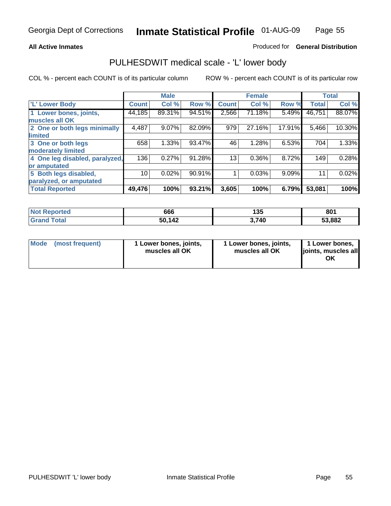### **All Active Inmates**

### Produced for **General Distribution**

### PULHESDWIT medical scale - 'L' lower body

|                                |              | <b>Male</b> |        |              | <b>Female</b> |        |              | <b>Total</b> |
|--------------------------------|--------------|-------------|--------|--------------|---------------|--------|--------------|--------------|
| 'L' Lower Body                 | <b>Count</b> | Col %       | Row %  | <b>Count</b> | Col %         | Row %  | <b>Total</b> | Col %        |
| 1 Lower bones, joints,         | 44,185       | 89.31%      | 94.51% | 2,566        | 71.18%        | 5.49%  | 46,751       | 88.07%       |
| muscles all OK                 |              |             |        |              |               |        |              |              |
| 2 One or both legs minimally   | 4,487        | 9.07%       | 82.09% | 979          | 27.16%        | 17.91% | 5,466        | 10.30%       |
| limited                        |              |             |        |              |               |        |              |              |
| 3 One or both legs             | 658          | 1.33%       | 93.47% | 46           | 1.28%         | 6.53%  | 704          | 1.33%        |
| moderately limited             |              |             |        |              |               |        |              |              |
| 4 One leg disabled, paralyzed, | 136          | 0.27%       | 91.28% | 13           | 0.36%         | 8.72%  | 149          | 0.28%        |
| or amputated                   |              |             |        |              |               |        |              |              |
| 5 Both legs disabled,          | 10           | 0.02%       | 90.91% |              | 0.03%         | 9.09%  | 11           | 0.02%        |
| paralyzed, or amputated        |              |             |        |              |               |        |              |              |
| <b>Total Reported</b>          | 49,476       | 100%        | 93.21% | 3,605        | 100%          | 6.79%  | 53,081       | 100%         |

| <b>Not</b><br>Reported | 666    | 135   | 801    |
|------------------------|--------|-------|--------|
| īota.<br>'Grano        | 50,142 | 3,740 | 53,882 |

|  | Mode (most frequent) | 1 Lower bones, joints,<br>muscles all OK | 1 Lower bones, joints,<br>muscles all OK | 1 Lower bones,<br>joints, muscles all<br>ОK |
|--|----------------------|------------------------------------------|------------------------------------------|---------------------------------------------|
|--|----------------------|------------------------------------------|------------------------------------------|---------------------------------------------|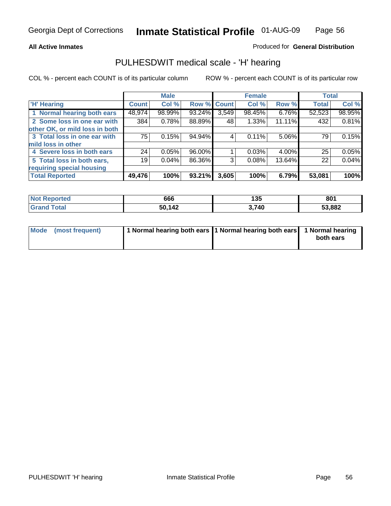### **All Active Inmates**

### Produced for **General Distribution**

### PULHESDWIT medical scale - 'H' hearing

|                                |         | <b>Male</b> |             |       | <b>Female</b> |        | <b>Total</b> |          |
|--------------------------------|---------|-------------|-------------|-------|---------------|--------|--------------|----------|
| <b>H'</b> Hearing              | Count l | Col %       | Row % Count |       | Col %         | Row %  | <b>Total</b> | Col %    |
| 1 Normal hearing both ears     | 48,974  | 98.99%      | 93.24%      | 3,549 | 98.45%        | 6.76%  | 52,523       | 98.95%   |
| 2 Some loss in one ear with    | 384     | 0.78%       | 88.89%      | 48    | 1.33%         | 11.11% | 432          | 0.81%    |
| other OK, or mild loss in both |         |             |             |       |               |        |              |          |
| 3 Total loss in one ear with   | 75      | 0.15%       | 94.94%      | 4     | 0.11%         | 5.06%  | 79           | 0.15%    |
| mild loss in other             |         |             |             |       |               |        |              |          |
| 4 Severe loss in both ears     | 24      | 0.05%       | 96.00%      |       | 0.03%         | 4.00%  | 25           | 0.05%    |
| 5 Total loss in both ears,     | 19      | 0.04%       | 86.36%      | 3     | 0.08%         | 13.64% | 22           | $0.04\%$ |
| requiring special housing      |         |             |             |       |               |        |              |          |
| <b>Total Reported</b>          | 49,476  | 100%        | 93.21%      | 3,605 | 100%          | 6.79%  | 53,081       | 100%     |

| <b>ported</b><br>'N G | 666    | 10E<br>כט ו | 801    |
|-----------------------|--------|-------------|--------|
| 'ota                  | 50 142 | 3,740       | 53,882 |

| Mode (most frequent) | 1 Normal hearing both ears 11 Normal hearing both ears 1 Normal hearing |           |
|----------------------|-------------------------------------------------------------------------|-----------|
|                      |                                                                         | both ears |
|                      |                                                                         |           |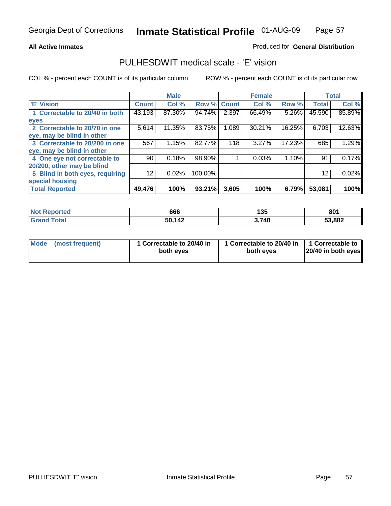### **All Active Inmates**

### Produced for **General Distribution**

### PULHESDWIT medical scale - 'E' vision

|                                 |              | <b>Male</b> |             |       | <b>Female</b> |        |              | <b>Total</b> |
|---------------------------------|--------------|-------------|-------------|-------|---------------|--------|--------------|--------------|
| 'E' Vision                      | <b>Count</b> | Col %       | Row % Count |       | Col %         | Row %  | <b>Total</b> | Col %        |
| 1 Correctable to 20/40 in both  | 43,193       | 87.30%      | 94.74%      | 2,397 | 66.49%        | 5.26%  | 45,590       | 85.89%       |
| eyes                            |              |             |             |       |               |        |              |              |
| 2 Correctable to 20/70 in one   | 5,614        | 11.35%      | 83.75%      | 1,089 | 30.21%        | 16.25% | 6,703        | 12.63%       |
| eye, may be blind in other      |              |             |             |       |               |        |              |              |
| 3 Correctable to 20/200 in one  | 567          | 1.15%       | 82.77%      | 118   | 3.27%         | 17.23% | 685          | 1.29%        |
| eye, may be blind in other      |              |             |             |       |               |        |              |              |
| 4 One eye not correctable to    | 90           | 0.18%       | 98.90%      |       | 0.03%         | 1.10%  | 91           | 0.17%        |
| 20/200, other may be blind      |              |             |             |       |               |        |              |              |
| 5 Blind in both eyes, requiring | 12           | 0.02%       | 100.00%     |       |               |        | 12           | 0.02%        |
| special housing                 |              |             |             |       |               |        |              |              |
| <b>Total Reported</b>           | 49,476       | 100%        | 93.21%      | 3,605 | 100%          | 6.79%  | 53,081       | 100%         |

| <b>Not Reported</b> | 666    | 135   | 801    |
|---------------------|--------|-------|--------|
| <b>Tota</b><br>Grs  | 50,142 | 3,740 | 53,882 |

| <b>Mode</b>     | 1 Correctable to 20/40 in | 1 Correctable to 20/40 in   1 Correctable to | 20/40 in both eyes |
|-----------------|---------------------------|----------------------------------------------|--------------------|
| (most frequent) | both eyes                 | both eves                                    |                    |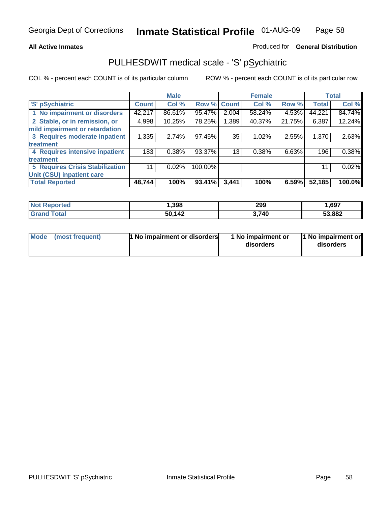### **All Active Inmates**

### Produced for **General Distribution**

## PULHESDWIT medical scale - 'S' pSychiatric

|                                        |              | <b>Male</b> |         |              | <b>Female</b> |        |              | <b>Total</b> |
|----------------------------------------|--------------|-------------|---------|--------------|---------------|--------|--------------|--------------|
| 'S' pSychiatric                        | <b>Count</b> | Col %       | Row %   | <b>Count</b> | Col %         | Row %  | <b>Total</b> | Col %        |
| 1 No impairment or disorders           | 42,217       | 86.61%      | 95.47%  | 2,004        | 58.24%        | 4.53%  | 44,221       | 84.74%       |
| 2 Stable, or in remission, or          | 4,998        | 10.25%      | 78.25%  | 1,389        | 40.37%        | 21.75% | 6,387        | 12.24%       |
| mild impairment or retardation         |              |             |         |              |               |        |              |              |
| 3 Requires moderate inpatient          | 1,335        | 2.74%       | 97.45%  | 35           | 1.02%         | 2.55%  | 1,370        | 2.63%        |
| treatment                              |              |             |         |              |               |        |              |              |
| 4 Requires intensive inpatient         | 183          | 0.38%       | 93.37%  | 13           | 0.38%         | 6.63%  | 196          | 0.38%        |
| treatment                              |              |             |         |              |               |        |              |              |
| <b>5 Requires Crisis Stabilization</b> | 11           | 0.02%       | 100.00% |              |               |        | 11           | 0.02%        |
| Unit (CSU) inpatient care              |              |             |         |              |               |        |              |              |
| <b>Total Reported</b>                  | 48,744       | 100%        | 93.41%  | 3,441        | 100%          | 6.59%  | 52,185       | 100.0%       |

| <b>Not Reported</b>         | ,398   | 299   | 1,697  |
|-----------------------------|--------|-------|--------|
| $\tau$ otal<br><b>Grand</b> | 50,142 | 3,740 | 53,882 |

| Mode (most frequent) | <b>1 No impairment or disorders</b> | 1 No impairment or<br>disorders | 1 No impairment or<br>disorders |
|----------------------|-------------------------------------|---------------------------------|---------------------------------|
|                      |                                     |                                 |                                 |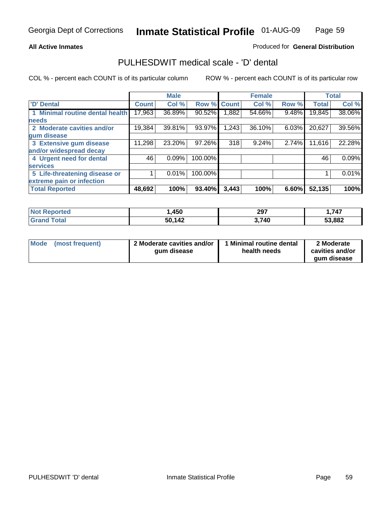### **All Active Inmates**

### Produced for **General Distribution**

## PULHESDWIT medical scale - 'D' dental

|                                      |              | <b>Male</b> |             |       | <b>Female</b> |       |              | <b>Total</b> |
|--------------------------------------|--------------|-------------|-------------|-------|---------------|-------|--------------|--------------|
| 'D' Dental                           | <b>Count</b> | Col %       | Row % Count |       | Col %         | Row % | <b>Total</b> | Col %        |
| <b>Minimal routine dental health</b> | 17,963       | 36.89%      | 90.52%      | .882  | 54.66%        | 9.48% | 19,845       | 38.06%       |
| <b>needs</b>                         |              |             |             |       |               |       |              |              |
| 2 Moderate cavities and/or           | 19,384       | 39.81%      | 93.97%      | .243  | 36.10%        | 6.03% | 20,627       | 39.56%       |
| gum disease                          |              |             |             |       |               |       |              |              |
| 3 Extensive gum disease              | 11,298       | 23.20%      | 97.26%      | 318   | 9.24%         | 2.74% | 11,616       | 22.28%       |
| and/or widespread decay              |              |             |             |       |               |       |              |              |
| 4 Urgent need for dental             | 46           | 0.09%       | 100.00%     |       |               |       | 46           | 0.09%        |
| <b>services</b>                      |              |             |             |       |               |       |              |              |
| 5 Life-threatening disease or        |              | 0.01%       | 100.00%     |       |               |       |              | 0.01%        |
| extreme pain or infection            |              |             |             |       |               |       |              |              |
| <b>Total Reported</b>                | 48,692       | 100%        | 93.40%      | 3,443 | 100%          | 6.60% | 52,135       | 100%         |

| <b>Reported</b><br><b>Not</b> | ,450   | 297   | ,747   |
|-------------------------------|--------|-------|--------|
| <b>Tota</b><br>'Grand         | 50,142 | 3,740 | 53,882 |

| <b>Mode</b> | (most frequent) | 2 Moderate cavities and/or<br>qum disease | Minimal routine dental<br>health needs | 2 Moderate<br>cavities and/or |
|-------------|-----------------|-------------------------------------------|----------------------------------------|-------------------------------|
|             |                 |                                           |                                        | qum disease                   |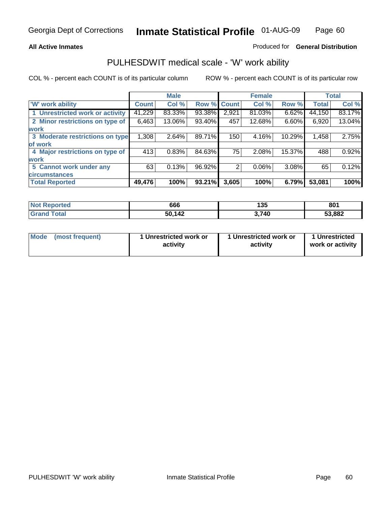### **All Active Inmates**

### Produced for **General Distribution**

### PULHESDWIT medical scale - 'W' work ability

|                                 |              | <b>Male</b> |        |             | <b>Female</b> |        |              | <b>Total</b> |
|---------------------------------|--------------|-------------|--------|-------------|---------------|--------|--------------|--------------|
| 'W' work ability                | <b>Count</b> | Col %       |        | Row % Count | Col %         | Row %  | <b>Total</b> | Col %        |
| 1 Unrestricted work or activity | 41,229       | 83.33%      | 93.38% | 2,921       | 81.03%        | 6.62%  | 44,150       | 83.17%       |
| 2 Minor restrictions on type of | 6,463        | 13.06%      | 93.40% | 457         | 12.68%        | 6.60%  | 6,920        | 13.04%       |
| <b>work</b>                     |              |             |        |             |               |        |              |              |
| 3 Moderate restrictions on type | 1,308        | 2.64%       | 89.71% | 150         | 4.16%         | 10.29% | 1,458        | 2.75%        |
| of work                         |              |             |        |             |               |        |              |              |
| 4 Major restrictions on type of | 413          | 0.83%       | 84.63% | 75          | 2.08%         | 15.37% | 488          | 0.92%        |
| <b>work</b>                     |              |             |        |             |               |        |              |              |
| 5 Cannot work under any         | 63           | 0.13%       | 96.92% | 2           | 0.06%         | 3.08%  | 65           | 0.12%        |
| <b>circumstances</b>            |              |             |        |             |               |        |              |              |
| <b>Total Reported</b>           | 49,476       | 100%        | 93.21% | 3,605       | 100%          | 6.79%  | 53,081       | 100%         |

| <b>Not Reported</b>      | 666    | 135   | 801    |
|--------------------------|--------|-------|--------|
| <b>Total</b><br>'Grand . | 50,142 | 3,740 | 53,882 |

| Mode            | 1 Unrestricted work or | 1 Unrestricted work or | 1 Unrestricted   |
|-----------------|------------------------|------------------------|------------------|
| (most frequent) | activity               | activity               | work or activity |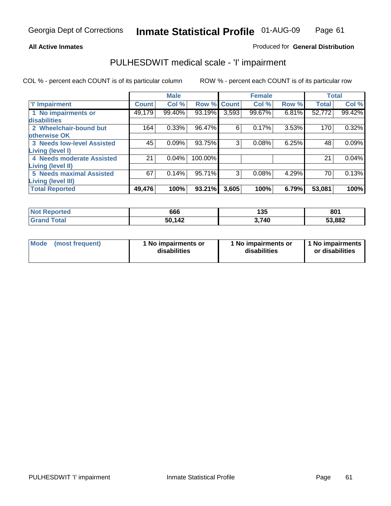### **All Active Inmates**

### Produced for **General Distribution**

## PULHESDWIT medical scale - 'I' impairment

|                                   |              | <b>Male</b> |         |              | <b>Female</b> |       |              | <b>Total</b> |
|-----------------------------------|--------------|-------------|---------|--------------|---------------|-------|--------------|--------------|
| <b>T' Impairment</b>              | <b>Count</b> | Col %       | Row %   | <b>Count</b> | Col %         | Row % | <b>Total</b> | Col %        |
| 1 No impairments or               | 49,179       | 99.40%      | 93.19%  | 3,593        | 99.67%        | 6.81% | 52,772       | 99.42%       |
| disabilities                      |              |             |         |              |               |       |              |              |
| 2 Wheelchair-bound but            | 164          | 0.33%       | 96.47%  | 6            | 0.17%         | 3.53% | 170          | 0.32%        |
| otherwise OK                      |              |             |         |              |               |       |              |              |
| <b>3 Needs low-level Assisted</b> | 45           | 0.09%       | 93.75%  | 3            | 0.08%         | 6.25% | 48           | 0.09%        |
| <b>Living (level I)</b>           |              |             |         |              |               |       |              |              |
| 4 Needs moderate Assisted         | 21           | 0.04%       | 100.00% |              |               |       | 21           | 0.04%        |
| <b>Living (level II)</b>          |              |             |         |              |               |       |              |              |
| <b>5 Needs maximal Assisted</b>   | 67           | 0.14%       | 95.71%  | 3            | 0.08%         | 4.29% | 70           | 0.13%        |
| <b>Living (level III)</b>         |              |             |         |              |               |       |              |              |
| <b>Total Reported</b>             | 49,476       | 100%        | 93.21%  | 3,605        | 100%          | 6.79% | 53,081       | 100%         |

| <b>Not</b><br><b>Reported</b> | 666          | 135   | 801    |
|-------------------------------|--------------|-------|--------|
| <b>Total</b>                  | 50 142<br>5U | 3,740 | 53,882 |

| <b>Mode</b> | (most frequent) | 1 No impairments or<br>disabilities | 1 No impairments or<br>disabilities | 1 No impairments<br>or disabilities |
|-------------|-----------------|-------------------------------------|-------------------------------------|-------------------------------------|
|-------------|-----------------|-------------------------------------|-------------------------------------|-------------------------------------|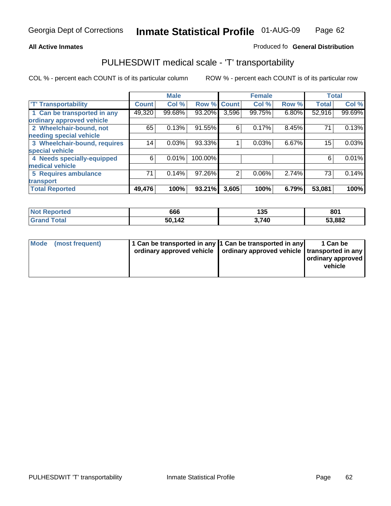#### **Inmate Statistical Profile** 01-AUG-09 Page Page 62

### **All Active Inmates Allowski** Produced fo **General Distribution**

## PULHESDWIT medical scale - 'T' transportability

|                              |              | <b>Male</b> |         |                | <b>Female</b> |       | <b>Total</b> |        |
|------------------------------|--------------|-------------|---------|----------------|---------------|-------|--------------|--------|
| <b>T' Transportability</b>   | <b>Count</b> | Col %       | Row %   | <b>Count</b>   | Col %         | Row % | <b>Total</b> | Col %  |
| 1 Can be transported in any  | 49,320       | 99.68%      | 93.20%  | 3,596          | 99.75%        | 6.80% | 52,916       | 99.69% |
| ordinary approved vehicle    |              |             |         |                |               |       |              |        |
| 2 Wheelchair-bound, not      | 65           | 0.13%       | 91.55%  | 6              | 0.17%         | 8.45% | 71           | 0.13%  |
| needing special vehicle      |              |             |         |                |               |       |              |        |
| 3 Wheelchair-bound, requires | 14           | 0.03%       | 93.33%  |                | 0.03%         | 6.67% | 15           | 0.03%  |
| special vehicle              |              |             |         |                |               |       |              |        |
| 4 Needs specially-equipped   | 6            | 0.01%       | 100.00% |                |               |       | 6            | 0.01%  |
| medical vehicle              |              |             |         |                |               |       |              |        |
| <b>5 Requires ambulance</b>  | 71           | 0.14%       | 97.26%  | $\overline{2}$ | 0.06%         | 2.74% | 73           | 0.14%  |
| transport                    |              |             |         |                |               |       |              |        |
| <b>Total Reported</b>        | 49,476       | 100%        | 93.21%  | 3,605          | 100%          | 6.79% | 53,081       | 100%   |

| <b>Not Reported</b> | 666    | 135  | 801    |
|---------------------|--------|------|--------|
| <b>Grand Total</b>  | 50,142 | ,740 | 53,882 |

| Mode (most frequent) | 1 Can be transported in any 1 Can be transported in any | ordinary approved vehicle   ordinary approved vehicle   transported in any | 1 Can be<br>ordinary approved<br>vehicle |
|----------------------|---------------------------------------------------------|----------------------------------------------------------------------------|------------------------------------------|
|                      |                                                         |                                                                            |                                          |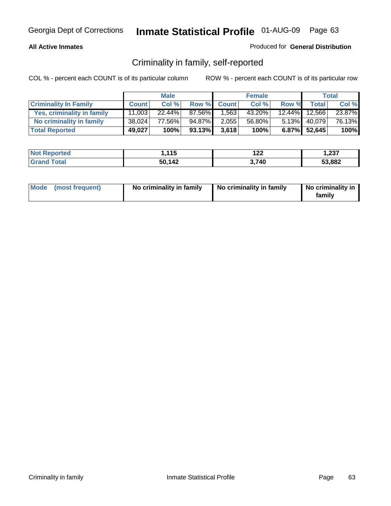### **All Active Inmates**

### Produced for **General Distribution**

## Criminality in family, self-reported

|                              |              | <b>Male</b> |        |              | <b>Female</b> |       |               | <b>Total</b> |
|------------------------------|--------------|-------------|--------|--------------|---------------|-------|---------------|--------------|
| <b>Criminality In Family</b> | <b>Count</b> | Col %       | Row %  | <b>Count</b> | Col %         | Row % | <b>Total</b>  | Col %        |
| Yes, criminality in family   | 11,003       | $22.44\%$   | 87.56% | 1,563        | 43.20%        |       | 12.44% 12,566 | 23.87%       |
| No criminality in family     | 38,024       | 77.56%      | 94.87% | 2,055        | 56.80%        |       | 5.13% 40,079  | 76.13%       |
| <b>Total Reported</b>        | 49,027       | 100%        | 93.13% | 3,618        | 100%          |       | 6.87% 52,645  | 100%         |

| <b>Not</b>      | 44 E   | ר ה  | 1,237  |
|-----------------|--------|------|--------|
| <b>Reported</b> | .      | 144  |        |
| <i>i</i> otal   | 50,142 | ,740 | 53,882 |

|  | Mode (most frequent) | No criminality in family | No criminality in family | No criminality in<br>familv |
|--|----------------------|--------------------------|--------------------------|-----------------------------|
|--|----------------------|--------------------------|--------------------------|-----------------------------|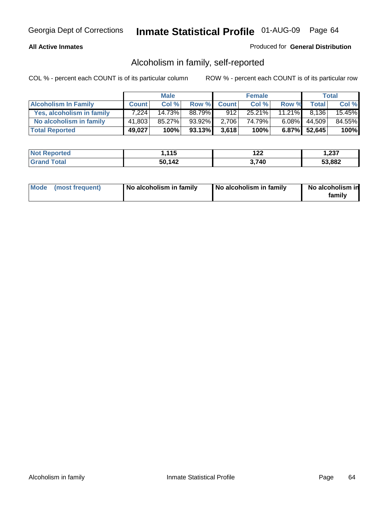### **All Active Inmates**

### Produced for **General Distribution**

## Alcoholism in family, self-reported

|                             |              | <b>Male</b> |        |              | <b>Female</b> |           |                 | <b>Total</b> |
|-----------------------------|--------------|-------------|--------|--------------|---------------|-----------|-----------------|--------------|
| <b>Alcoholism In Family</b> | <b>Count</b> | Col %       | Row %  | <b>Count</b> | Col %         | Row %     | <b>Total</b>    | Col %        |
| Yes, alcoholism in family   | 7.224        | 14.73%      | 88.79% | 912          | $25.21\%$     | $11.21\%$ | 8.136           | 15.45%       |
| No alcoholism in family     | 41,803       | 85.27%      | 93.92% | 2,706        | 74.79%        | $6.08\%$  | 44,509          | 84.55%       |
| <b>Total Reported</b>       | 49,027       | 100%        | 93.13% | 3,618        | 100%          |           | $6.87\%$ 52,645 | 100%         |

| <b>Not Reported</b>          | .115   | י ה<br>▎∠∠ | 1,237  |
|------------------------------|--------|------------|--------|
| <b>Total</b><br><b>Grand</b> | 50,142 | ,740       | 53,882 |

|  | Mode (most frequent) | No alcoholism in family | No alcoholism in family | No alcoholism in<br>family |
|--|----------------------|-------------------------|-------------------------|----------------------------|
|--|----------------------|-------------------------|-------------------------|----------------------------|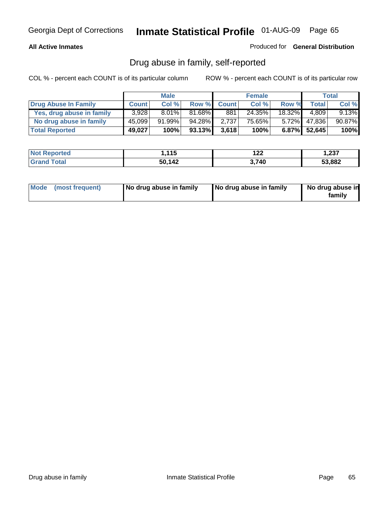### **All Active Inmates**

Produced for **General Distribution**

## Drug abuse in family, self-reported

|                           |              | <b>Male</b> |        |              | <b>Female</b> |           |              | <b>Total</b> |
|---------------------------|--------------|-------------|--------|--------------|---------------|-----------|--------------|--------------|
| Drug Abuse In Family      | <b>Count</b> | Col %       | Row %  | <b>Count</b> | Col %         | Row %     | Total        | Col %        |
| Yes, drug abuse in family | 3.928        | $8.01\%$    | 81.68% | 881          | 24.35%        | $18.32\%$ | 4.809        | $9.13\%$     |
| No drug abuse in family   | 45,099       | $91.99\%$   | 94.28% | 2,737        | 75.65%        | $5.72\%$  | 47,836       | 90.87%       |
| <b>Total Reported</b>     | 49,027       | 100%        | 93.13% | 3,618        | 100%          |           | 6.87% 52,645 | 100%         |

| <b>Not Reported</b>          | .115   | י ה<br>▎∠∠ | 1,237  |
|------------------------------|--------|------------|--------|
| <b>Total</b><br><b>Grand</b> | 50,142 | ,740       | 53,882 |

|  | Mode (most frequent) | No drug abuse in family | No drug abuse in family | No drug abuse in<br>family |
|--|----------------------|-------------------------|-------------------------|----------------------------|
|--|----------------------|-------------------------|-------------------------|----------------------------|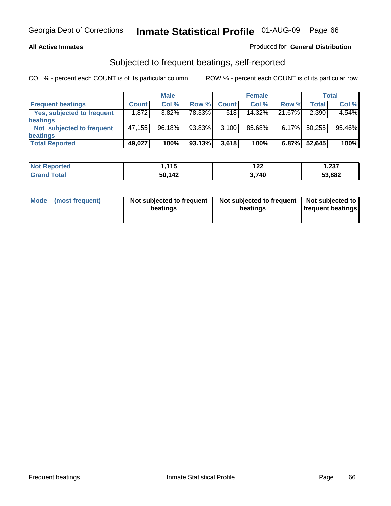### **All Active Inmates**

### Produced for **General Distribution**

### Subjected to frequent beatings, self-reported

|                            |              | <b>Male</b> |        |              | <b>Female</b> |          |        | <b>Total</b> |
|----------------------------|--------------|-------------|--------|--------------|---------------|----------|--------|--------------|
| <b>Frequent beatings</b>   | <b>Count</b> | Col%        | Row %  | <b>Count</b> | Col%          | Row %    | Total  | Col %        |
| Yes, subjected to frequent | 1,872        | 3.82%       | 78.33% | 518          | $14.32\%$     | 21.67%   | 2,390  | 4.54%        |
| beatings                   |              |             |        |              |               |          |        |              |
| Not subjected to frequent  | 47,155       | 96.18%      | 93.83% | 3,100        | 85.68%        | $6.17\%$ | 50,255 | 95.46%       |
| beatings                   |              |             |        |              |               |          |        |              |
| <b>Total Reported</b>      | 49,027       | 100%        | 93.13% | 3,618        | 100%          | 6.87%    | 52,645 | 100%         |

| <b>Not</b><br>Reported      | 11F<br>. | 122  | 1,237  |
|-----------------------------|----------|------|--------|
| <b>f</b> otal<br><b>Gra</b> | 50,142   | .740 | 53,882 |

| Mode            | Not subjected to frequent | Not subjected to frequent | Not subjected to  |
|-----------------|---------------------------|---------------------------|-------------------|
| (most frequent) | beatings                  | beatings                  | frequent beatings |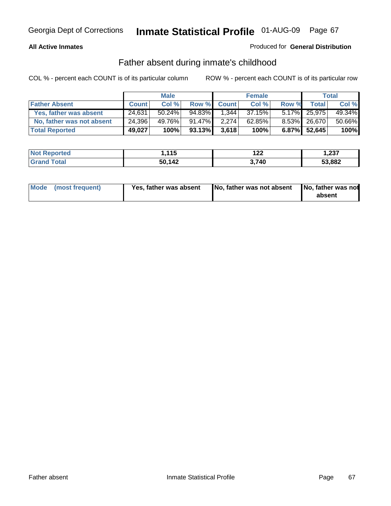### **All Active Inmates**

### Produced for **General Distribution**

### Father absent during inmate's childhood

|                           |              | <b>Male</b> |           |              | <b>Female</b> |       |                 | Total  |
|---------------------------|--------------|-------------|-----------|--------------|---------------|-------|-----------------|--------|
| <b>Father Absent</b>      | <b>Count</b> | Col %       | Row %     | <b>Count</b> | Col %         | Row % | Total           | Col %  |
| Yes, father was absent    | 24,631       | 50.24%      | 94.83%    | 1.344        | 37.15%        |       | 5.17% 25,975    | 49.34% |
| No, father was not absent | 24,396       | 49.76%      | $91.47\%$ | 2,274        | $62.85\%$     |       | 8.53% 26,670    | 50.66% |
| <b>Total Reported</b>     | 49,027       | 100%        | 93.13%    | 3.618        | 100%          |       | $6.87\%$ 52,645 | 100%   |

| <b>Not Reported</b> | , 115  | י י<br>▎∠∠ | 1,237  |
|---------------------|--------|------------|--------|
| l Grand<br>l Total  | 50,142 | 740        | 53,882 |

| Mode (most frequent) | Yes, father was absent | No, father was not absent No, father was not | absent |
|----------------------|------------------------|----------------------------------------------|--------|
|                      |                        |                                              |        |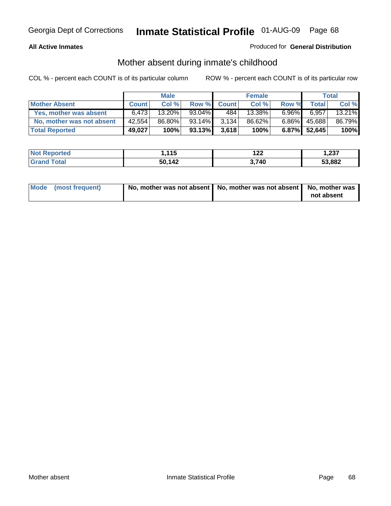### **All Active Inmates**

### Produced for **General Distribution**

## Mother absent during inmate's childhood

|                           |              | <b>Male</b> |        |              | <b>Female</b> |          |              | Total  |
|---------------------------|--------------|-------------|--------|--------------|---------------|----------|--------------|--------|
| <b>Mother Absent</b>      | <b>Count</b> | Col %       | Row %  | <b>Count</b> | Col %         | Row %    | Total        | Col %  |
| Yes, mother was absent    | 6.473        | 13.20%      | 93.04% | 484          | 13.38%        | $6.96\%$ | 6,957        | 13.21% |
| No, mother was not absent | 42,554       | 86.80%      | 93.14% | 3.134        | 86.62%        | $6.86\%$ | 45,688       | 86.79% |
| <b>Total Reported</b>     | 49,027       | 100%        | 93.13% | 3,618        | 100%          |          | 6.87% 52,645 | 100%   |

| <b>Not Reported</b> | 1,115  | 122   | 1,237  |
|---------------------|--------|-------|--------|
| <b>Grand Total</b>  | 50,142 | 3,740 | 53,882 |

| Mode (most frequent) | No, mother was not absent   No, mother was not absent   No, mother was | not absent |
|----------------------|------------------------------------------------------------------------|------------|
|----------------------|------------------------------------------------------------------------|------------|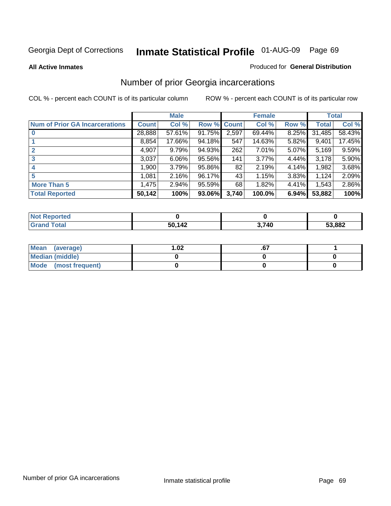#### **All Active Inmates**

### Produced for **General Distribution**

## Number of prior Georgia incarcerations

|                                       |              | <b>Male</b> |        |              | <b>Female</b> |       |        | <b>Total</b> |
|---------------------------------------|--------------|-------------|--------|--------------|---------------|-------|--------|--------------|
| <b>Num of Prior GA Incarcerations</b> | <b>Count</b> | Col %       | Row %  | <b>Count</b> | Col %         | Row % | Total  | Col %        |
|                                       | 28,888       | 57.61%      | 91.75% | 2,597        | 69.44%        | 8.25% | 31,485 | 58.43%       |
|                                       | 8,854        | 17.66%      | 94.18% | 547          | 14.63%        | 5.82% | 9,401  | 17.45%       |
|                                       | 4,907        | 9.79%       | 94.93% | 262          | 7.01%         | 5.07% | 5,169  | 9.59%        |
| 3                                     | 3,037        | 6.06%       | 95.56% | 141          | 3.77%         | 4.44% | 3,178  | 5.90%        |
|                                       | 1,900        | 3.79%       | 95.86% | 82           | 2.19%         | 4.14% | 1,982  | 3.68%        |
| 5                                     | 1,081        | 2.16%       | 96.17% | 43           | 1.15%         | 3.83% | 1,124  | 2.09%        |
| <b>More Than 5</b>                    | 1,475        | 2.94%       | 95.59% | 68           | 1.82%         | 4.41% | 1,543  | 2.86%        |
| <b>Total Reported</b>                 | 50,142       | 100%        | 93.06% | 3,740        | 100.0%        | 6.94% | 53,882 | 100%         |

| orted<br>NO.        |        |       |        |
|---------------------|--------|-------|--------|
| <b>Total</b><br>.Gr | 50 142 | 3,740 | 53,882 |

| Mean (average)       | l.O2 |  |
|----------------------|------|--|
| Median (middle)      |      |  |
| Mode (most frequent) |      |  |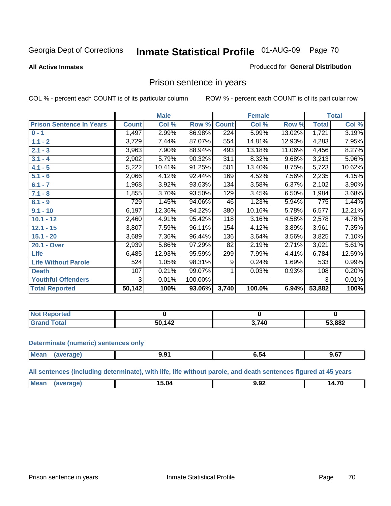### **All Active Inmates**

#### Produced for **General Distribution**

## Prison sentence in years

COL % - percent each COUNT is of its particular column ROW % - percent each COUNT is of its particular row

|                                 |              | <b>Male</b> |         |              | <b>Female</b> |        |              | <b>Total</b> |
|---------------------------------|--------------|-------------|---------|--------------|---------------|--------|--------------|--------------|
| <b>Prison Sentence In Years</b> | <b>Count</b> | Col %       | Row %   | <b>Count</b> | Col %         | Row %  | <b>Total</b> | Col %        |
| $0 - 1$                         | 1,497        | 2.99%       | 86.98%  | 224          | 5.99%         | 13.02% | 1,721        | 3.19%        |
| $1.1 - 2$                       | 3,729        | 7.44%       | 87.07%  | 554          | 14.81%        | 12.93% | 4,283        | 7.95%        |
| $2.1 - 3$                       | 3,963        | 7.90%       | 88.94%  | 493          | 13.18%        | 11.06% | 4,456        | 8.27%        |
| $3.1 - 4$                       | 2,902        | 5.79%       | 90.32%  | 311          | 8.32%         | 9.68%  | 3,213        | 5.96%        |
| $4.1 - 5$                       | 5,222        | 10.41%      | 91.25%  | 501          | 13.40%        | 8.75%  | 5,723        | 10.62%       |
| $5.1 - 6$                       | 2,066        | 4.12%       | 92.44%  | 169          | 4.52%         | 7.56%  | 2,235        | 4.15%        |
| $6.1 - 7$                       | 1,968        | 3.92%       | 93.63%  | 134          | 3.58%         | 6.37%  | 2,102        | 3.90%        |
| $7.1 - 8$                       | 1,855        | 3.70%       | 93.50%  | 129          | 3.45%         | 6.50%  | 1,984        | 3.68%        |
| $8.1 - 9$                       | 729          | 1.45%       | 94.06%  | 46           | 1.23%         | 5.94%  | 775          | 1.44%        |
| $9.1 - 10$                      | 6,197        | 12.36%      | 94.22%  | 380          | 10.16%        | 5.78%  | 6,577        | 12.21%       |
| $10.1 - 12$                     | 2,460        | 4.91%       | 95.42%  | 118          | 3.16%         | 4.58%  | 2,578        | 4.78%        |
| $12.1 - 15$                     | 3,807        | 7.59%       | 96.11%  | 154          | 4.12%         | 3.89%  | 3,961        | 7.35%        |
| $15.1 - 20$                     | 3,689        | 7.36%       | 96.44%  | 136          | 3.64%         | 3.56%  | 3,825        | 7.10%        |
| 20.1 - Over                     | 2,939        | 5.86%       | 97.29%  | 82           | 2.19%         | 2.71%  | 3,021        | 5.61%        |
| <b>Life</b>                     | 6,485        | 12.93%      | 95.59%  | 299          | 7.99%         | 4.41%  | 6,784        | 12.59%       |
| <b>Life Without Parole</b>      | 524          | 1.05%       | 98.31%  | 9            | 0.24%         | 1.69%  | 533          | 0.99%        |
| <b>Death</b>                    | 107          | 0.21%       | 99.07%  |              | 0.03%         | 0.93%  | 108          | 0.20%        |
| <b>Youthful Offenders</b>       | 3            | 0.01%       | 100.00% |              |               |        | 3            | 0.01%        |
| <b>Total Reported</b>           | 50,142       | 100%        | 93.06%  | 3,740        | 100.0%        | 6.94%  | 53,882       | 100%         |

| ported<br><b>NOT</b> |        |       |        |
|----------------------|--------|-------|--------|
| <b>otal</b>          | 50,142 | 2 71N | 53,882 |

#### **Determinate (numeric) sentences only**

| Mear | "ane" | .<br>- - | . ^7<br>9. O I |
|------|-------|----------|----------------|
|      |       |          |                |

**All sentences (including determinate), with life, life without parole, and death sentences figured at 45 years**

| - 112<br>I Д<br>э<br>.<br>---- -<br>-------<br>___ | $M\Omega$ |  | . |
|----------------------------------------------------|-----------|--|---|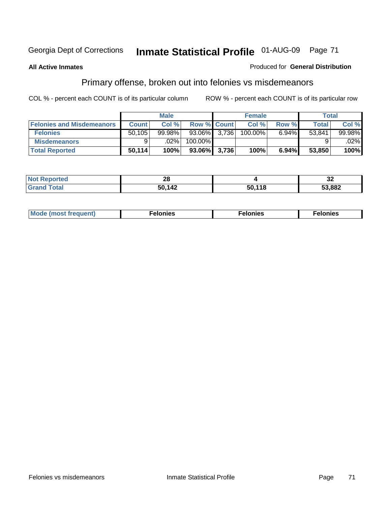### **All Active Inmates**

### Produced for **General Distribution**

# Primary offense, broken out into felonies vs misdemeanors

|                                  |              | <b>Male</b> |                    | <b>Female</b> |          | Total  |         |
|----------------------------------|--------------|-------------|--------------------|---------------|----------|--------|---------|
| <b>Felonies and Misdemeanors</b> | <b>Count</b> | Col%        | <b>Row % Count</b> | Col%          | Row %    | Total  | Col%    |
| <b>Felonies</b>                  | 50.105       | $99.98\%$   | 93.06% 3,736       | 100.00%       | $6.94\%$ | 53.841 | 99.98%  |
| <b>Misdemeanors</b>              |              | $.02\%$     | 100.00%            |               |          |        | $.02\%$ |
| <b>Total Reported</b>            | 50,114       | 100%        | 93.06% 3,736       | 100%          | 6.94%    | 53,850 | 100%    |

| <b>Not Reported</b>       | - 0<br>40 |        | ◡▵     |
|---------------------------|-----------|--------|--------|
| Gran<br><sup>-</sup> otal | 50,142    | 50,118 | 53.882 |

| Mode (most frequent) | elonies | elonies | onies<br>-е к |
|----------------------|---------|---------|---------------|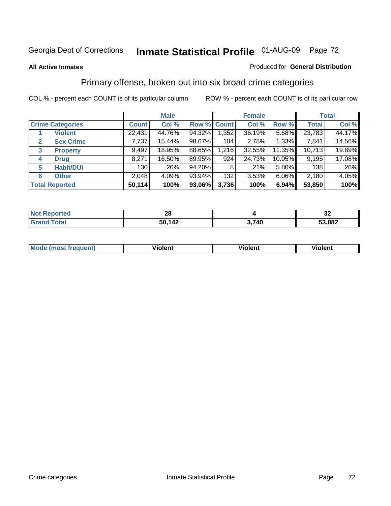### **All Active Inmates**

### Produced for **General Distribution**

## Primary offense, broken out into six broad crime categories

|                                  |              | <b>Male</b> |             |       | <b>Female</b> |          |              | <b>Total</b> |
|----------------------------------|--------------|-------------|-------------|-------|---------------|----------|--------------|--------------|
| <b>Crime Categories</b>          | <b>Count</b> | Col %       | Row % Count |       | Col %         | Row %    | <b>Total</b> | Col %        |
| <b>Violent</b>                   | 22,431       | 44.76%      | 94.32%      | 1,352 | 36.19%        | 5.68%    | 23,783       | 44.17%       |
| <b>Sex Crime</b><br>$\mathbf{2}$ | 7,737        | 15.44%      | 98.67%      | 104   | 2.78%         | 1.33%    | 7,841        | 14.56%       |
| $\mathbf{3}$<br><b>Property</b>  | 9,497        | 18.95%      | 88.65%      | 1,216 | 32.55%        | 11.35%   | 10,713       | 19.89%       |
| <b>Drug</b><br>4                 | 8,271        | 16.50%      | 89.95%      | 924   | 24.73%        | 10.05%   | 9,195        | 17.08%       |
| <b>Habit/DUI</b><br>5            | 130          | .26%        | 94.20%      | 8     | $.21\%$       | $5.80\%$ | 138          | $.26\%$      |
| <b>Other</b><br>6                | 2,048        | 4.09%       | 93.94%      | 132   | 3.53%         | $6.06\%$ | 2,180        | 4.05%        |
| <b>Total Reported</b>            | 50,114       | 100%        | 93.06%      | 3,736 | 100%          | 6.94%    | 53,850       | 100%         |

| <b>orted</b><br>NO | 00<br>$\sim$ |                     | JД     |
|--------------------|--------------|---------------------|--------|
| $-4-1$             | 50,142       | <u>ነ 74በ</u><br>- 7 | 53,882 |

| <b>Mou</b> | .<br>วient | วlent | ent |
|------------|------------|-------|-----|
|            |            |       |     |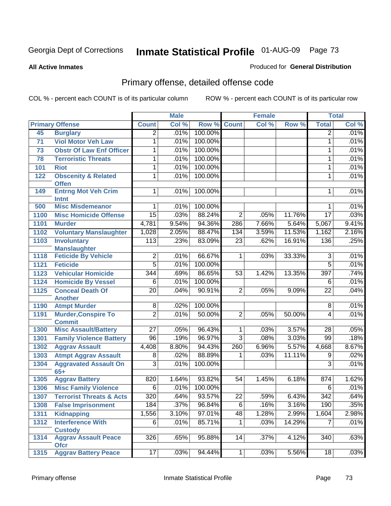**All Active Inmates**

### Produced for **General Distribution**

# Primary offense, detailed offense code

|      |                                                               | <b>Male</b>      |       |         |                 | <b>Female</b> | <b>Total</b> |                  |       |
|------|---------------------------------------------------------------|------------------|-------|---------|-----------------|---------------|--------------|------------------|-------|
|      | <b>Primary Offense</b>                                        | <b>Count</b>     | Col % | Row %   | <b>Count</b>    | Col %         | Row %        | <b>Total</b>     | Col % |
| 45   | <b>Burglary</b>                                               | $\overline{2}$   | .01%  | 100.00% |                 |               |              | $\overline{2}$   | .01%  |
| 71   | <b>Viol Motor Veh Law</b>                                     | 1                | .01%  | 100.00% |                 |               |              | 1                | .01%  |
| 73   | <b>Obstr Of Law Enf Officer</b>                               | 1                | .01%  | 100.00% |                 |               |              | 1                | .01%  |
| 78   | <b>Terroristic Threats</b>                                    | 1                | .01%  | 100.00% |                 |               |              | 1                | .01%  |
| 101  | <b>Riot</b>                                                   | 1                | .01%  | 100.00% |                 |               |              | 1                | .01%  |
| 122  | <b>Obscenity &amp; Related</b>                                | 1                | .01%  | 100.00% |                 |               |              | 1                | .01%  |
|      | <b>Offen</b>                                                  |                  |       |         |                 |               |              |                  |       |
| 149  | <b>Entrng Mot Veh Crim</b><br><b>Intnt</b>                    | 1                | .01%  | 100.00% |                 |               |              | 1                | .01%  |
| 500  | <b>Misc Misdemeanor</b>                                       | 1                | .01%  | 100.00% |                 |               |              | 1                | .01%  |
| 1100 | <b>Misc Homicide Offense</b>                                  | $\overline{15}$  | .03%  | 88.24%  | $\overline{2}$  | .05%          | 11.76%       | $\overline{17}$  | .03%  |
| 1101 | <b>Murder</b>                                                 | 4,781            | 9.54% | 94.36%  | 286             | 7.66%         | 5.64%        | 5,067            | 9.41% |
| 1102 | <b>Voluntary Manslaughter</b>                                 | 1,028            | 2.05% | 88.47%  | 134             | 3.59%         | 11.53%       | 1,162            | 2.16% |
| 1103 | <b>Involuntary</b>                                            | 113              | .23%  | 83.09%  | $\overline{23}$ | .62%          | 16.91%       | 136              | .25%  |
|      | <b>Manslaughter</b>                                           |                  |       |         |                 |               |              |                  |       |
| 1118 | <b>Feticide By Vehicle</b>                                    | $\overline{2}$   | .01%  | 66.67%  | $\mathbf{1}$    | .03%          | 33.33%       | 3                | .01%  |
| 1121 | <b>Feticide</b>                                               | $\overline{5}$   | .01%  | 100.00% |                 |               |              | $\overline{5}$   | .01%  |
| 1123 | <b>Vehicular Homicide</b>                                     | $\overline{344}$ | .69%  | 86.65%  | 53              | 1.42%         | 13.35%       | 397              | .74%  |
| 1124 | <b>Homicide By Vessel</b>                                     | $\overline{6}$   | .01%  | 100.00% |                 |               |              | $\overline{6}$   | .01%  |
| 1125 | <b>Conceal Death Of</b>                                       | $\overline{20}$  | .04%  | 90.91%  | $\overline{2}$  | .05%          | 9.09%        | $\overline{22}$  | .04%  |
|      | <b>Another</b>                                                |                  |       |         |                 |               |              |                  |       |
| 1190 | <b>Atmpt Murder</b>                                           | $\overline{8}$   | .02%  | 100.00% |                 |               |              | $\overline{8}$   | .01%  |
| 1191 | <b>Murder, Conspire To</b>                                    | $\overline{2}$   | .01%  | 50.00%  | $\overline{2}$  | .05%          | 50.00%       | 4                | .01%  |
| 1300 | <b>Commit</b>                                                 | $\overline{27}$  | .05%  | 96.43%  | $\mathbf 1$     | .03%          | 3.57%        | 28               | .05%  |
| 1301 | <b>Misc Assault/Battery</b><br><b>Family Violence Battery</b> | $\overline{96}$  | .19%  | 96.97%  | $\overline{3}$  | .08%          | 3.03%        | $\overline{99}$  | .18%  |
| 1302 | <b>Aggrav Assault</b>                                         | 4,408            | 8.80% | 94.43%  | 260             | 6.96%         | 5.57%        | 4,668            | 8.67% |
|      |                                                               | 8                | .02%  | 88.89%  | 1               | .03%          | 11.11%       |                  | .02%  |
| 1303 | <b>Atmpt Aggrav Assault</b>                                   | $\overline{3}$   | .01%  | 100.00% |                 |               |              | 9<br>3           | .01%  |
| 1304 | <b>Aggravated Assault On</b><br>$65+$                         |                  |       |         |                 |               |              |                  |       |
| 1305 | <b>Aggrav Battery</b>                                         | 820              | 1.64% | 93.82%  | 54              | 1.45%         | 6.18%        | 874              | 1.62% |
| 1306 | <b>Misc Family Violence</b>                                   | 6                | .01%  | 100.00% |                 |               |              | 6                | .01%  |
| 1307 | <b>Terrorist Threats &amp; Acts</b>                           | $\overline{320}$ | .64%  | 93.57%  | $\overline{22}$ | .59%          | 6.43%        | $\overline{342}$ | .64%  |
| 1308 | <b>False Imprisonment</b>                                     | 184              | .37%  | 96.84%  | $\overline{6}$  | .16%          | 3.16%        | 190              | .35%  |
| 1311 | <b>Kidnapping</b>                                             | 1,556            | 3.10% | 97.01%  | 48              | 1.28%         | 2.99%        | 1,604            | 2.98% |
| 1312 | <b>Interference With</b>                                      | $\overline{6}$   | .01%  | 85.71%  | $\mathbf 1$     | .03%          | 14.29%       | 7                | .01%  |
|      | <b>Custody</b>                                                |                  |       |         |                 |               |              |                  |       |
| 1314 | <b>Aggrav Assault Peace</b>                                   | 326              | .65%  | 95.88%  | 14              | .37%          | 4.12%        | $\overline{340}$ | .63%  |
| 1315 | <b>Ofcr</b><br><b>Aggrav Battery Peace</b>                    | 17               | .03%  | 94.44%  | 1               | .03%          | 5.56%        | 18               | .03%  |
|      |                                                               |                  |       |         |                 |               |              |                  |       |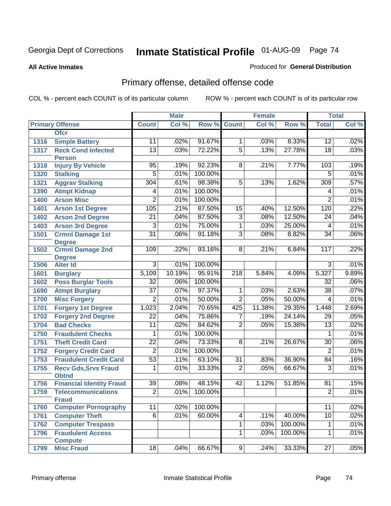#### **All Active Inmates**

### Produced for **General Distribution**

# Primary offense, detailed offense code

|              |                                                 |                          | <b>Male</b> |         |                 | <b>Female</b> |         |                          | <b>Total</b>  |
|--------------|-------------------------------------------------|--------------------------|-------------|---------|-----------------|---------------|---------|--------------------------|---------------|
|              | <b>Primary Offense</b>                          | <b>Count</b>             | Col %       | Row %   | <b>Count</b>    | Col %         | Row %   | <b>Total</b>             | Col %         |
|              | <b>Ofcr</b>                                     |                          |             |         |                 |               |         |                          |               |
| 1316         | <b>Simple Battery</b>                           | 11                       | .02%        | 91.67%  | $\mathbf 1$     | .03%          | 8.33%   | 12                       | .02%          |
| 1317         | <b>Reck Cond Infected</b>                       | $\overline{13}$          | .03%        | 72.22%  | $\overline{5}$  | .13%          | 27.78%  | $\overline{18}$          | .03%          |
|              | <b>Person</b>                                   |                          |             |         |                 |               |         |                          |               |
| 1318         | <b>Injury By Vehicle</b>                        | 95                       | .19%        | 92.23%  | 8               | .21%          | 7.77%   | 103                      | .19%          |
| 1320         | <b>Stalking</b>                                 | $\overline{5}$           | .01%        | 100.00% |                 |               |         | $\overline{5}$           | .01%          |
| 1321         | <b>Aggrav Stalking</b>                          | 304                      | .61%        | 98.38%  | $\overline{5}$  | .13%          | 1.62%   | 309                      | .57%          |
| 1390         | <b>Atmpt Kidnap</b>                             | 4                        | .01%        | 100.00% |                 |               |         | 4                        | .01%          |
| 1400         | <b>Arson Misc</b>                               | $\overline{2}$           | .01%        | 100.00% |                 |               |         | $\overline{2}$           | .01%          |
| 1401         | <b>Arson 1st Degree</b>                         | 105                      | .21%        | 87.50%  | $\overline{15}$ | .40%          | 12.50%  | 120                      | .22%          |
| 1402         | <b>Arson 2nd Degree</b>                         | $\overline{21}$          | .04%        | 87.50%  | $\overline{3}$  | .08%          | 12.50%  | $\overline{24}$          | .04%          |
| 1403         | <b>Arson 3rd Degree</b>                         | 3                        | .01%        | 75.00%  | 1               | .03%          | 25.00%  | 4                        | .01%          |
| 1501         | <b>Crmnl Damage 1st</b>                         | $\overline{31}$          | .06%        | 91.18%  | $\overline{3}$  | .08%          | 8.82%   | $\overline{34}$          | .06%          |
|              | <b>Degree</b>                                   |                          |             |         |                 |               |         |                          |               |
| 1502         | <b>Crmnl Damage 2nd</b>                         | 109                      | .22%        | 93.16%  | 8               | .21%          | 6.84%   | 117                      | .22%          |
| 1506         | <b>Degree</b><br><b>Alter Id</b>                | $\overline{3}$           | .01%        | 100.00% |                 |               |         | $\overline{3}$           | .01%          |
|              |                                                 |                          | 10.19%      | 95.91%  |                 | 5.84%         | 4.09%   |                          |               |
| 1601<br>1602 | <b>Burglary</b><br><b>Poss Burglar Tools</b>    | 5,109<br>$\overline{32}$ | .06%        | 100.00% | 218             |               |         | 5,327<br>$\overline{32}$ | 9.89%<br>.06% |
|              |                                                 | $\overline{37}$          | .07%        | 97.37%  | $\overline{1}$  |               | 2.63%   | $\overline{38}$          | .07%          |
| 1690         | <b>Atmpt Burglary</b>                           | $\overline{2}$           | .01%        | 50.00%  | $\overline{2}$  | .03%<br>.05%  | 50.00%  |                          | .01%          |
| 1700         | <b>Misc Forgery</b>                             |                          |             |         |                 |               |         | 4                        |               |
| 1701         | <b>Forgery 1st Degree</b>                       | 1,023                    | 2.04%       | 70.65%  | 425             | 11.38%        | 29.35%  | 1,448                    | 2.69%         |
| 1702         | <b>Forgery 2nd Degree</b>                       | $\overline{22}$          | .04%        | 75.86%  | 7               | .19%          | 24.14%  | $\overline{29}$          | .05%          |
| 1704         | <b>Bad Checks</b>                               | $\overline{11}$          | .02%        | 84.62%  | $\overline{2}$  | .05%          | 15.38%  | $\overline{13}$          | .02%          |
| 1750         | <b>Fraudulent Checks</b>                        | 1                        | .01%        | 100.00% |                 |               |         | 1                        | .01%          |
| 1751         | <b>Theft Credit Card</b>                        | $\overline{22}$          | .04%        | 73.33%  | $\overline{8}$  | .21%          | 26.67%  | 30                       | .06%          |
| 1752         | <b>Forgery Credit Card</b>                      | $\overline{2}$           | .01%        | 100.00% |                 |               |         | $\overline{2}$           | .01%          |
| 1753         | <b>Fraudulent Credit Card</b>                   | $\overline{53}$          | .11%        | 63.10%  | $\overline{31}$ | .83%          | 36.90%  | $\overline{84}$          | .16%          |
| 1755         | <b>Recv Gds, Srvs Fraud</b>                     | 1                        | .01%        | 33.33%  | $\overline{2}$  | .05%          | 66.67%  | $\overline{3}$           | .01%          |
| 1756         | <b>Obtnd</b><br><b>Financial Identity Fraud</b> | 39                       | .08%        | 48.15%  | 42              | 1.12%         | 51.85%  | 81                       | .15%          |
| 1759         | <b>Telecommunications</b>                       | $\overline{2}$           | .01%        | 100.00% |                 |               |         | $\overline{2}$           | .01%          |
|              | <b>Fraud</b>                                    |                          |             |         |                 |               |         |                          |               |
| 1760         | <b>Computer Pornography</b>                     | 11                       | .02%        | 100.00% |                 |               |         | $\overline{11}$          | .02%          |
| 1761         | <b>Computer Theft</b>                           | $\overline{6}$           | .01%        | 60.00%  | 4               | .11%          | 40.00%  | 10                       | .02%          |
| 1762         | <b>Computer Trespass</b>                        |                          |             |         | $\overline{1}$  | .03%          | 100.00% | $\mathbf{1}$             | .01%          |
| 1796         | <b>Fraudulent Access</b>                        |                          |             |         | $\overline{1}$  | .03%          | 100.00% | 1                        | .01%          |
|              | <b>Compute</b>                                  |                          |             |         |                 |               |         |                          |               |
| 1799         | <b>Misc Fraud</b>                               | 18                       | .04%        | 66.67%  | $\overline{9}$  | .24%          | 33.33%  | $\overline{27}$          | .05%          |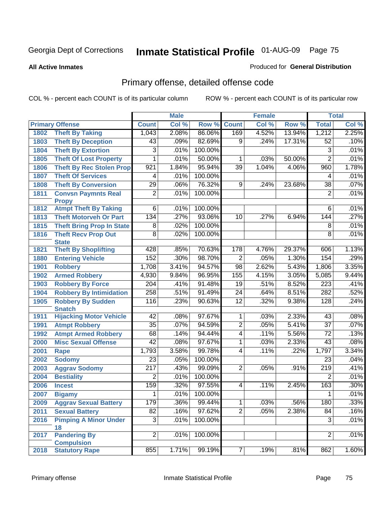#### **All Active Inmates**

### Produced for **General Distribution**

# Primary offense, detailed offense code

|      |                                             |                  | <b>Male</b> |         |                 | <b>Female</b> |        |                  | <b>Total</b> |
|------|---------------------------------------------|------------------|-------------|---------|-----------------|---------------|--------|------------------|--------------|
|      | <b>Primary Offense</b>                      | <b>Count</b>     | Col %       | Row %   | <b>Count</b>    | Col %         | Row %  | <b>Total</b>     | Col %        |
| 1802 | <b>Theft By Taking</b>                      | 1,043            | 2.08%       | 86.06%  | 169             | 4.52%         | 13.94% | 1,212            | 2.25%        |
| 1803 | <b>Theft By Deception</b>                   | 43               | .09%        | 82.69%  | $\overline{9}$  | .24%          | 17.31% | 52               | .10%         |
| 1804 | <b>Theft By Extortion</b>                   | 3                | .01%        | 100.00% |                 |               |        | 3                | .01%         |
| 1805 | <b>Theft Of Lost Property</b>               | 1                | .01%        | 50.00%  | 1               | .03%          | 50.00% | $\overline{2}$   | .01%         |
| 1806 | <b>Theft By Rec Stolen Prop</b>             | 921              | 1.84%       | 95.94%  | 39              | 1.04%         | 4.06%  | 960              | 1.78%        |
| 1807 | <b>Theft Of Services</b>                    | 4                | .01%        | 100.00% |                 |               |        | 4                | .01%         |
| 1808 | <b>Theft By Conversion</b>                  | 29               | .06%        | 76.32%  | 9               | .24%          | 23.68% | $\overline{38}$  | .07%         |
| 1811 | <b>Convsn Paymnts Real</b><br><b>Propy</b>  | $\overline{2}$   | .01%        | 100.00% |                 |               |        | $\overline{2}$   | .01%         |
| 1812 | <b>Atmpt Theft By Taking</b>                | $\overline{6}$   | .01%        | 100.00% |                 |               |        | 6                | .01%         |
| 1813 | <b>Theft Motorveh Or Part</b>               | 134              | .27%        | 93.06%  | 10              | .27%          | 6.94%  | 144              | .27%         |
| 1815 | <b>Theft Bring Prop In State</b>            | $\overline{8}$   | .02%        | 100.00% |                 |               |        | 8                | .01%         |
| 1816 | <b>Theft Recv Prop Out</b>                  | $\overline{8}$   | .02%        | 100.00% |                 |               |        | $\overline{8}$   | .01%         |
| 1821 | <b>State</b><br><b>Theft By Shoplifting</b> | 428              | .85%        | 70.63%  | 178             | 4.76%         | 29.37% | 606              | 1.13%        |
| 1880 | <b>Entering Vehicle</b>                     | 152              | .30%        | 98.70%  | $\overline{2}$  | .05%          | 1.30%  | 154              | .29%         |
| 1901 | <b>Robbery</b>                              | 1,708            | 3.41%       | 94.57%  | 98              | 2.62%         | 5.43%  | 1,806            | 3.35%        |
| 1902 | <b>Armed Robbery</b>                        | 4,930            | 9.84%       | 96.95%  | 155             | 4.15%         | 3.05%  | 5,085            | 9.44%        |
| 1903 | <b>Robbery By Force</b>                     | $\overline{204}$ | .41%        | 91.48%  | 19              | .51%          | 8.52%  | $\overline{223}$ | .41%         |
| 1904 | <b>Robbery By Intimidation</b>              | 258              | .51%        | 91.49%  | $\overline{24}$ | .64%          | 8.51%  | 282              | .52%         |
| 1905 | <b>Robbery By Sudden</b>                    | 116              | .23%        | 90.63%  | $\overline{12}$ | .32%          | 9.38%  | 128              | .24%         |
|      | <b>Snatch</b>                               |                  |             |         |                 |               |        |                  |              |
| 1911 | <b>Hijacking Motor Vehicle</b>              | 42               | .08%        | 97.67%  | 1               | .03%          | 2.33%  | $\overline{43}$  | .08%         |
| 1991 | <b>Atmpt Robbery</b>                        | $\overline{35}$  | .07%        | 94.59%  | $\overline{2}$  | .05%          | 5.41%  | $\overline{37}$  | .07%         |
| 1992 | <b>Atmpt Armed Robbery</b>                  | 68               | .14%        | 94.44%  | $\overline{4}$  | .11%          | 5.56%  | $\overline{72}$  | .13%         |
| 2000 | <b>Misc Sexual Offense</b>                  | $\overline{42}$  | .08%        | 97.67%  | $\mathbf{1}$    | .03%          | 2.33%  | 43               | .08%         |
| 2001 | <b>Rape</b>                                 | 1,793            | 3.58%       | 99.78%  | $\overline{4}$  | .11%          | .22%   | 1,797            | 3.34%        |
| 2002 | <b>Sodomy</b>                               | $\overline{23}$  | .05%        | 100.00% |                 |               |        | $\overline{23}$  | .04%         |
| 2003 | <b>Aggrav Sodomy</b>                        | 217              | .43%        | 99.09%  | $\overline{2}$  | .05%          | .91%   | 219              | .41%         |
| 2004 | <b>Bestiality</b>                           | $\overline{2}$   | .01%        | 100.00% |                 |               |        | $\overline{2}$   | .01%         |
| 2006 | <b>Incest</b>                               | 159              | .32%        | 97.55%  | 4               | .11%          | 2.45%  | 163              | .30%         |
| 2007 | <b>Bigamy</b>                               | 1                | .01%        | 100.00% |                 |               |        | 1                | .01%         |
| 2009 | <b>Aggrav Sexual Battery</b>                | 179              | .36%        | 99.44%  | $\overline{1}$  | .03%          | .56%   | 180              | .33%         |
| 2011 | <b>Sexual Battery</b>                       | $\overline{82}$  | .16%        | 97.62%  | $\overline{2}$  | .05%          | 2.38%  | 84               | .16%         |
| 2016 | <b>Pimping A Minor Under</b>                | $\overline{3}$   | .01%        | 100.00% |                 |               |        | $\overline{3}$   | .01%         |
|      | 18<br><b>Pandering By</b>                   | $\overline{2}$   |             | 100.00% |                 |               |        | $\overline{2}$   | .01%         |
| 2017 | <b>Compulsion</b>                           |                  | .01%        |         |                 |               |        |                  |              |
| 2018 | <b>Statutory Rape</b>                       | 855              | 1.71%       | 99.19%  | $\overline{7}$  | .19%          | .81%   | 862              | 1.60%        |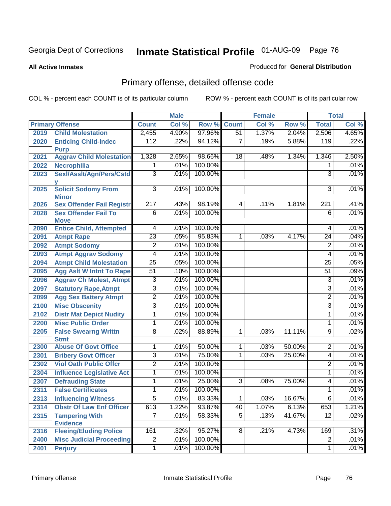#### **All Active Inmates**

### Produced for **General Distribution**

# Primary offense, detailed offense code

|              |                                                  |                 | <b>Male</b> |         |                 | <b>Female</b> |        |                 | <b>Total</b> |
|--------------|--------------------------------------------------|-----------------|-------------|---------|-----------------|---------------|--------|-----------------|--------------|
|              | <b>Primary Offense</b>                           | <b>Count</b>    | Col %       | Row %   | <b>Count</b>    | Col %         | Row %  | <b>Total</b>    | Col %        |
| 2019         | <b>Child Molestation</b>                         | 2,455           | 4.90%       | 97.96%  | 51              | 1.37%         | 2.04%  | 2,506           | 4.65%        |
| 2020         | <b>Enticing Child-Indec</b>                      | 112             | .22%        | 94.12%  | $\overline{7}$  | .19%          | 5.88%  | 119             | .22%         |
|              | <b>Purp</b>                                      |                 |             |         |                 |               |        |                 |              |
| 2021         | <b>Aggrav Child Molestation</b>                  | 1,328           | 2.65%       | 98.66%  | 18              | .48%          | 1.34%  | 1,346           | 2.50%        |
| 2022         | <b>Necrophilia</b>                               | 1               | .01%        | 100.00% |                 |               |        | 1               | .01%         |
| 2023         | Sexl/Asslt/Agn/Pers/Cstd                         | 3               | .01%        | 100.00% |                 |               |        | $\overline{3}$  | .01%         |
| 2025         | <b>Solicit Sodomy From</b>                       | 3 <sup>1</sup>  | .01%        | 100.00% |                 |               |        | $\overline{3}$  | .01%         |
|              | <b>Minor</b>                                     |                 |             |         |                 |               |        |                 |              |
| 2026         | <b>Sex Offender Fail Registr</b>                 | 217             | .43%        | 98.19%  | $\vert 4 \vert$ | .11%          | 1.81%  | 221             | .41%         |
| 2028         | <b>Sex Offender Fail To</b>                      | $\overline{6}$  | .01%        | 100.00% |                 |               |        | $\overline{6}$  | .01%         |
|              | <b>Move</b>                                      |                 |             |         |                 |               |        |                 |              |
| 2090         | <b>Entice Child, Attempted</b>                   | 4               | .01%        | 100.00% |                 |               |        | 4               | .01%         |
| 2091         | <b>Atmpt Rape</b>                                | $\overline{23}$ | .05%        | 95.83%  | $\mathbf{1}$    | .03%          | 4.17%  | $\overline{24}$ | .04%         |
| 2092         | <b>Atmpt Sodomy</b>                              | $\overline{2}$  | .01%        | 100.00% |                 |               |        | $\overline{2}$  | .01%         |
| 2093         | <b>Atmpt Aggrav Sodomy</b>                       | $\overline{4}$  | .01%        | 100.00% |                 |               |        | 4               | .01%         |
| 2094         | <b>Atmpt Child Molestation</b>                   | $\overline{25}$ | .05%        | 100.00% |                 |               |        | $\overline{25}$ | .05%         |
| 2095         | <b>Agg Aslt W Intnt To Rape</b>                  | $\overline{51}$ | .10%        | 100.00% |                 |               |        | $\overline{51}$ | .09%         |
| 2096         | <b>Aggrav Ch Molest, Atmpt</b>                   | 3               | .01%        | 100.00% |                 |               |        | 3               | .01%         |
| 2097         | <b>Statutory Rape, Atmpt</b>                     | $\overline{3}$  | .01%        | 100.00% |                 |               |        | 3               | .01%         |
| 2099         | <b>Agg Sex Battery Atmpt</b>                     | $\overline{2}$  | .01%        | 100.00% |                 |               |        | 2               | .01%         |
| 2100         | <b>Misc Obscenity</b>                            | $\overline{3}$  | .01%        | 100.00% |                 |               |        | $\overline{3}$  | .01%         |
| 2102         | <b>Distr Mat Depict Nudity</b>                   | $\overline{1}$  | .01%        | 100.00% |                 |               |        | 1               | .01%         |
| 2200         | <b>Misc Public Order</b>                         | $\overline{1}$  | .01%        | 100.00% |                 |               |        | 1               | .01%         |
| 2205         | <b>False Swearng Writtn</b>                      | $\overline{8}$  | .02%        | 88.89%  | $\mathbf{1}$    | .03%          | 11.11% | 9               | .02%         |
|              | <b>Stmt</b>                                      |                 |             |         |                 |               |        |                 |              |
| 2300         | <b>Abuse Of Govt Office</b>                      | 1               | .01%        | 50.00%  | 1.              | .03%          | 50.00% | 2               | .01%         |
| 2301         | <b>Bribery Govt Officer</b>                      | 3               | .01%        | 75.00%  | 1               | .03%          | 25.00% | $\overline{4}$  | .01%         |
| 2302         | <b>Viol Oath Public Offcr</b>                    | $\overline{2}$  | .01%        | 100.00% |                 |               |        | 2               | .01%         |
| 2304         | <b>Influence Legislative Act</b>                 | $\mathbf{1}$    | .01%        | 100.00% |                 |               |        | $\mathbf{1}$    | .01%         |
| 2307         | <b>Defrauding State</b>                          | 1               | .01%        | 25.00%  | 3               | .08%          | 75.00% | 4               | .01%         |
| 2311         | <b>False Certificates</b>                        | 1               | .01%        | 100.00% |                 |               |        | 1               | .01%         |
| 2313         | <b>Influencing Witness</b>                       | $\overline{5}$  | .01%        | 83.33%  | $\overline{1}$  | .03%          | 16.67% | $\overline{6}$  | .01%         |
| 2314         | <b>Obstr Of Law Enf Officer</b>                  | 613             | 1.22%       | 93.87%  | 40              | 1.07%         | 6.13%  | 653             | 1.21%        |
| 2315         | <b>Tampering With</b>                            | $\overline{7}$  | .01%        | 58.33%  | 5               | .13%          | 41.67% | 12              | .02%         |
|              | <b>Evidence</b><br><b>Fleeing/Eluding Police</b> | 161             | .32%        | 95.27%  | 8 <sup>1</sup>  | .21%          | 4.73%  | 169             | .31%         |
| 2316<br>2400 | <b>Misc Judicial Proceeding</b>                  | $\overline{2}$  | .01%        | 100.00% |                 |               |        | $\overline{2}$  | .01%         |
|              |                                                  |                 |             | 100.00% |                 |               |        |                 |              |
| 2401         | <b>Perjury</b>                                   | $\mathbf{1}$    | .01%        |         |                 |               |        | 1               | .01%         |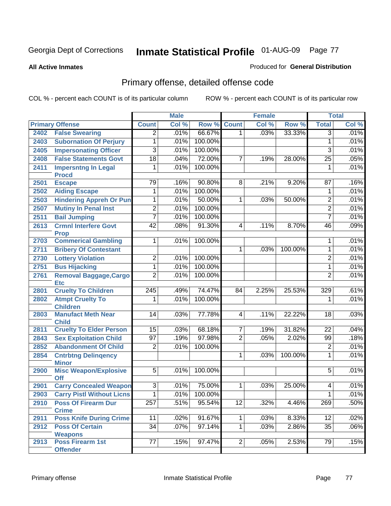**All Active Inmates**

### Produced for **General Distribution**

# Primary offense, detailed offense code

|      |                                              | <b>Male</b>      |       | <b>Female</b> |                |       | <b>Total</b> |                 |       |
|------|----------------------------------------------|------------------|-------|---------------|----------------|-------|--------------|-----------------|-------|
|      | <b>Primary Offense</b>                       | <b>Count</b>     | Col % | Row %         | Count          | Col % | Row %        | <b>Total</b>    | Col % |
| 2402 | <b>False Swearing</b>                        | $\overline{2}$   | .01%  | 66.67%        | 1 <sup>1</sup> | .03%  | 33.33%       | $\overline{3}$  | .01%  |
| 2403 | <b>Subornation Of Perjury</b>                | 1                | .01%  | 100.00%       |                |       |              | 1               | .01%  |
| 2405 | <b>Impersonating Officer</b>                 | $\overline{3}$   | .01%  | 100.00%       |                |       |              | $\overline{3}$  | .01%  |
| 2408 | <b>False Statements Govt</b>                 | $\overline{18}$  | .04%  | 72.00%        | 7              | .19%  | 28.00%       | $\overline{25}$ | .05%  |
| 2411 | <b>Impersntng In Legal</b>                   | 1                | .01%  | 100.00%       |                |       |              | 1               | .01%  |
|      | <b>Procd</b>                                 |                  |       |               |                |       |              |                 |       |
| 2501 | <b>Escape</b>                                | 79               | .16%  | 90.80%        | $\overline{8}$ | .21%  | 9.20%        | $\overline{87}$ | .16%  |
| 2502 | <b>Aiding Escape</b>                         | 1                | .01%  | 100.00%       |                |       |              | 1               | .01%  |
| 2503 | <b>Hindering Appreh Or Pun</b>               | 1                | .01%  | 50.00%        | 1              | .03%  | 50.00%       | $\overline{2}$  | .01%  |
| 2507 | <b>Mutiny In Penal Inst</b>                  | $\overline{2}$   | .01%  | 100.00%       |                |       |              | $\overline{2}$  | .01%  |
| 2511 | <b>Bail Jumping</b>                          | $\overline{7}$   | .01%  | 100.00%       |                |       |              | $\overline{7}$  | .01%  |
| 2613 | <b>Crmnl Interfere Govt</b>                  | $\overline{42}$  | .08%  | 91.30%        | $\overline{4}$ | .11%  | 8.70%        | 46              | .09%  |
|      | <b>Prop</b>                                  |                  |       |               |                |       |              |                 |       |
| 2703 | <b>Commerical Gambling</b>                   | 1                | .01%  | 100.00%       |                |       |              | 1               | .01%  |
| 2711 | <b>Bribery Of Contestant</b>                 |                  |       |               | $\mathbf{1}$   | .03%  | 100.00%      | 1               | .01%  |
| 2730 | <b>Lottery Violation</b>                     | $\overline{2}$   | .01%  | 100.00%       |                |       |              | $\overline{2}$  | .01%  |
| 2751 | <b>Bus Hijacking</b>                         | $\overline{1}$   | .01%  | 100.00%       |                |       |              | $\overline{1}$  | .01%  |
| 2761 | <b>Removal Baggage, Cargo</b><br><b>Etc</b>  | $\overline{2}$   | .01%  | 100.00%       |                |       |              | $\overline{2}$  | .01%  |
| 2801 | <b>Cruelty To Children</b>                   | $\overline{245}$ | .49%  | 74.47%        | 84             | 2.25% | 25.53%       | 329             | .61%  |
| 2802 | <b>Atmpt Cruelty To</b>                      | 1                | .01%  | 100.00%       |                |       |              | 1               | .01%  |
|      | <b>Children</b>                              |                  |       |               |                |       |              |                 |       |
| 2803 | <b>Manufact Meth Near</b>                    | 14               | .03%  | 77.78%        | 4              | .11%  | 22.22%       | 18              | .03%  |
|      | <b>Child</b>                                 |                  |       |               |                |       |              |                 |       |
| 2811 | <b>Cruelty To Elder Person</b>               | 15               | .03%  | 68.18%        | $\overline{7}$ | .19%  | 31.82%       | 22              | .04%  |
| 2843 | <b>Sex Exploitation Child</b>                | $\overline{97}$  | .19%  | 97.98%        | $\overline{2}$ | .05%  | 2.02%        | 99              | .18%  |
| 2852 | <b>Abandonment Of Child</b>                  | $\overline{2}$   | .01%  | 100.00%       |                |       |              | $\overline{2}$  | .01%  |
| 2854 | <b>Cntrbtng Delingency</b>                   |                  |       |               | 1              | .03%  | 100.00%      | 1               | .01%  |
| 2900 | <b>Minor</b><br><b>Misc Weapon/Explosive</b> | $\overline{5}$   | .01%  | 100.00%       |                |       |              | $\overline{5}$  | .01%  |
|      | <b>Off</b>                                   |                  |       |               |                |       |              |                 |       |
| 2901 | <b>Carry Concealed Weapon</b>                | $\overline{3}$   | .01%  | 75.00%        | $\mathbf 1$    | .03%  | 25.00%       | 4               | .01%  |
| 2903 | <b>Carry Pistl Without Licns</b>             | $\overline{1}$   | .01%  | 100.00%       |                |       |              | $\overline{1}$  | .01%  |
| 2910 | <b>Poss Of Firearm Dur</b>                   | $\overline{257}$ | .51%  | 95.54%        | 12             | .32%  | 4.46%        | 269             | .50%  |
|      | <b>Crime</b>                                 |                  |       |               |                |       |              |                 |       |
| 2911 | <b>Poss Knife During Crime</b>               | 11               | .02%  | 91.67%        | 1              | .03%  | 8.33%        | 12              | .02%  |
| 2912 | <b>Poss Of Certain</b>                       | $\overline{34}$  | .07%  | 97.14%        | $\overline{1}$ | .03%  | 2.86%        | $\overline{35}$ | .06%  |
|      | <b>Weapons</b>                               |                  |       |               |                |       |              |                 |       |
| 2913 | <b>Poss Firearm 1st</b>                      | 77               | .15%  | 97.47%        | $\vert$ 2      | .05%  | 2.53%        | 79              | .15%  |
|      | <b>Offender</b>                              |                  |       |               |                |       |              |                 |       |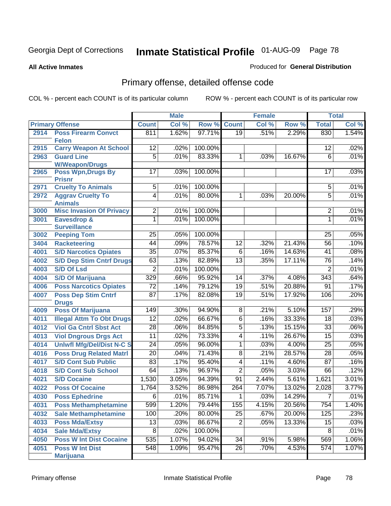**All Active Inmates**

### Produced for **General Distribution**

# Primary offense, detailed offense code

|      |                                            |                 | <b>Male</b> |         | <b>Female</b>   |       |        | <b>Total</b>     |       |
|------|--------------------------------------------|-----------------|-------------|---------|-----------------|-------|--------|------------------|-------|
|      | <b>Primary Offense</b>                     | <b>Count</b>    | Col %       | Row %   | <b>Count</b>    | Col % | Row %  | <b>Total</b>     | Col % |
| 2914 | <b>Poss Firearm Convct</b>                 | 811             | 1.62%       | 97.71%  | $\overline{19}$ | .51%  | 2.29%  | 830              | 1.54% |
|      | <b>Felon</b>                               |                 |             |         |                 |       |        |                  |       |
| 2915 | <b>Carry Weapon At School</b>              | $\overline{12}$ | .02%        | 100.00% |                 |       |        | 12               | .02%  |
| 2963 | <b>Guard Line</b>                          | $\overline{5}$  | .01%        | 83.33%  | 1               | .03%  | 16.67% | 6                | .01%  |
|      | <b>W/Weapon/Drugs</b>                      |                 |             |         |                 |       |        |                  |       |
| 2965 | <b>Poss Wpn, Drugs By</b>                  | $\overline{17}$ | .03%        | 100.00% |                 |       |        | 17               | .03%  |
| 2971 | <b>Prisnr</b><br><b>Cruelty To Animals</b> | $\overline{5}$  | .01%        | 100.00% |                 |       |        | 5                | .01%  |
| 2972 | <b>Aggrav Cruelty To</b>                   | $\overline{4}$  | .01%        | 80.00%  | 1               | .03%  | 20.00% | $\overline{5}$   | .01%  |
|      | <b>Animals</b>                             |                 |             |         |                 |       |        |                  |       |
| 3000 | <b>Misc Invasion Of Privacy</b>            | $\overline{2}$  | .01%        | 100.00% |                 |       |        | $\overline{2}$   | .01%  |
| 3001 | <b>Eavesdrop &amp;</b>                     | 1               | .01%        | 100.00% |                 |       |        | 1                | .01%  |
|      | <b>Surveillance</b>                        |                 |             |         |                 |       |        |                  |       |
| 3002 | <b>Peeping Tom</b>                         | 25              | .05%        | 100.00% |                 |       |        | 25               | .05%  |
| 3404 | <b>Racketeering</b>                        | $\overline{44}$ | .09%        | 78.57%  | $\overline{12}$ | .32%  | 21.43% | $\overline{56}$  | .10%  |
| 4001 | <b>S/D Narcotics Opiates</b>               | $\overline{35}$ | .07%        | 85.37%  | $\overline{6}$  | .16%  | 14.63% | 41               | .08%  |
| 4002 | <b>S/D Dep Stim Cntrf Drugs</b>            | 63              | .13%        | 82.89%  | $\overline{13}$ | .35%  | 17.11% | $\overline{76}$  | .14%  |
| 4003 | <b>S/D Of Lsd</b>                          | $\overline{2}$  | .01%        | 100.00% |                 |       |        | $\overline{2}$   | .01%  |
| 4004 | <b>S/D Of Marijuana</b>                    | 329             | .66%        | 95.92%  | 14              | .37%  | 4.08%  | $\overline{343}$ | .64%  |
| 4006 | <b>Poss Narcotics Opiates</b>              | $\overline{72}$ | .14%        | 79.12%  | $\overline{19}$ | .51%  | 20.88% | 91               | .17%  |
| 4007 | <b>Poss Dep Stim Cntrf</b>                 | $\overline{87}$ | .17%        | 82.08%  | $\overline{19}$ | .51%  | 17.92% | 106              | .20%  |
|      | <b>Drugs</b>                               |                 |             |         |                 |       |        |                  |       |
| 4009 | <b>Poss Of Marijuana</b>                   | 149             | .30%        | 94.90%  | $\overline{8}$  | .21%  | 5.10%  | 157              | .29%  |
| 4011 | <b>Illegal Attm To Obt Drugs</b>           | $\overline{12}$ | .02%        | 66.67%  | $\overline{6}$  | .16%  | 33.33% | $\overline{18}$  | .03%  |
| 4012 | <b>Viol Ga Cntrl Sbst Act</b>              | $\overline{28}$ | .06%        | 84.85%  | $\overline{5}$  | .13%  | 15.15% | $\overline{33}$  | .06%  |
| 4013 | <b>Viol Dngrous Drgs Act</b>               | $\overline{11}$ | .02%        | 73.33%  | 4               | .11%  | 26.67% | 15               | .03%  |
| 4014 | <b>Uniwfl Mfg/Del/Dist N-C S</b>           | $\overline{24}$ | .05%        | 96.00%  | $\overline{1}$  | .03%  | 4.00%  | $\overline{25}$  | .05%  |
| 4016 | <b>Poss Drug Related Matri</b>             | $\overline{20}$ | .04%        | 71.43%  | $\overline{8}$  | .21%  | 28.57% | $\overline{28}$  | .05%  |
| 4017 | <b>S/D Cont Sub Public</b>                 | $\overline{83}$ | .17%        | 95.40%  | $\overline{4}$  | .11%  | 4.60%  | $\overline{87}$  | .16%  |
| 4018 | <b>S/D Cont Sub School</b>                 | 64              | .13%        | 96.97%  | $\overline{2}$  | .05%  | 3.03%  | 66               | .12%  |
| 4021 | <b>S/D Cocaine</b>                         | 1,530           | 3.05%       | 94.39%  | $\overline{91}$ | 2.44% | 5.61%  | 1,621            | 3.01% |
| 4022 | <b>Poss Of Cocaine</b>                     | 1,764           | 3.52%       | 86.98%  | 264             | 7.07% | 13.02% | 2,028            | 3.77% |
| 4030 | <b>Poss Ephedrine</b>                      | $\overline{6}$  | .01%        | 85.71%  | $\overline{1}$  | .03%  | 14.29% | $\overline{7}$   | .01%  |
| 4031 | <b>Poss Methamphetamine</b>                | 599             | 1.20%       | 79.44%  | 155             | 4.15% | 20.56% | $\overline{754}$ | 1.40% |
| 4032 | <b>Sale Methamphetamine</b>                | 100             | .20%        | 80.00%  | $\overline{25}$ | .67%  | 20.00% | 125              | .23%  |
| 4033 | <b>Poss Mda/Extsy</b>                      | $\overline{13}$ | .03%        | 86.67%  | $\overline{2}$  | .05%  | 13.33% | 15               | .03%  |
| 4034 | <b>Sale Mda/Extsy</b>                      | $\overline{8}$  | .02%        | 100.00% |                 |       |        | 8                | .01%  |
| 4050 | <b>Poss W Int Dist Cocaine</b>             | 535             | 1.07%       | 94.02%  | $\overline{34}$ | .91%  | 5.98%  | 569              | 1.06% |
| 4051 | <b>Poss W Int Dist</b>                     | 548             | 1.09%       | 95.47%  | $\overline{26}$ | .70%  | 4.53%  | 574              | 1.07% |
|      | <b>Marijuana</b>                           |                 |             |         |                 |       |        |                  |       |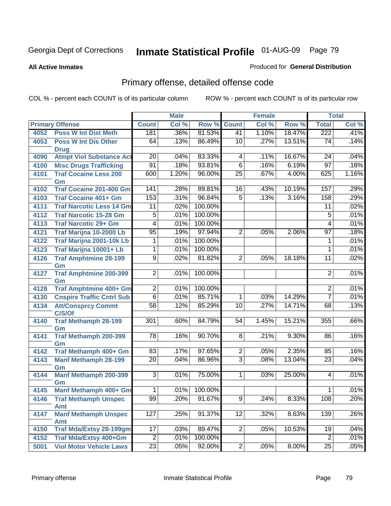#### **All Active Inmates**

### Produced for **General Distribution**

# Primary offense, detailed offense code

|      |                                           | <b>Male</b>     |       | <b>Female</b> |                 |                            | <b>Total</b> |                 |       |
|------|-------------------------------------------|-----------------|-------|---------------|-----------------|----------------------------|--------------|-----------------|-------|
|      | <b>Primary Offense</b>                    | <b>Count</b>    | Col % | Row %         | <b>Count</b>    | $\overline{\text{Col }^9}$ | Row %        | <b>Total</b>    | Col % |
| 4052 | <b>Poss W Int Dist Meth</b>               | 181             | .36%  | 81.53%        | 41              | 1.10%                      | 18.47%       | 222             | .41%  |
| 4053 | <b>Poss W Int Dis Other</b>               | 64              | .13%  | 86.49%        | 10              | .27%                       | 13.51%       | 74              | .14%  |
|      | <b>Drug</b>                               |                 |       |               |                 |                            |              |                 |       |
| 4090 | <b>Atmpt Viol Substance Act</b>           | $\overline{20}$ | .04%  | 83.33%        | 4               | .11%                       | 16.67%       | $\overline{24}$ | .04%  |
| 4100 | <b>Misc Drugs Trafficking</b>             | $\overline{91}$ | .18%  | 93.81%        | $\overline{6}$  | .16%                       | 6.19%        | $\overline{97}$ | .18%  |
| 4101 | <b>Traf Cocaine Less 200</b>              | 600             | 1.20% | 96.00%        | $\overline{25}$ | .67%                       | 4.00%        | 625             | 1.16% |
|      | Gm                                        |                 |       |               |                 |                            |              |                 |       |
| 4102 | <b>Traf Cocaine 201-400 Gm</b>            | 141             | .28%  | 89.81%        | 16              | .43%                       | 10.19%       | 157             | .29%  |
| 4103 | <b>Traf Cocaine 401+ Gm</b>               | 153             | .31%  | 96.84%        | $\overline{5}$  | .13%                       | 3.16%        | 158             | .29%  |
| 4111 | <b>Traf Narcotic Less 14 Gm</b>           | 11              | .02%  | 100.00%       |                 |                            |              | 11              | .02%  |
| 4112 | <b>Traf Narcotic 15-28 Gm</b>             | $\overline{5}$  | .01%  | 100.00%       |                 |                            |              | $\overline{5}$  | .01%  |
| 4113 | <b>Traf Narcotic 29+ Gm</b>               | 4               | .01%  | 100.00%       |                 |                            |              | 4               | .01%  |
| 4121 | Traf Marijna 10-2000 Lb                   | 95              | .19%  | 97.94%        | $\overline{2}$  | .05%                       | 2.06%        | 97              | .18%  |
| 4122 | <b>Traf Marijna 2001-10k Lb</b>           | 1               | .01%  | 100.00%       |                 |                            |              | 1               | .01%  |
| 4123 | Traf Marijna 10001+ Lb                    | 1               | .01%  | 100.00%       |                 |                            |              | 1               | .01%  |
| 4126 | <b>Traf Amphtmine 28-199</b>              | $\overline{9}$  | .02%  | 81.82%        | $\overline{2}$  | .05%                       | 18.18%       | $\overline{11}$ | .02%  |
|      | Gm                                        |                 |       |               |                 |                            |              |                 |       |
| 4127 | <b>Traf Amphtmine 200-399</b>             | $\overline{2}$  | .01%  | 100.00%       |                 |                            |              | $\overline{2}$  | .01%  |
| 4128 | Gm<br><b>Traf Amphtmine 400+ Gm</b>       | $\overline{2}$  | .01%  | 100.00%       |                 |                            |              | $\overline{c}$  | .01%  |
| 4130 | <b>Cnspire Traffic Cntrl Sub</b>          | $\overline{6}$  | .01%  | 85.71%        | $\mathbf{1}$    | .03%                       | 14.29%       | $\overline{7}$  | .01%  |
| 4134 | <b>Att/Consprcy Commt</b>                 | $\overline{58}$ | .12%  | 85.29%        | 10              | .27%                       | 14.71%       | 68              | .13%  |
|      | C/S/Of                                    |                 |       |               |                 |                            |              |                 |       |
| 4140 | <b>Traf Methamph 28-199</b>               | 301             | .60%  | 84.79%        | 54              | 1.45%                      | 15.21%       | 355             | .66%  |
|      | Gm                                        |                 |       |               |                 |                            |              |                 |       |
| 4141 | <b>Traf Methamph 200-399</b>              | $\overline{78}$ | .16%  | 90.70%        | $\overline{8}$  | .21%                       | 9.30%        | 86              | .16%  |
|      | Gm                                        |                 |       |               |                 |                            |              |                 |       |
| 4142 | Traf Methamph 400+ Gm                     | 83              | .17%  | 97.65%        | $\overline{2}$  | .05%                       | 2.35%        | 85              | .16%  |
| 4143 | <b>Manf Methamph 28-199</b>               | $\overline{20}$ | .04%  | 86.96%        | $\overline{3}$  | .08%                       | 13.04%       | 23              | .04%  |
|      | Gm                                        |                 |       |               |                 |                            |              |                 |       |
| 4144 | <b>Manf Methamph 200-399</b>              | 3               | .01%  | 75.00%        | $\mathbf{1}$    | .03%                       | 25.00%       | 4               | .01%  |
|      | Gm<br>Manf Methamph 400+ Gm               | $\overline{1}$  |       | 100.00%       |                 |                            |              |                 | .01%  |
| 4145 |                                           | 99              | .01%  | 91.67%        |                 |                            |              | 1               |       |
| 4146 | <b>Traf Methamph Unspec</b><br><b>Amt</b> |                 | .20%  |               | $\overline{9}$  | .24%                       | 8.33%        | 108             | .20%  |
| 4147 | <b>Manf Methamph Unspec</b>               | 127             | .25%  | 91.37%        | 12              | .32%                       | 8.63%        | 139             | .26%  |
|      | <b>Amt</b>                                |                 |       |               |                 |                            |              |                 |       |
| 4150 | <b>Traf Mda/Extsy 28-199gm</b>            | 17              | .03%  | 89.47%        | $\overline{2}$  | .05%                       | 10.53%       | 19              | .04%  |
| 4152 | <b>Traf Mda/Extsy 400+Gm</b>              | $\overline{2}$  | .01%  | 100.00%       |                 |                            |              | $\overline{2}$  | .01%  |
| 5001 | <b>Viol Motor Vehicle Laws</b>            | $\overline{23}$ | .05%  | 92.00%        | $\overline{2}$  | .05%                       | 8.00%        | $\overline{25}$ | .05%  |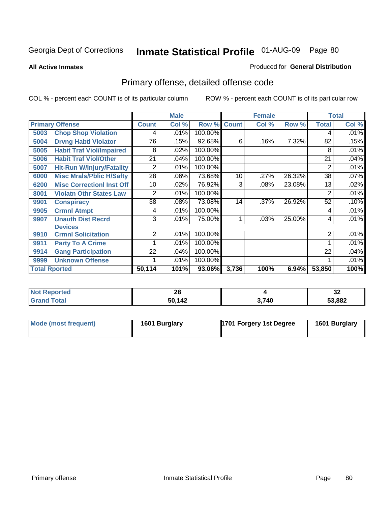**All Active Inmates**

### Produced for **General Distribution**

# Primary offense, detailed offense code

|      |                                            |              | <b>Male</b> | <b>Female</b> |              |       |        | <b>Total</b> |         |
|------|--------------------------------------------|--------------|-------------|---------------|--------------|-------|--------|--------------|---------|
|      | <b>Primary Offense</b>                     | <b>Count</b> | Col %       | Row %         | <b>Count</b> | Col % | Row %  | <b>Total</b> | Col %   |
| 5003 | <b>Chop Shop Violation</b>                 | 4            | .01%        | 100.00%       |              |       |        | 4            | $.01\%$ |
| 5004 | <b>Drvng Habtl Violator</b>                | 76           | .15%        | 92.68%        | 6            | .16%  | 7.32%  | 82           | .15%    |
| 5005 | <b>Habit Traf Viol/Impaired</b>            | 8            | .02%        | 100.00%       |              |       |        | 8            | .01%    |
| 5006 | <b>Habit Traf Viol/Other</b>               | 21           | .04%        | 100.00%       |              |       |        | 21           | .04%    |
| 5007 | <b>Hit-Run W/Injury/Fatality</b>           | 2            | .01%        | 100.00%       |              |       |        | 2            | .01%    |
| 6000 | <b>Misc Mrals/Pblic H/Safty</b>            | 28           | .06%        | 73.68%        | 10           | .27%  | 26.32% | 38           | .07%    |
| 6200 | <b>Misc CorrectionI Inst Off</b>           | 10           | .02%        | 76.92%        | 3            | .08%  | 23.08% | 13           | .02%    |
| 8001 | <b>Violatn Othr States Law</b>             | 2            | .01%        | 100.00%       |              |       |        | 2            | .01%    |
| 9901 | <b>Conspiracy</b>                          | 38           | .08%        | 73.08%        | 14           | .37%  | 26.92% | 52           | .10%    |
| 9905 | <b>Crmnl Atmpt</b>                         | 4            | .01%        | 100.00%       |              |       |        | 4            | .01%    |
| 9907 | <b>Unauth Dist Recrd</b><br><b>Devices</b> | 3            | .01%        | 75.00%        |              | .03%  | 25.00% | 4            | .01%    |
| 9910 | <b>Crmnl Solicitation</b>                  | 2            | .01%        | 100.00%       |              |       |        | 2            | .01%    |
| 9911 | <b>Party To A Crime</b>                    |              | .01%        | 100.00%       |              |       |        |              | .01%    |
| 9914 | <b>Gang Participation</b>                  | 22           | .04%        | 100.00%       |              |       |        | 22           | .04%    |
| 9999 | <b>Unknown Offense</b>                     |              | .01%        | 100.00%       |              |       |        |              | .01%    |
|      | <b>Total Rported</b>                       | 50,114       | 101%        | 93.06%        | 3,736        | 100%  | 6.94%  | 53,850       | 100%    |

| rteo<br>N.  | ഹ<br>۷Q<br>$\sim$ |       | $\sim$<br>◡▵ |
|-------------|-------------------|-------|--------------|
| <b>otal</b> | 50,142            | 3,740 | 53,882       |

| Mode (most frequent) | 1601 Burglary | 1701 Forgery 1st Degree | 1601 Burglary |
|----------------------|---------------|-------------------------|---------------|
|                      |               |                         |               |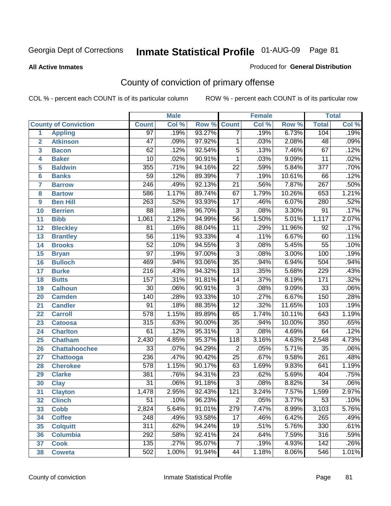#### **All Active Inmates**

#### Produced for **General Distribution**

# County of conviction of primary offense

|                         |                             |                  | <b>Male</b><br><b>Female</b> |        |                 |       | <b>Total</b> |                  |         |
|-------------------------|-----------------------------|------------------|------------------------------|--------|-----------------|-------|--------------|------------------|---------|
|                         | <b>County of Conviction</b> | <b>Count</b>     | Col %                        | Row %  | <b>Count</b>    | Col % | Row %        | <b>Total</b>     | Col %   |
| 1                       | <b>Appling</b>              | $\overline{97}$  | .19%                         | 93.27% | $\overline{7}$  | .19%  | 6.73%        | 104              | .19%    |
| $\overline{2}$          | <b>Atkinson</b>             | $\overline{47}$  | .09%                         | 97.92% | 1               | .03%  | 2.08%        | 48               | .09%    |
| $\overline{\mathbf{3}}$ | <b>Bacon</b>                | $\overline{62}$  | .12%                         | 92.54% | $\overline{5}$  | .13%  | 7.46%        | 67               | .12%    |
| 4                       | <b>Baker</b>                | $\overline{10}$  | .02%                         | 90.91% | 1               | .03%  | 9.09%        | $\overline{11}$  | .02%    |
| 5                       | <b>Baldwin</b>              | 355              | .71%                         | 94.16% | $\overline{22}$ | .59%  | 5.84%        | $\overline{377}$ | .70%    |
| 6                       | <b>Banks</b>                | $\overline{59}$  | .12%                         | 89.39% | $\overline{7}$  | .19%  | 10.61%       | 66               | .12%    |
| 7                       | <b>Barrow</b>               | $\overline{246}$ | .49%                         | 92.13% | $\overline{21}$ | .56%  | 7.87%        | 267              | .50%    |
| 8                       | <b>Bartow</b>               | 586              | 1.17%                        | 89.74% | 67              | 1.79% | 10.26%       | 653              | 1.21%   |
| 9                       | <b>Ben Hill</b>             | $\overline{263}$ | .52%                         | 93.93% | $\overline{17}$ | .46%  | 6.07%        | 280              | .52%    |
| 10                      | <b>Berrien</b>              | 88               | .18%                         | 96.70% | $\overline{3}$  | .08%  | 3.30%        | $\overline{91}$  | .17%    |
| 11                      | <b>Bibb</b>                 | 1,061            | 2.12%                        | 94.99% | $\overline{56}$ | 1.50% | 5.01%        | 1,117            | 2.07%   |
| 12                      | <b>Bleckley</b>             | 81               | .16%                         | 88.04% | $\overline{11}$ | .29%  | 11.96%       | $\overline{92}$  | .17%    |
| $\overline{13}$         | <b>Brantley</b>             | $\overline{56}$  | .11%                         | 93.33% | $\overline{4}$  | .11%  | 6.67%        | 60               | .11%    |
| 14                      | <b>Brooks</b>               | $\overline{52}$  | .10%                         | 94.55% | $\overline{3}$  | .08%  | 5.45%        | $\overline{55}$  | .10%    |
| 15                      | <b>Bryan</b>                | $\overline{97}$  | .19%                         | 97.00% | $\overline{3}$  | .08%  | 3.00%        | 100              | .19%    |
| 16                      | <b>Bulloch</b>              | 469              | .94%                         | 93.06% | $\overline{35}$ | .94%  | 6.94%        | 504              | .94%    |
| 17                      | <b>Burke</b>                | $\overline{216}$ | .43%                         | 94.32% | $\overline{13}$ | .35%  | 5.68%        | 229              | .43%    |
| 18                      | <b>Butts</b>                | 157              | .31%                         | 91.81% | $\overline{14}$ | .37%  | 8.19%        | 171              | .32%    |
| 19                      | <b>Calhoun</b>              | $\overline{30}$  | .06%                         | 90.91% | $\overline{3}$  | .08%  | 9.09%        | $\overline{33}$  | .06%    |
| 20                      | <b>Camden</b>               | 140              | .28%                         | 93.33% | $\overline{10}$ | .27%  | 6.67%        | 150              | .28%    |
| 21                      | <b>Candler</b>              | $\overline{91}$  | .18%                         | 88.35% | $\overline{12}$ | .32%  | 11.65%       | 103              | .19%    |
| 22                      | <b>Carroll</b>              | $\overline{578}$ | 1.15%                        | 89.89% | 65              | 1.74% | 10.11%       | 643              | 1.19%   |
| 23                      | <b>Catoosa</b>              | 315              | .63%                         | 90.00% | $\overline{35}$ | .94%  | 10.00%       | 350              | .65%    |
| 24                      | <b>Charlton</b>             | 61               | .12%                         | 95.31% | $\overline{3}$  | .08%  | 4.69%        | 64               | .12%    |
| 25                      | <b>Chatham</b>              | 2,430            | 4.85%                        | 95.37% | 118             | 3.16% | 4.63%        | 2,548            | 4.73%   |
| 26                      | <b>Chattahoochee</b>        | $\overline{33}$  | .07%                         | 94.29% | $\overline{2}$  | .05%  | 5.71%        | $\overline{35}$  | .06%    |
| 27                      | <b>Chattooga</b>            | 236              | .47%                         | 90.42% | $\overline{25}$ | .67%  | 9.58%        | $\overline{261}$ | .48%    |
| 28                      | <b>Cherokee</b>             | $\overline{578}$ | 1.15%                        | 90.17% | 63              | 1.69% | 9.83%        | 641              | 1.19%   |
| 29                      | <b>Clarke</b>               | 381              | .76%                         | 94.31% | $\overline{23}$ | .62%  | 5.69%        | 404              | .75%    |
| 30                      | <b>Clay</b>                 | $\overline{31}$  | .06%                         | 91.18% | $\overline{3}$  | .08%  | 8.82%        | $\overline{34}$  | .06%    |
| 31                      | <b>Clayton</b>              | 1,478            | 2.95%                        | 92.43% | 121             | 3.24% | 7.57%        | 1,599            | 2.97%   |
| 32                      | <b>Clinch</b>               | 51               | .10%                         | 96.23% | 2               | .05%  | 3.77%        | 53               | $.10\%$ |
| 33                      | <b>Cobb</b>                 | 2,824            | 5.64%                        | 91.01% | 279             | 7.47% | 8.99%        | 3,103            | 5.76%   |
| 34                      | <b>Coffee</b>               | 248              | .49%                         | 93.58% | 17              | .46%  | 6.42%        | 265              | .49%    |
| 35                      | <b>Colquitt</b>             | $\overline{311}$ | .62%                         | 94.24% | 19              | .51%  | 5.76%        | 330              | .61%    |
| 36                      | <b>Columbia</b>             | 292              | .58%                         | 92.41% | 24              | .64%  | 7.59%        | 316              | .59%    |
| 37                      | <b>Cook</b>                 | 135              | .27%                         | 95.07% | $\overline{7}$  | .19%  | 4.93%        | 142              | .26%    |
| 38                      | <b>Coweta</b>               | 502              | 1.00%                        | 91.94% | 44              | 1.18% | 8.06%        | 546              | 1.01%   |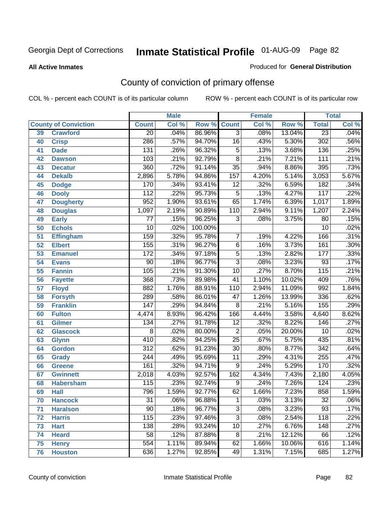#### **All Active Inmates**

### Produced for **General Distribution**

# County of conviction of primary offense

|                 |                             |                  | <b>Male</b> |         | <b>Female</b>   |       |        | <b>Total</b>     |       |
|-----------------|-----------------------------|------------------|-------------|---------|-----------------|-------|--------|------------------|-------|
|                 | <b>County of Conviction</b> | <b>Count</b>     | Col %       | Row %   | <b>Count</b>    | Col % | Row %  | <b>Total</b>     | Col % |
| 39              | <b>Crawford</b>             | $\overline{20}$  | .04%        | 86.96%  | $\overline{3}$  | .08%  | 13.04% | $\overline{23}$  | .04%  |
| 40              | <b>Crisp</b>                | 286              | .57%        | 94.70%  | $\overline{16}$ | .43%  | 5.30%  | 302              | .56%  |
| 41              | <b>Dade</b>                 | 131              | .26%        | 96.32%  | $\overline{5}$  | .13%  | 3.68%  | 136              | .25%  |
| 42              | <b>Dawson</b>               | 103              | .21%        | 92.79%  | $\overline{8}$  | .21%  | 7.21%  | $\overline{111}$ | .21%  |
| 43              | <b>Decatur</b>              | 360              | .72%        | 91.14%  | $\overline{35}$ | .94%  | 8.86%  | 395              | .73%  |
| 44              | <b>Dekalb</b>               | 2,896            | 5.78%       | 94.86%  | 157             | 4.20% | 5.14%  | 3,053            | 5.67% |
| 45              | <b>Dodge</b>                | 170              | .34%        | 93.41%  | $\overline{12}$ | .32%  | 6.59%  | 182              | .34%  |
| 46              | <b>Dooly</b>                | 112              | .22%        | 95.73%  | $\overline{5}$  | .13%  | 4.27%  | $\overline{117}$ | .22%  |
| 47              | <b>Dougherty</b>            | 952              | 1.90%       | 93.61%  | 65              | 1.74% | 6.39%  | 1,017            | 1.89% |
| 48              | <b>Douglas</b>              | 1,097            | 2.19%       | 90.89%  | 110             | 2.94% | 9.11%  | 1,207            | 2.24% |
| 49              | <b>Early</b>                | 77               | .15%        | 96.25%  | 3               | .08%  | 3.75%  | 80               | .15%  |
| 50              | <b>Echols</b>               | $\overline{10}$  | .02%        | 100.00% |                 |       |        | $\overline{10}$  | .02%  |
| $\overline{51}$ | <b>Effingham</b>            | 159              | .32%        | 95.78%  | $\overline{7}$  | .19%  | 4.22%  | 166              | .31%  |
| 52              | <b>Elbert</b>               | 155              | .31%        | 96.27%  | $\overline{6}$  | .16%  | 3.73%  | 161              | .30%  |
| 53              | <b>Emanuel</b>              | 172              | .34%        | 97.18%  | $\overline{5}$  | .13%  | 2.82%  | $\overline{177}$ | .33%  |
| $\overline{54}$ | <b>Evans</b>                | $\overline{90}$  | .18%        | 96.77%  | $\overline{3}$  | .08%  | 3.23%  | 93               | .17%  |
| 55              | <b>Fannin</b>               | 105              | .21%        | 91.30%  | 10              | .27%  | 8.70%  | $\overline{115}$ | .21%  |
| 56              | <b>Fayette</b>              | 368              | .73%        | 89.98%  | $\overline{41}$ | 1.10% | 10.02% | 409              | .76%  |
| 57              | <b>Floyd</b>                | 882              | 1.76%       | 88.91%  | 110             | 2.94% | 11.09% | 992              | 1.84% |
| 58              | <b>Forsyth</b>              | 289              | .58%        | 86.01%  | $\overline{47}$ | 1.26% | 13.99% | 336              | .62%  |
| 59              | <b>Franklin</b>             | $\overline{147}$ | .29%        | 94.84%  | $\overline{8}$  | .21%  | 5.16%  | 155              | .29%  |
| 60              | <b>Fulton</b>               | 4,474            | 8.93%       | 96.42%  | 166             | 4.44% | 3.58%  | 4,640            | 8.62% |
| 61              | Gilmer                      | 134              | .27%        | 91.78%  | $\overline{12}$ | .32%  | 8.22%  | 146              | .27%  |
| 62              | <b>Glascock</b>             | $\overline{8}$   | .02%        | 80.00%  | $\overline{2}$  | .05%  | 20.00% | $\overline{10}$  | .02%  |
| 63              | <b>Glynn</b>                | 410              | .82%        | 94.25%  | $\overline{25}$ | .67%  | 5.75%  | 435              | .81%  |
| 64              | <b>Gordon</b>               | $\overline{312}$ | .62%        | 91.23%  | $\overline{30}$ | .80%  | 8.77%  | $\overline{342}$ | .64%  |
| 65              | <b>Grady</b>                | $\overline{244}$ | .49%        | 95.69%  | $\overline{11}$ | .29%  | 4.31%  | 255              | .47%  |
| 66              | <b>Greene</b>               | 161              | .32%        | 94.71%  | 9               | .24%  | 5.29%  | 170              | .32%  |
| 67              | <b>Gwinnett</b>             | 2,018            | 4.03%       | 92.57%  | 162             | 4.34% | 7.43%  | 2,180            | 4.05% |
| 68              | <b>Habersham</b>            | 115              | .23%        | 92.74%  | $\overline{9}$  | .24%  | 7.26%  | $\overline{124}$ | .23%  |
| 69              | <b>Hall</b>                 | 796              | 1.59%       | 92.77%  | 62              | 1.66% | 7.23%  | 858              | 1.59% |
| 70              | <b>Hancock</b>              | 31               | .06%        | 96.88%  | 1               | .03%  | 3.13%  | 32               | .06%  |
| 71              | <b>Haralson</b>             | $\overline{90}$  | .18%        | 96.77%  | $\overline{3}$  | .08%  | 3.23%  | $\overline{93}$  | .17%  |
| 72              | <b>Harris</b>               | $\overline{115}$ | .23%        | 97.46%  | $\overline{3}$  | .08%  | 2.54%  | $\overline{118}$ | .22%  |
| 73              | <b>Hart</b>                 | 138              | .28%        | 93.24%  | $\overline{10}$ | .27%  | 6.76%  | 148              | .27%  |
| 74              | <b>Heard</b>                | $\overline{58}$  | .12%        | 87.88%  | 8               | .21%  | 12.12% | 66               | .12%  |
| 75              | <b>Henry</b>                | 554              | 1.11%       | 89.94%  | 62              | 1.66% | 10.06% | 616              | 1.14% |
| 76              | <b>Houston</b>              | 636              | 1.27%       | 92.85%  | 49              | 1.31% | 7.15%  | 685              | 1.27% |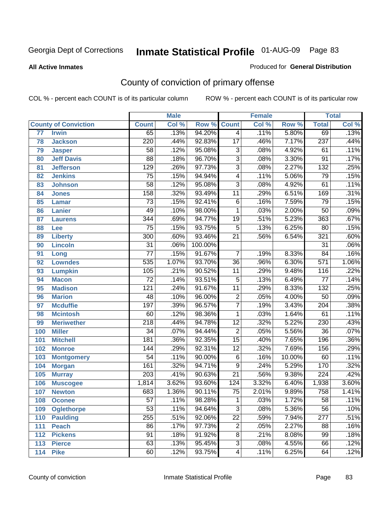#### **All Active Inmates**

### Produced for **General Distribution**

# County of conviction of primary offense

|                 |                             |                  | <b>Male</b> |         |                 | <b>Female</b> |        |                  | <b>Total</b> |
|-----------------|-----------------------------|------------------|-------------|---------|-----------------|---------------|--------|------------------|--------------|
|                 | <b>County of Conviction</b> | <b>Count</b>     | Col %       | Row %   | <b>Count</b>    | Col %         | Row %  | <b>Total</b>     | Col %        |
| $\overline{77}$ | <b>Irwin</b>                | 65               | .13%        | 94.20%  | $\overline{4}$  | .11%          | 5.80%  | 69               | .13%         |
| 78              | <b>Jackson</b>              | $\overline{220}$ | .44%        | 92.83%  | $\overline{17}$ | .46%          | 7.17%  | 237              | .44%         |
| 79              | <b>Jasper</b>               | 58               | .12%        | 95.08%  | $\overline{3}$  | .08%          | 4.92%  | 61               | .11%         |
| 80              | <b>Jeff Davis</b>           | $\overline{88}$  | .18%        | 96.70%  | $\overline{3}$  | .08%          | 3.30%  | $\overline{91}$  | .17%         |
| 81              | <b>Jefferson</b>            | 129              | .26%        | 97.73%  | $\overline{3}$  | .08%          | 2.27%  | 132              | .25%         |
| 82              | <b>Jenkins</b>              | $\overline{75}$  | .15%        | 94.94%  | $\overline{4}$  | .11%          | 5.06%  | $\overline{79}$  | .15%         |
| 83              | <b>Johnson</b>              | $\overline{58}$  | .12%        | 95.08%  | $\overline{3}$  | .08%          | 4.92%  | 61               | .11%         |
| 84              | <b>Jones</b>                | 158              | .32%        | 93.49%  | $\overline{11}$ | .29%          | 6.51%  | 169              | .31%         |
| 85              | <b>Lamar</b>                | $\overline{73}$  | .15%        | 92.41%  | $\overline{6}$  | .16%          | 7.59%  | 79               | .15%         |
| 86              | <b>Lanier</b>               | 49               | .10%        | 98.00%  | 1               | .03%          | 2.00%  | $\overline{50}$  | .09%         |
| 87              | <b>Laurens</b>              | $\overline{344}$ | .69%        | 94.77%  | $\overline{19}$ | .51%          | 5.23%  | 363              | .67%         |
| 88              | <b>Lee</b>                  | $\overline{75}$  | .15%        | 93.75%  | $\overline{5}$  | .13%          | 6.25%  | $\overline{80}$  | .15%         |
| 89              | <b>Liberty</b>              | $\overline{300}$ | .60%        | 93.46%  | $\overline{21}$ | .56%          | 6.54%  | 321              | .60%         |
| 90              | <b>Lincoln</b>              | $\overline{31}$  | .06%        | 100.00% |                 |               |        | $\overline{31}$  | .06%         |
| 91              | Long                        | $\overline{77}$  | .15%        | 91.67%  | $\overline{7}$  | .19%          | 8.33%  | $\overline{84}$  | .16%         |
| 92              | <b>Lowndes</b>              | 535              | 1.07%       | 93.70%  | $\overline{36}$ | .96%          | 6.30%  | $\overline{571}$ | 1.06%        |
| 93              | <b>Lumpkin</b>              | 105              | .21%        | 90.52%  | $\overline{11}$ | .29%          | 9.48%  | 116              | .22%         |
| 94              | <b>Macon</b>                | $\overline{72}$  | .14%        | 93.51%  | $\overline{5}$  | .13%          | 6.49%  | $\overline{77}$  | .14%         |
| 95              | <b>Madison</b>              | $\overline{121}$ | .24%        | 91.67%  | $\overline{11}$ | .29%          | 8.33%  | $\overline{132}$ | .25%         |
| 96              | <b>Marion</b>               | 48               | .10%        | 96.00%  | $\overline{2}$  | .05%          | 4.00%  | $\overline{50}$  | .09%         |
| 97              | <b>Mcduffie</b>             | 197              | .39%        | 96.57%  | $\overline{7}$  | .19%          | 3.43%  | $\overline{204}$ | .38%         |
| 98              | <b>Mcintosh</b>             | 60               | .12%        | 98.36%  | $\mathbf{1}$    | .03%          | 1.64%  | $\overline{61}$  | .11%         |
| 99              | <b>Meriwether</b>           | $\overline{218}$ | .44%        | 94.78%  | $\overline{12}$ | .32%          | 5.22%  | 230              | .43%         |
| 100             | <b>Miller</b>               | $\overline{34}$  | .07%        | 94.44%  | $\overline{2}$  | .05%          | 5.56%  | $\overline{36}$  | .07%         |
| 101             | <b>Mitchell</b>             | $\overline{181}$ | .36%        | 92.35%  | $\overline{15}$ | .40%          | 7.65%  | 196              | .36%         |
| 102             | <b>Monroe</b>               | 144              | .29%        | 92.31%  | $\overline{12}$ | .32%          | 7.69%  | 156              | .29%         |
| 103             | <b>Montgomery</b>           | $\overline{54}$  | .11%        | 90.00%  | $\overline{6}$  | .16%          | 10.00% | 60               | .11%         |
| 104             | <b>Morgan</b>               | 161              | .32%        | 94.71%  | $\overline{9}$  | .24%          | 5.29%  | 170              | .32%         |
| 105             | <b>Murray</b>               | $\sqrt{203}$     | .41%        | 90.63%  | $\overline{21}$ | .56%          | 9.38%  | $\overline{224}$ | .42%         |
| 106             | <b>Muscogee</b>             | 1,814            | 3.62%       | 93.60%  | 124             | 3.32%         | 6.40%  | 1,938            | 3.60%        |
| 107             | <b>Newton</b>               | 683              | 1.36%       | 90.11%  | $\overline{75}$ | 2.01%         | 9.89%  | 758              | 1.41%        |
| 108             | <b>Oconee</b>               | 57               | .11%        | 98.28%  | 1.              | .03%          | 1.72%  | $\overline{58}$  | .11%         |
| 109             | <b>Oglethorpe</b>           | $\overline{53}$  | .11%        | 94.64%  | $\overline{3}$  | .08%          | 5.36%  | 56               | .10%         |
| 110             | <b>Paulding</b>             | 255              | .51%        | 92.06%  | $\overline{22}$ | .59%          | 7.94%  | $\overline{277}$ | .51%         |
| 111             | <b>Peach</b>                | 86               | .17%        | 97.73%  | $\overline{2}$  | .05%          | 2.27%  | 88               | .16%         |
| 112             | <b>Pickens</b>              | $\overline{91}$  | .18%        | 91.92%  | $\overline{8}$  | .21%          | 8.08%  | $\overline{99}$  | .18%         |
| 113             | <b>Pierce</b>               | 63               | .13%        | 95.45%  | $\overline{3}$  | .08%          | 4.55%  | 66               | .12%         |
| 114             | <b>Pike</b>                 | 60               | .12%        | 93.75%  | $\overline{4}$  | .11%          | 6.25%  | 64               | .12%         |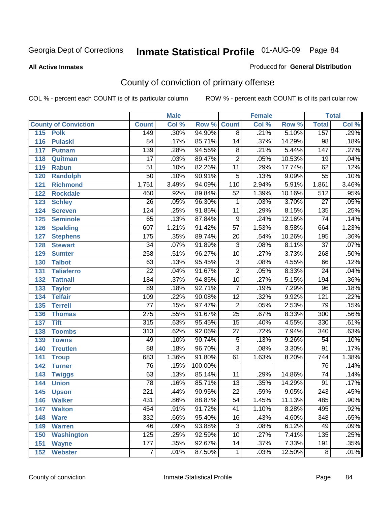#### **All Active Inmates**

#### Produced for **General Distribution**

# County of conviction of primary offense

|                             |                  | <b>Male</b> |         |                 | <b>Female</b> |        |                  | <b>Total</b>               |
|-----------------------------|------------------|-------------|---------|-----------------|---------------|--------|------------------|----------------------------|
| <b>County of Conviction</b> | <b>Count</b>     | Col %       | Row %   | <b>Count</b>    | Col %         | Row %  | <b>Total</b>     | $\overline{\text{Col }\%}$ |
| 115<br><b>Polk</b>          | 149              | .30%        | 94.90%  | $\overline{8}$  | .21%          | 5.10%  | 157              | .29%                       |
| <b>Pulaski</b><br>116       | $\overline{84}$  | .17%        | 85.71%  | 14              | .37%          | 14.29% | $\overline{98}$  | .18%                       |
| 117<br><b>Putnam</b>        | 139              | .28%        | 94.56%  | 8               | .21%          | 5.44%  | 147              | .27%                       |
| 118<br>Quitman              | $\overline{17}$  | .03%        | 89.47%  | $\overline{2}$  | .05%          | 10.53% | $\overline{19}$  | .04%                       |
| 119<br><b>Rabun</b>         | $\overline{51}$  | .10%        | 82.26%  | $\overline{11}$ | .29%          | 17.74% | 62               | .12%                       |
| 120<br><b>Randolph</b>      | $\overline{50}$  | .10%        | 90.91%  | $\overline{5}$  | .13%          | 9.09%  | $\overline{55}$  | .10%                       |
| 121<br><b>Richmond</b>      | 1,751            | 3.49%       | 94.09%  | 110             | 2.94%         | 5.91%  | 1,861            | 3.46%                      |
| 122<br><b>Rockdale</b>      | 460              | .92%        | 89.84%  | $\overline{52}$ | 1.39%         | 10.16% | $\overline{512}$ | .95%                       |
| 123<br><b>Schley</b>        | $\overline{26}$  | .05%        | 96.30%  | $\mathbf{1}$    | .03%          | 3.70%  | $\overline{27}$  | .05%                       |
| 124<br><b>Screven</b>       | $\overline{124}$ | .25%        | 91.85%  | $\overline{11}$ | .29%          | 8.15%  | 135              | .25%                       |
| 125<br><b>Seminole</b>      | 65               | .13%        | 87.84%  | $\overline{9}$  | .24%          | 12.16% | $\overline{74}$  | .14%                       |
| <b>Spalding</b><br>126      | 607              | 1.21%       | 91.42%  | $\overline{57}$ | 1.53%         | 8.58%  | 664              | 1.23%                      |
| 127<br><b>Stephens</b>      | $\overline{175}$ | .35%        | 89.74%  | $\overline{20}$ | .54%          | 10.26% | 195              | .36%                       |
| 128<br><b>Stewart</b>       | $\overline{34}$  | .07%        | 91.89%  | $\overline{3}$  | .08%          | 8.11%  | $\overline{37}$  | .07%                       |
| 129<br><b>Sumter</b>        | 258              | .51%        | 96.27%  | 10              | .27%          | 3.73%  | 268              | .50%                       |
| <b>Talbot</b><br>130        | 63               | .13%        | 95.45%  | $\overline{3}$  | .08%          | 4.55%  | 66               | .12%                       |
| 131<br><b>Taliaferro</b>    | $\overline{22}$  | .04%        | 91.67%  | $\overline{2}$  | .05%          | 8.33%  | $\overline{24}$  | .04%                       |
| 132<br><b>Tattnall</b>      | 184              | .37%        | 94.85%  | $\overline{10}$ | .27%          | 5.15%  | 194              | .36%                       |
| 133<br><b>Taylor</b>        | 89               | .18%        | 92.71%  | $\overline{7}$  | .19%          | 7.29%  | $\overline{96}$  | .18%                       |
| <b>Telfair</b><br>134       | 109              | .22%        | 90.08%  | $\overline{12}$ | .32%          | 9.92%  | $\overline{121}$ | .22%                       |
| 135<br><b>Terrell</b>       | $\overline{77}$  | .15%        | 97.47%  | $\overline{2}$  | .05%          | 2.53%  | $\overline{79}$  | .15%                       |
| 136<br><b>Thomas</b>        | $\overline{275}$ | .55%        | 91.67%  | $\overline{25}$ | .67%          | 8.33%  | $\overline{300}$ | .56%                       |
| 137<br><b>Tift</b>          | 315              | .63%        | 95.45%  | $\overline{15}$ | .40%          | 4.55%  | 330              | .61%                       |
| <b>Toombs</b><br>138        | $\overline{313}$ | .62%        | 92.06%  | $\overline{27}$ | .72%          | 7.94%  | 340              | .63%                       |
| 139<br><b>Towns</b>         | 49               | .10%        | 90.74%  | $\overline{5}$  | .13%          | 9.26%  | $\overline{54}$  | .10%                       |
| 140<br><b>Treutlen</b>      | $\overline{88}$  | .18%        | 96.70%  | $\overline{3}$  | .08%          | 3.30%  | $\overline{91}$  | .17%                       |
| 141<br><b>Troup</b>         | 683              | 1.36%       | 91.80%  | 61              | 1.63%         | 8.20%  | 744              | 1.38%                      |
| 142<br><b>Turner</b>        | $\overline{76}$  | .15%        | 100.00% |                 |               |        | $\overline{76}$  | .14%                       |
| 143<br><b>Twiggs</b>        | 63               | .13%        | 85.14%  | 11              | .29%          | 14.86% | $\overline{74}$  | .14%                       |
| 144<br><b>Union</b>         | $\overline{78}$  | .16%        | 85.71%  | $\overline{13}$ | .35%          | 14.29% | $\overline{91}$  | .17%                       |
| 145<br><b>Upson</b>         | $\overline{221}$ | .44%        | 90.95%  | $\overline{22}$ | .59%          | 9.05%  | 243              | .45%                       |
| 146<br><b>Walker</b>        | 431              | .86%        | 88.87%  | 54              | 1.45%         | 11.13% | 485              | .90%                       |
| <b>Walton</b><br>147        | 454              | .91%        | 91.72%  | $\overline{41}$ | 1.10%         | 8.28%  | 495              | .92%                       |
| <b>Ware</b><br>148          | 332              | .66%        | 95.40%  | 16              | .43%          | 4.60%  | 348              | .65%                       |
| <b>Warren</b><br>149        | 46               | .09%        | 93.88%  | $\overline{3}$  | .08%          | 6.12%  | 49               | .09%                       |
| <b>Washington</b><br>150    | $\overline{125}$ | .25%        | 92.59%  | 10              | .27%          | 7.41%  | 135              | .25%                       |
| 151<br><b>Wayne</b>         | $\overline{177}$ | .35%        | 92.67%  | 14              | .37%          | 7.33%  | 191              | .35%                       |
| 152<br><b>Webster</b>       | $\overline{7}$   | .01%        | 87.50%  | $\mathbf 1$     | .03%          | 12.50% | $\overline{8}$   | .01%                       |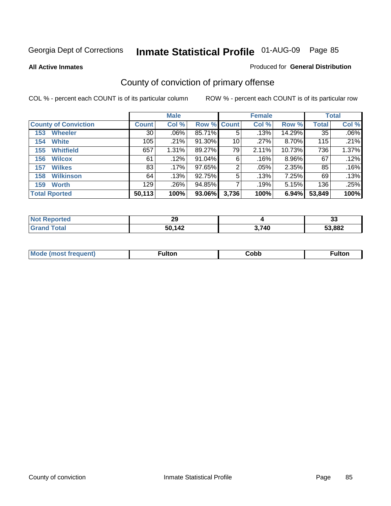**All Active Inmates**

### Produced for **General Distribution**

# County of conviction of primary offense

|                             |              | <b>Male</b> |                    |       | <b>Female</b> |        |              | <b>Total</b> |
|-----------------------------|--------------|-------------|--------------------|-------|---------------|--------|--------------|--------------|
| <b>County of Conviction</b> | <b>Count</b> | Col %       | <b>Row % Count</b> |       | Col %         | Row %  | <b>Total</b> | Col %        |
| <b>Wheeler</b><br>153       | 30           | $.06\%$     | 85.71%             | 5     | .13%          | 14.29% | 35           | $.06\%$      |
| <b>White</b><br>154         | 105          | .21%        | 91.30%             | 10    | .27%          | 8.70%  | 115          | $.21\%$      |
| <b>Whitfield</b><br>155     | 657          | 1.31%       | 89.27%             | 79    | 2.11%         | 10.73% | 736          | 1.37%        |
| <b>Wilcox</b><br>156        | 61           | .12%        | 91.04%             | 6     | .16%          | 8.96%  | 67           | .12%         |
| <b>Wilkes</b><br>157        | 83           | .17%        | 97.65%             | 2     | $.05\%$       | 2.35%  | 85           | .16%         |
| <b>Wilkinson</b><br>158     | 64           | .13%        | 92.75%             | 5     | .13%          | 7.25%  | 69           | $.13\%$      |
| <b>Worth</b><br>159         | 129          | .26%        | 94.85%             |       | .19%          | 5.15%  | 136          | $.25\%$      |
| <b>Total Rported</b>        | 50,113       | 100%        | 93.06%             | 3,736 | 100%          | 6.94%  | 53,849       | 100%         |

| Reported     | $\overline{ }$ |       | $\ddot{\phantom{0}}$ |
|--------------|----------------|-------|----------------------|
| <b>NOT</b>   | 23             |       | vu                   |
| <b>Total</b> | 50,142         | 3,740 | 53,882               |

| Mc | ™ulton | Cobb |  |
|----|--------|------|--|
|    |        |      |  |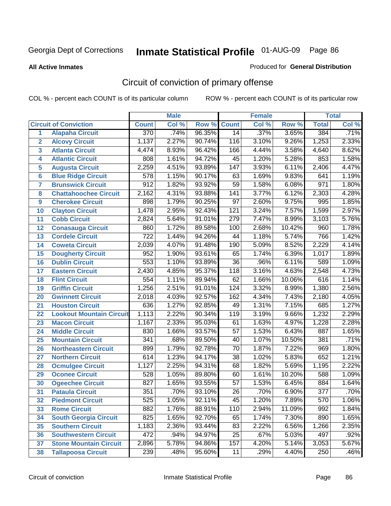**All Active Inmates**

#### Produced for **General Distribution**

# Circuit of conviction of primary offense

|                |                                 |                  | <b>Male</b> |        |                  | <b>Female</b> |        |                  | <b>Total</b> |
|----------------|---------------------------------|------------------|-------------|--------|------------------|---------------|--------|------------------|--------------|
|                | <b>Circuit of Conviction</b>    | <b>Count</b>     | Col %       | Row %  | <b>Count</b>     | Col %         | Row %  | <b>Total</b>     | Col %        |
| 1              | <b>Alapaha Circuit</b>          | 370              | .74%        | 96.35% | 14               | .37%          | 3.65%  | 384              | .71%         |
| $\overline{2}$ | <b>Alcovy Circuit</b>           | 1,137            | 2.27%       | 90.74% | 116              | 3.10%         | 9.26%  | 1,253            | 2.33%        |
| 3              | <b>Atlanta Circuit</b>          | 4,474            | 8.93%       | 96.42% | 166              | 4.44%         | 3.58%  | 4,640            | 8.62%        |
| 4              | <b>Atlantic Circuit</b>         | 808              | 1.61%       | 94.72% | 45               | 1.20%         | 5.28%  | 853              | 1.58%        |
| 5              | <b>Augusta Circuit</b>          | 2,259            | 4.51%       | 93.89% | 147              | 3.93%         | 6.11%  | 2,406            | 4.47%        |
| 6              | <b>Blue Ridge Circuit</b>       | 578              | 1.15%       | 90.17% | 63               | 1.69%         | 9.83%  | 641              | 1.19%        |
| 7              | <b>Brunswick Circuit</b>        | $\overline{912}$ | 1.82%       | 93.92% | $\overline{59}$  | 1.58%         | 6.08%  | 971              | 1.80%        |
| 8              | <b>Chattahoochee Circuit</b>    | 2,162            | 4.31%       | 93.88% | $\overline{141}$ | 3.77%         | 6.12%  | 2,303            | 4.28%        |
| 9              | <b>Cherokee Circuit</b>         | 898              | 1.79%       | 90.25% | $\overline{97}$  | 2.60%         | 9.75%  | 995              | 1.85%        |
| 10             | <b>Clayton Circuit</b>          | 1,478            | 2.95%       | 92.43% | 121              | 3.24%         | 7.57%  | 1,599            | 2.97%        |
| 11             | <b>Cobb Circuit</b>             | 2,824            | 5.64%       | 91.01% | 279              | 7.47%         | 8.99%  | 3,103            | 5.76%        |
| 12             | <b>Conasauga Circuit</b>        | 860              | 1.72%       | 89.58% | 100              | 2.68%         | 10.42% | 960              | 1.78%        |
| 13             | <b>Cordele Circuit</b>          | $\overline{722}$ | 1.44%       | 94.26% | 44               | 1.18%         | 5.74%  | 766              | 1.42%        |
| 14             | <b>Coweta Circuit</b>           | 2,039            | 4.07%       | 91.48% | 190              | 5.09%         | 8.52%  | 2,229            | 4.14%        |
| 15             | <b>Dougherty Circuit</b>        | 952              | 1.90%       | 93.61% | 65               | 1.74%         | 6.39%  | 1,017            | 1.89%        |
| 16             | <b>Dublin Circuit</b>           | 553              | 1.10%       | 93.89% | $\overline{36}$  | .96%          | 6.11%  | 589              | 1.09%        |
| 17             | <b>Eastern Circuit</b>          | 2,430            | 4.85%       | 95.37% | 118              | 3.16%         | 4.63%  | 2,548            | 4.73%        |
| 18             | <b>Flint Circuit</b>            | 554              | 1.11%       | 89.94% | 62               | 1.66%         | 10.06% | 616              | 1.14%        |
| 19             | <b>Griffin Circuit</b>          | 1,256            | 2.51%       | 91.01% | 124              | 3.32%         | 8.99%  | 1,380            | 2.56%        |
| 20             | <b>Gwinnett Circuit</b>         | 2,018            | 4.03%       | 92.57% | 162              | 4.34%         | 7.43%  | 2,180            | 4.05%        |
| 21             | <b>Houston Circuit</b>          | 636              | 1.27%       | 92.85% | 49               | 1.31%         | 7.15%  | 685              | 1.27%        |
| 22             | <b>Lookout Mountain Circuit</b> | 1,113            | 2.22%       | 90.34% | 119              | 3.19%         | 9.66%  | 1,232            | 2.29%        |
| 23             | <b>Macon Circuit</b>            | 1,167            | 2.33%       | 95.03% | 61               | 1.63%         | 4.97%  | 1,228            | 2.28%        |
| 24             | <b>Middle Circuit</b>           | 830              | 1.66%       | 93.57% | 57               | 1.53%         | 6.43%  | 887              | 1.65%        |
| 25             | <b>Mountain Circuit</b>         | $\overline{341}$ | .68%        | 89.50% | $\overline{40}$  | 1.07%         | 10.50% | 381              | .71%         |
| 26             | <b>Northeastern Circuit</b>     | 899              | 1.79%       | 92.78% | $\overline{70}$  | 1.87%         | 7.22%  | 969              | 1.80%        |
| 27             | <b>Northern Circuit</b>         | 614              | 1.23%       | 94.17% | $\overline{38}$  | 1.02%         | 5.83%  | 652              | 1.21%        |
| 28             | <b>Ocmulgee Circuit</b>         | 1,127            | 2.25%       | 94.31% | 68               | 1.82%         | 5.69%  | 1,195            | 2.22%        |
| 29             | <b>Oconee Circuit</b>           | 528              | 1.05%       | 89.80% | 60               | 1.61%         | 10.20% | 588              | 1.09%        |
| 30             | <b>Ogeechee Circuit</b>         | 827              | 1.65%       | 93.55% | $\overline{57}$  | 1.53%         | 6.45%  | 884              | 1.64%        |
| 31             | <b>Pataula Circuit</b>          | 351              | .70%        | 93.10% | 26               | .70%          | 6.90%  | $\overline{377}$ | .70%         |
| 32             | <b>Piedmont Circuit</b>         | 525              | 1.05%       | 92.11% | 45               | 1.20%         | 7.89%  | 570              | $1.06\%$     |
| 33             | <b>Rome Circuit</b>             | 882              | 1.76%       | 88.91% | 110              | 2.94%         | 11.09% | 992              | 1.84%        |
| 34             | <b>South Georgia Circuit</b>    | 825              | 1.65%       | 92.70% | 65               | 1.74%         | 7.30%  | 890              | 1.65%        |
| 35             | <b>Southern Circuit</b>         | 1,183            | 2.36%       | 93.44% | 83               | 2.22%         | 6.56%  | 1,266            | 2.35%        |
| 36             | <b>Southwestern Circuit</b>     | 472              | .94%        | 94.97% | 25               | .67%          | 5.03%  | 497              | .92%         |
| 37             | <b>Stone Mountain Circuit</b>   | 2,896            | 5.78%       | 94.86% | 157              | 4.20%         | 5.14%  | 3,053            | 5.67%        |
| 38             | <b>Tallapoosa Circuit</b>       | 239              | .48%        | 95.60% | 11               | .29%          | 4.40%  | 250              | .46%         |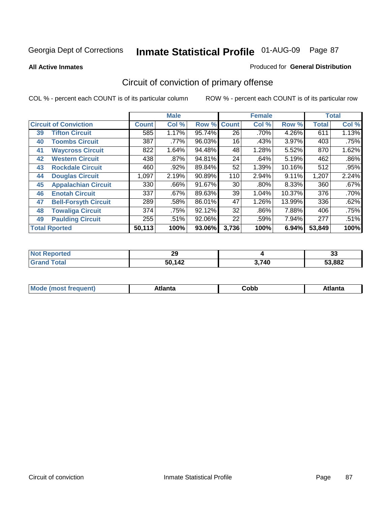**All Active Inmates**

#### Produced for **General Distribution**

# Circuit of conviction of primary offense

|    |                              |              | <b>Male</b> |        |              | <b>Female</b> |        |              | <b>Total</b> |
|----|------------------------------|--------------|-------------|--------|--------------|---------------|--------|--------------|--------------|
|    | <b>Circuit of Conviction</b> | <b>Count</b> | Col %       | Row %  | <b>Count</b> | Col %         | Row %  | <b>Total</b> | Col %        |
| 39 | <b>Tifton Circuit</b>        | 585          | 1.17%       | 95.74% | 26           | .70%          | 4.26%  | 611          | 1.13%        |
| 40 | <b>Toombs Circuit</b>        | 387          | .77%        | 96.03% | 16           | .43%          | 3.97%  | 403          | .75%         |
| 41 | <b>Waycross Circuit</b>      | 822          | 1.64%       | 94.48% | 48           | 1.28%         | 5.52%  | 870          | 1.62%        |
| 42 | <b>Western Circuit</b>       | 438          | $.87\%$     | 94.81% | 24           | .64%          | 5.19%  | 462          | $.86\%$      |
| 43 | <b>Rockdale Circuit</b>      | 460          | .92%        | 89.84% | 52           | 1.39%         | 10.16% | 512          | .95%         |
| 44 | <b>Douglas Circuit</b>       | 1,097        | 2.19%       | 90.89% | 110          | 2.94%         | 9.11%  | 1,207        | 2.24%        |
| 45 | <b>Appalachian Circuit</b>   | 330          | $.66\%$     | 91.67% | 30           | $.80\%$       | 8.33%  | 360          | .67%         |
| 46 | <b>Enotah Circuit</b>        | 337          | .67%        | 89.63% | 39           | 1.04%         | 10.37% | 376          | .70%         |
| 47 | <b>Bell-Forsyth Circuit</b>  | 289          | .58%        | 86.01% | 47           | 1.26%         | 13.99% | 336          | .62%         |
| 48 | <b>Towaliga Circuit</b>      | 374          | .75%        | 92.12% | 32           | .86%          | 7.88%  | 406          | .75%         |
| 49 | <b>Paulding Circuit</b>      | 255          | .51%        | 92.06% | 22           | .59%          | 7.94%  | 277          | .51%         |
|    | <b>Total Rported</b>         | 50,113       | 100%        | 93.06% | 3,736        | 100%          | 6.94%  | 53,849       | 100%         |

| N   | ാറ                    |               | $\sim$ |
|-----|-----------------------|---------------|--------|
| τеσ | LJ                    |               | JJ.    |
|     | <b>EN 112</b><br>' 4∠ | 2 7 A N<br>44 | 53,882 |

| <b>M</b> ດ<br>.<br>. | $+1$ ant $\cdot$<br>ιαπιω<br>. <i>. .</i> | ∶obb<br>- - - - - | 'anta |
|----------------------|-------------------------------------------|-------------------|-------|
|----------------------|-------------------------------------------|-------------------|-------|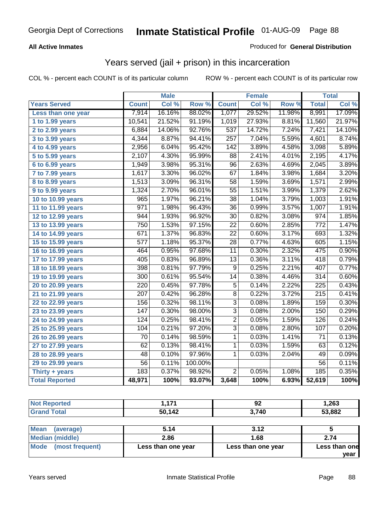### **All Active Inmates**

### Produced for **General Distribution**

## Years served (jail + prison) in this incarceration

|                              |                  | <b>Male</b> |         |                  | <b>Female</b> |        |                  | <b>Total</b> |
|------------------------------|------------------|-------------|---------|------------------|---------------|--------|------------------|--------------|
| <b>Years Served</b>          | <b>Count</b>     | Col %       | Row %   | <b>Count</b>     | Col %         | Row %  | <b>Total</b>     | Col %        |
| Less than one year           | 7,914            | 16.16%      | 88.02%  | 1,077            | 29.52%        | 11.98% | 8,991            | 17.09%       |
| 1 to 1.99 years              | 10,541           | 21.52%      | 91.19%  | 1,019            | 27.93%        | 8.81%  | 11,560           | 21.97%       |
| 2 to 2.99 years              | 6,884            | 14.06%      | 92.76%  | $\overline{537}$ | 14.72%        | 7.24%  | 7,421            | 14.10%       |
| 3 to 3.99 years              | 4,344            | 8.87%       | 94.41%  | 257              | 7.04%         | 5.59%  | 4,601            | 8.74%        |
| 4 to 4.99 years              | 2,956            | 6.04%       | 95.42%  | 142              | 3.89%         | 4.58%  | 3,098            | 5.89%        |
| $\overline{5}$ to 5.99 years | 2,107            | 4.30%       | 95.99%  | $\overline{88}$  | 2.41%         | 4.01%  | 2,195            | 4.17%        |
| 6 to 6.99 years              | 1,949            | 3.98%       | 95.31%  | $\overline{96}$  | 2.63%         | 4.69%  | 2,045            | 3.89%        |
| 7 to 7.99 years              | 1,617            | 3.30%       | 96.02%  | $\overline{67}$  | 1.84%         | 3.98%  | 1,684            | 3.20%        |
| 8 to 8.99 years              | 1,513            | 3.09%       | 96.31%  | $\overline{58}$  | 1.59%         | 3.69%  | 1,571            | 2.99%        |
| 9 to 9.99 years              | 1,324            | 2.70%       | 96.01%  | $\overline{55}$  | 1.51%         | 3.99%  | 1,379            | 2.62%        |
| 10 to 10.99 years            | $\overline{965}$ | 1.97%       | 96.21%  | $\overline{38}$  | 1.04%         | 3.79%  | 1,003            | 1.91%        |
| 11 to 11.99 years            | 971              | 1.98%       | 96.43%  | 36               | 0.99%         | 3.57%  | 1,007            | 1.91%        |
| 12 to 12.99 years            | 944              | 1.93%       | 96.92%  | $\overline{30}$  | 0.82%         | 3.08%  | $\overline{974}$ | 1.85%        |
| 13 to 13.99 years            | 750              | 1.53%       | 97.15%  | $\overline{22}$  | 0.60%         | 2.85%  | $\overline{772}$ | 1.47%        |
| 14 to 14.99 years            | 671              | 1.37%       | 96.83%  | $\overline{22}$  | 0.60%         | 3.17%  | 693              | 1.32%        |
| 15 to 15.99 years            | 577              | 1.18%       | 95.37%  | $\overline{28}$  | 0.77%         | 4.63%  | 605              | 1.15%        |
| 16 to 16.99 years            | 464              | 0.95%       | 97.68%  | $\overline{11}$  | 0.30%         | 2.32%  | 475              | 0.90%        |
| 17 to 17.99 years            | 405              | 0.83%       | 96.89%  | 13               | 0.36%         | 3.11%  | 418              | 0.79%        |
| 18 to 18.99 years            | 398              | 0.81%       | 97.79%  | $\overline{9}$   | 0.25%         | 2.21%  | 407              | 0.77%        |
| 19 to 19.99 years            | $\overline{300}$ | 0.61%       | 95.54%  | $\overline{14}$  | 0.38%         | 4.46%  | $\overline{314}$ | 0.60%        |
| 20 to 20.99 years            | 220              | 0.45%       | 97.78%  | $\overline{5}$   | 0.14%         | 2.22%  | $\overline{225}$ | 0.43%        |
| 21 to 21.99 years            | $\overline{207}$ | 0.42%       | 96.28%  | $\overline{8}$   | 0.22%         | 3.72%  | $\overline{215}$ | 0.41%        |
| 22 to 22.99 years            | 156              | 0.32%       | 98.11%  | $\overline{3}$   | 0.08%         | 1.89%  | 159              | 0.30%        |
| 23 to 23.99 years            | $\overline{147}$ | 0.30%       | 98.00%  | $\overline{3}$   | 0.08%         | 2.00%  | 150              | 0.29%        |
| 24 to 24.99 years            | 124              | 0.25%       | 98.41%  | $\overline{2}$   | 0.05%         | 1.59%  | 126              | 0.24%        |
| 25 to 25.99 years            | 104              | 0.21%       | 97.20%  | $\overline{3}$   | 0.08%         | 2.80%  | 107              | 0.20%        |
| 26 to 26.99 years            | 70               | 0.14%       | 98.59%  | 1                | 0.03%         | 1.41%  | 71               | 0.13%        |
| 27 to 27.99 years            | $\overline{62}$  | 0.13%       | 98.41%  | $\mathbf 1$      | 0.03%         | 1.59%  | 63               | 0.12%        |
| 28 to 28.99 years            | $\overline{48}$  | 0.10%       | 97.96%  | 1                | 0.03%         | 2.04%  | 49               | 0.09%        |
| 29 to 29.99 years            | $\overline{56}$  | 0.11%       | 100.00% |                  |               |        | $\overline{56}$  | 0.11%        |
| Thirty $+$ years             | 183              | 0.37%       | 98.92%  | $\overline{2}$   | 0.05%         | 1.08%  | 185              | 0.35%        |
| <b>Total Reported</b>        | 48,971           | 100%        | 93.07%  | 3,648            | 100%          | 6.93%  | 52,619           | 100%         |

| <b>Not</b><br><b>Reported</b> | 474<br>. | 92    | .263،  |
|-------------------------------|----------|-------|--------|
| <b>Total</b>                  | 50,142   | 3,740 | 53,882 |
|                               |          |       |        |

| Mean<br>(average)    | 5.14               | 3.12               |               |
|----------------------|--------------------|--------------------|---------------|
| Median (middle)      | 2.86               | 1.68               | 2.74          |
| Mode (most frequent) | Less than one year | Less than one year | Less than one |
|                      |                    |                    | vear          |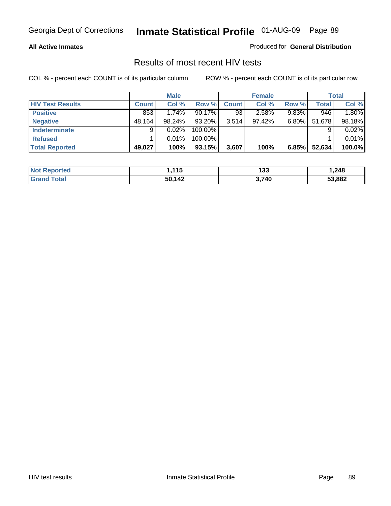#### **All Active Inmates**

Produced for **General Distribution**

### Results of most recent HIV tests

|                         |              | <b>Male</b> |         |              | <b>Female</b> |          |              | <b>Total</b> |
|-------------------------|--------------|-------------|---------|--------------|---------------|----------|--------------|--------------|
| <b>HIV Test Results</b> | <b>Count</b> | Col %       | Row %   | <b>Count</b> | Col %         | Row %    | <b>Total</b> | Col %        |
| <b>Positive</b>         | 853          | 1.74%       | 90.17%  | 93           | 2.58%         | $9.83\%$ | 946          | 1.80%        |
| <b>Negative</b>         | 48,164       | 98.24%      | 93.20%  | 3,514        | $97.42\%$     | $6.80\%$ | 51,678       | 98.18%       |
| <b>Indeterminate</b>    | 9            | 0.02%       | 100.00% |              |               |          |              | 0.02%        |
| <b>Refused</b>          |              | 0.01%       | 100.00% |              |               |          |              | 0.01%        |
| <b>Total Reported</b>   | 49,027       | 100%        | 93.15%  | 3,607        | 100%          | 6.85%    | 52,634       | 100.0%       |

| <b>Not</b>            | 445    | 199   | 248. ا |
|-----------------------|--------|-------|--------|
| <b>Reported</b>       | . . J  | دد ا  |        |
| ™otal<br><b>Grand</b> | 50,142 | 3,740 | 53,882 |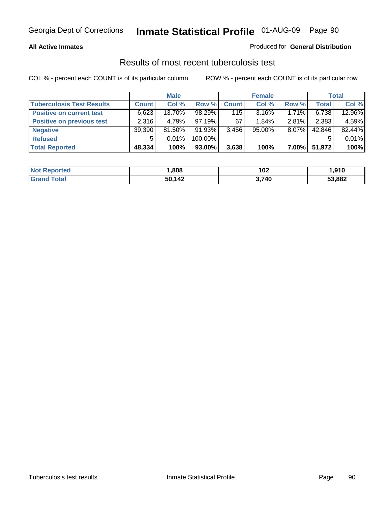### **All Active Inmates**

### Produced for **General Distribution**

### Results of most recent tuberculosis test

|                                  |              | <b>Male</b> |           |              | <b>Female</b> |          |              | Total  |
|----------------------------------|--------------|-------------|-----------|--------------|---------------|----------|--------------|--------|
| <b>Tuberculosis Test Results</b> | <b>Count</b> | Col %       | Row %     | <b>Count</b> | Col %         | Row %    | <b>Total</b> | Col %  |
| <b>Positive on current test</b>  | 6,623        | 13.70%      | $98.29\%$ | 115          | $3.16\%$      | 1.71%    | 6,738        | 12.96% |
| <b>Positive on previous test</b> | 2,316        | 4.79%       | $97.19\%$ | 67           | $1.84\%$      | $2.81\%$ | 2,383        | 4.59%  |
| <b>Negative</b>                  | 39,390       | 81.50%      | $91.93\%$ | 3,456        | $95.00\%$     | $8.07\%$ | 42,846       | 82.44% |
| <b>Refused</b>                   | 5            | $0.01\%$    | 100.00%   |              |               |          |              | 0.01%  |
| <b>Total Reported</b>            | 48,334       | 100%        | 93.00%    | 3,638        | 100%          | $7.00\%$ | 51,972       | 100%   |

| <b>Not Reported</b> | .808   | 102   | 910, ا |
|---------------------|--------|-------|--------|
| <b>Grand Total</b>  | 50,142 | 3,740 | 53,882 |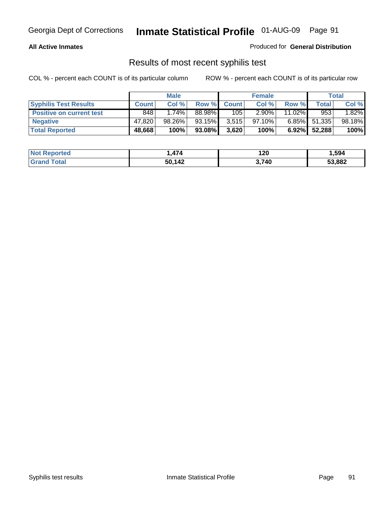### **All Active Inmates**

Produced for **General Distribution**

### Results of most recent syphilis test

|                                 |              | <b>Male</b> |        |              | <b>Female</b> |           |        | Total  |
|---------------------------------|--------------|-------------|--------|--------------|---------------|-----------|--------|--------|
| <b>Syphilis Test Results</b>    | <b>Count</b> | Col %       | Row %  | <b>Count</b> | Col %         | Row %     | Total  | Col %  |
| <b>Positive on current test</b> | 848          | $1.74\%$    | 88.98% | 105          | $2.90\%$      | $11.02\%$ | 953    | 1.82%  |
| <b>Negative</b>                 | 47.820       | 98.26%      | 93.15% | 3,515        | 97.10%        | $6.85\%$  | 51,335 | 98.18% |
| <b>Total Reported</b>           | 48,668       | 100%        | 93.08% | 3,620        | 100%          | $6.92\%$  | 52,288 | 100%   |

| <b>Not</b><br>Reported | $\rightarrow$<br>474 | 120   | 594. ا |
|------------------------|----------------------|-------|--------|
| Total<br>' Grand       | 50,142               | 3,740 | 53,882 |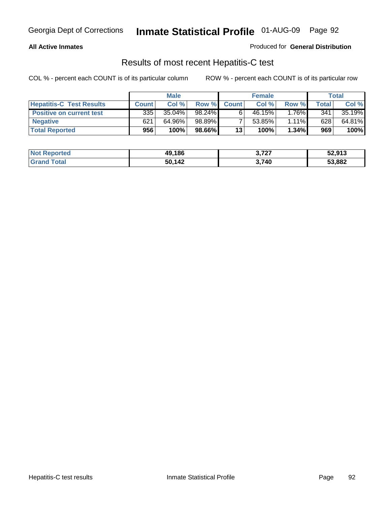### **All Active Inmates**

### Produced for **General Distribution**

### Results of most recent Hepatitis-C test

|                                 |              | <b>Male</b> |        |              | <b>Female</b> |          |       | <b>Total</b> |
|---------------------------------|--------------|-------------|--------|--------------|---------------|----------|-------|--------------|
| <b>Hepatitis-C Test Results</b> | <b>Count</b> | Col %       | Row %  | <b>Count</b> | Col %         | Row %    | Total | Col %        |
| <b>Positive on current test</b> | 335          | 35.04%      | 98.24% |              | 46.15%        | $1.76\%$ | 341   | 35.19%       |
| <b>Negative</b>                 | 621          | 64.96%      | 98.89% |              | $53.85\%$     | $1.11\%$ | 628   | 64.81%       |
| <b>Total Reported</b>           | 956          | 100%        | 98.66% | 13           | 100%          | 1.34%    | 969   | 100%         |

| <b>Not Reported</b> | 49.186 | 3,727 | 52,913 |
|---------------------|--------|-------|--------|
| <b>Grand Total</b>  | 50,142 | 3,740 | 53,882 |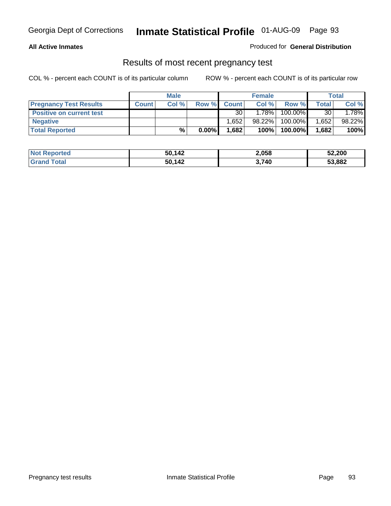### **All Active Inmates**

### Produced for **General Distribution**

### Results of most recent pregnancy test

|                                 | <b>Male</b>  |       | <b>Female</b> |              |          | Total   |       |         |
|---------------------------------|--------------|-------|---------------|--------------|----------|---------|-------|---------|
| <b>Pregnancy Test Results</b>   | <b>Count</b> | Col % | Row %         | <b>Count</b> | Col %    | Row %   | Total | Col %   |
| <b>Positive on current test</b> |              |       |               | 30           | $1.78\%$ | 100.00% | 30    | $.78\%$ |
| <b>Negative</b>                 |              |       |               | .652         | 98.22%   | 100.00% | 1,652 | 98.22%  |
| <b>Total Reported</b>           |              | %     | $0.00\%$      | 1,682        | 100%     | 100.00% | 1,682 | 100%    |

| <b>Not Reported</b> | 50,142 | 2,058 | 52,200 |
|---------------------|--------|-------|--------|
| <b>Grand Total</b>  | 50,142 | 3,740 | 53,882 |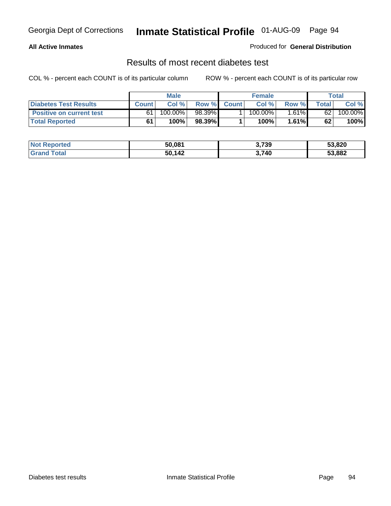### **All Active Inmates**

### Produced for **General Distribution**

### Results of most recent diabetes test

|                                 | <b>Male</b>  |         |           | <b>Female</b> |            |          | Total |         |
|---------------------------------|--------------|---------|-----------|---------------|------------|----------|-------|---------|
| <b>Diabetes Test Results</b>    | <b>Count</b> | Col %   | Row %     | <b>Count</b>  | Col %      | Row %I   | Total | Col %   |
| <b>Positive on current test</b> | 61           | 100.00% | $98.39\%$ |               | $100.00\%$ | $1.61\%$ | 62    | 100.00% |
| <b>Total Reported</b>           | 61           | 100%    | 98.39%    |               | 100%⊤      | 1.61%    | 62    | 100%    |

| <b>Not Reported</b> | 50,081 | 3,739 | 53,820 |
|---------------------|--------|-------|--------|
| <b>Grand Total</b>  | 50,142 | 3,740 | 53,882 |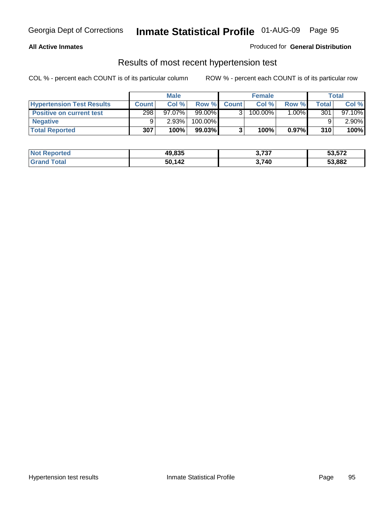### **All Active Inmates**

### Produced for **General Distribution**

### Results of most recent hypertension test

|                                  | <b>Male</b>  |           |         | <b>Female</b> |         |          | <b>Total</b> |           |
|----------------------------------|--------------|-----------|---------|---------------|---------|----------|--------------|-----------|
| <b>Hypertension Test Results</b> | <b>Count</b> | Col %     | Row %   | <b>Count</b>  | Col%    | Row %    | Total        | Col %     |
| <b>Positive on current test</b>  | 298          | $97.07\%$ | 99.00%  |               | 100.00% | $1.00\%$ | 301          | $97.10\%$ |
| <b>Negative</b>                  |              | 2.93%     | 100.00% |               |         |          |              | $2.90\%$  |
| <b>Total Reported</b>            | 307          | 100%      | 99.03%  |               | 100%    | 0.97%    | 310          | 100%      |

| <b>Not Reported</b> | 49,835 | 3,737 | 53,572 |
|---------------------|--------|-------|--------|
| <b>Grand Total</b>  | 50,142 | 3,740 | 53,882 |